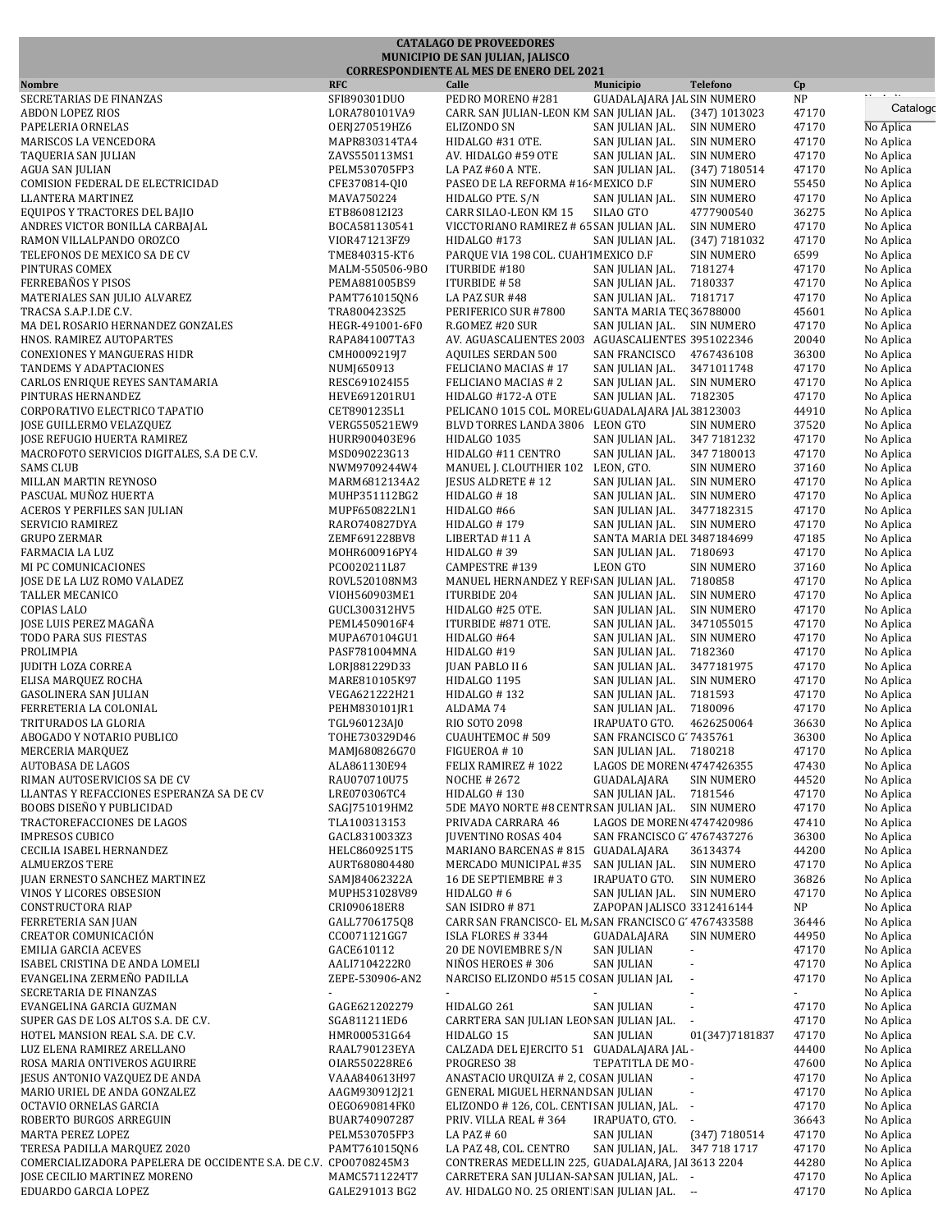|                                                                           |                                  | <b>CATALAGO DE PROVEEDORES</b>                                                      |                                                                                 |                |                        |
|---------------------------------------------------------------------------|----------------------------------|-------------------------------------------------------------------------------------|---------------------------------------------------------------------------------|----------------|------------------------|
|                                                                           |                                  | MUNICIPIO DE SAN JULIAN, JALISCO<br><b>CORRESPONDIENTE AL MES DE ENERO DEL 2021</b> |                                                                                 |                |                        |
| <b>Nombre</b>                                                             | <b>RFC</b>                       | Calle                                                                               | Municipio<br><b>Telefono</b>                                                    | Cp             |                        |
| SECRETARIAS DE FINANZAS                                                   | SFI890301DUO                     | PEDRO MORENO #281                                                                   | GUADALAJARA JAL SIN NUMERO                                                      | NP             | $\cdots$<br>Catalogo   |
| <b>ABDON LOPEZ RIOS</b><br>PAPELERIA ORNELAS                              | LORA780101VA9                    | CARR. SAN JULIAN-LEON KM SAN JULIAN JAL.<br>ELIZONDO SN                             | $(347)$ 1013023<br>SAN JULIAN JAL.<br><b>SIN NUMERO</b>                         | 47170<br>47170 | No Aplica              |
| MARISCOS LA VENCEDORA                                                     | OERJ270519HZ6<br>MAPR830314TA4   | HIDALGO #31 OTE.                                                                    | SAN JULIAN JAL.<br><b>SIN NUMERO</b>                                            | 47170          | No Aplica              |
| TAQUERIA SAN JULIAN                                                       | ZAVS550113MS1                    | AV. HIDALGO #59 OTE                                                                 | SAN JULIAN JAL.<br><b>SIN NUMERO</b>                                            | 47170          | No Aplica              |
| AGUA SAN JULIAN                                                           | PELM530705FP3                    | LA PAZ #60 A NTE.                                                                   | SAN JULIAN JAL.<br>$(347)$ 7180514                                              | 47170          | No Aplica              |
| COMISION FEDERAL DE ELECTRICIDAD                                          | CFE370814-QI0                    | PASEO DE LA REFORMA #164 MEXICO D.F                                                 | <b>SIN NUMERO</b>                                                               | 55450          | No Aplica              |
| <b>LLANTERA MARTINEZ</b>                                                  | MAVA750224                       | HIDALGO PTE. S/N                                                                    | <b>SIN NUMERO</b><br>SAN JULIAN JAL.                                            | 47170          | No Aplica              |
| EQUIPOS Y TRACTORES DEL BAJIO<br>ANDRES VICTOR BONILLA CARBAJAL           | ETB860812I23<br>BOCA581130541    | CARR SILAO-LEON KM 15<br>VICCTORIANO RAMIREZ # 65 SAN JULIAN JAL.                   | SILAO GTO<br>4777900540<br><b>SIN NUMERO</b>                                    | 36275<br>47170 | No Aplica<br>No Aplica |
| RAMON VILLALPANDO OROZCO                                                  | VIOR471213FZ9                    | HIDALGO #173                                                                        | SAN JULIAN JAL.<br>(347) 7181032                                                | 47170          | No Aplica              |
| TELEFONOS DE MEXICO SA DE CV                                              | TME840315-KT6                    | PARQUE VIA 198 COL. CUAH MEXICO D.F                                                 | <b>SIN NUMERO</b>                                                               | 6599           | No Aplica              |
| PINTURAS COMEX                                                            | MALM-550506-9BO                  | ITURBIDE #180                                                                       | SAN JULIAN JAL.<br>7181274                                                      | 47170          | No Aplica              |
| FERREBAÑOS Y PISOS                                                        | PEMA881005BS9                    | ITURBIDE #58                                                                        | SAN JULIAN JAL.<br>7180337                                                      | 47170          | No Aplica              |
| MATERIALES SAN JULIO ALVAREZ                                              | PAMT761015QN6                    | LA PAZ SUR #48                                                                      | 7181717<br>SAN JULIAN JAL.                                                      | 47170          | No Aplica              |
| TRACSA S.A.P.I.DE C.V.                                                    | TRA800423S25                     | PERIFERICO SUR #7800                                                                | SANTA MARIA TEC 36788000                                                        | 45601          | No Aplica              |
| MA DEL ROSARIO HERNANDEZ GONZALES<br>HNOS. RAMIREZ AUTOPARTES             | HEGR-491001-6F0<br>RAPA841007TA3 | R.GOMEZ #20 SUR                                                                     | SAN JULIAN JAL. SIN NUMERO<br>AV. AGUASCALIENTES 2003 AGUASCALIENTES 3951022346 | 47170<br>20040 | No Aplica<br>No Aplica |
| <b>CONEXIONES Y MANGUERAS HIDR</b>                                        | CMH0009219J7                     | <b>AQUILES SERDAN 500</b>                                                           | SAN FRANCISCO<br>4767436108                                                     | 36300          | No Aplica              |
| TANDEMS Y ADAPTACIONES                                                    | NUM1650913                       | FELICIANO MACIAS #17                                                                | SAN JULIAN JAL.<br>3471011748                                                   | 47170          | No Aplica              |
| CARLOS ENRIQUE REYES SANTAMARIA                                           | RESC691024I55                    | FELICIANO MACIAS # 2                                                                | SAN JULIAN JAL.<br><b>SIN NUMERO</b>                                            | 47170          | No Aplica              |
| PINTURAS HERNANDEZ                                                        | HEVE691201RU1                    | HIDALGO #172-A OTE                                                                  | SAN JULIAN JAL.<br>7182305                                                      | 47170          | No Aplica              |
| CORPORATIVO ELECTRICO TAPATIO                                             | CET8901235L1                     |                                                                                     | PELICANO 1015 COL. MOREL GUADALAJARA JAL 38123003                               | 44910          | No Aplica              |
| <b>JOSE GUILLERMO VELAZQUEZ</b>                                           | VERG550521EW9                    | BLVD TORRES LANDA 3806 LEON GTO                                                     | <b>SIN NUMERO</b>                                                               | 37520          | No Aplica              |
| JOSE REFUGIO HUERTA RAMIREZ<br>MACROFOTO SERVICIOS DIGITALES, S.A DE C.V. | HURR900403E96<br>MSD090223G13    | HIDALGO 1035<br>HIDALGO #11 CENTRO                                                  | SAN JULIAN JAL.<br>347 7181232<br>SAN JULIAN JAL.<br>347 7180013                | 47170<br>47170 | No Aplica<br>No Aplica |
| <b>SAMS CLUB</b>                                                          | NWM9709244W4                     | MANUEL J. CLOUTHIER 102                                                             | LEON, GTO.<br><b>SIN NUMERO</b>                                                 | 37160          | No Aplica              |
| MILLAN MARTIN REYNOSO                                                     | MARM6812134A2                    | <b>IESUS ALDRETE #12</b>                                                            | SAN JULIAN JAL.<br><b>SIN NUMERO</b>                                            | 47170          | No Aplica              |
| PASCUAL MUÑOZ HUERTA                                                      | MUHP351112BG2                    | HIDALGO #18                                                                         | SAN JULIAN JAL.<br><b>SIN NUMERO</b>                                            | 47170          | No Aplica              |
| ACEROS Y PERFILES SAN JULIAN                                              | MUPF650822LN1                    | HIDALGO #66                                                                         | SAN JULIAN JAL.<br>3477182315                                                   | 47170          | No Aplica              |
| SERVICIO RAMIREZ                                                          | RAR0740827DYA                    | HIDALGO #179                                                                        | SAN JULIAN JAL.<br><b>SIN NUMERO</b>                                            | 47170          | No Aplica              |
| <b>GRUPO ZERMAR</b>                                                       | ZEMF691228BV8                    | LIBERTAD #11 A                                                                      | SANTA MARIA DEI 3487184699                                                      | 47185          | No Aplica              |
| FARMACIA LA LUZ<br>MI PC COMUNICACIONES                                   | MOHR600916PY4<br>PC0020211L87    | HIDALGO #39<br>CAMPESTRE #139                                                       | SAN JULIAN JAL.<br>7180693<br><b>LEON GTO</b><br><b>SIN NUMERO</b>              | 47170<br>37160 | No Aplica<br>No Aplica |
| JOSE DE LA LUZ ROMO VALADEZ                                               | ROVL520108NM3                    | MANUEL HERNANDEZ Y REF SAN JULIAN JAL.                                              | 7180858                                                                         | 47170          | No Aplica              |
| TALLER MECANICO                                                           | VIOH560903ME1                    | <b>ITURBIDE 204</b>                                                                 | SAN JULIAN JAL.<br><b>SIN NUMERO</b>                                            | 47170          | No Aplica              |
| <b>COPIAS LALO</b>                                                        | GUCL300312HV5                    | HIDALGO #25 OTE.                                                                    | SAN JULIAN JAL.<br><b>SIN NUMERO</b>                                            | 47170          | No Aplica              |
| JOSE LUIS PEREZ MAGAÑA                                                    | PEML4509016F4                    | ITURBIDE #871 OTE.                                                                  | SAN JULIAN JAL.<br>3471055015                                                   | 47170          | No Aplica              |
| TODO PARA SUS FIESTAS                                                     | MUPA670104GU1                    | HIDALGO #64                                                                         | SAN JULIAN JAL.<br><b>SIN NUMERO</b>                                            | 47170          | No Aplica              |
| PROLIMPIA                                                                 | PASF781004MNA                    | HIDALGO #19                                                                         | SAN JULIAN JAL.<br>7182360                                                      | 47170          | No Aplica              |
| <b>JUDITH LOZA CORREA</b><br>ELISA MARQUEZ ROCHA                          | LORJ881229D33<br>MARE810105K97   | <b>JUAN PABLO II 6</b><br>HIDALGO 1195                                              | SAN JULIAN JAL.<br>3477181975<br>SAN JULIAN JAL.<br><b>SIN NUMERO</b>           | 47170<br>47170 | No Aplica<br>No Aplica |
| GASOLINERA SAN JULIAN                                                     | VEGA621222H21                    | HIDALGO #132                                                                        | SAN JULIAN JAL.<br>7181593                                                      | 47170          | No Aplica              |
| FERRETERIA LA COLONIAL                                                    | PEHM830101JR1                    | ALDAMA 74                                                                           | SAN JULIAN JAL.<br>7180096                                                      | 47170          | No Aplica              |
| TRITURADOS LA GLORIA                                                      | TGL960123AJ0                     | RIO SOTO 2098                                                                       | IRAPUATO GTO.<br>4626250064                                                     | 36630          | No Aplica              |
| ABOGADO Y NOTARIO PUBLICO                                                 | T0HE730329D46                    | CUAUHTEMOC #509                                                                     | SAN FRANCISCO G' 7435761                                                        | 36300          | No Aplica              |
| MERCERIA MARQUEZ                                                          | MAMJ680826G70                    | FIGUEROA #10                                                                        | SAN JULIAN JAL. 7180218                                                         | 47170          | No Aplica              |
| <b>AUTOBASA DE LAGOS</b>                                                  | ALA861130E94                     | FELIX RAMIREZ #1022                                                                 | LAGOS DE MOREN 4747426355                                                       | 47430          | No Aplica              |
| RIMAN AUTOSERVICIOS SA DE CV                                              | RAU070710U75<br>LRE070306TC4     | NOCHE # 2672                                                                        | GUADALAJARA<br><b>SIN NUMERO</b><br>SAN JULIAN JAL.                             | 44520<br>47170 | No Aplica              |
| LLANTAS Y REFACCIONES ESPERANZA SA DE CV<br>BOOBS DISEÑO Y PUBLICIDAD     | SAGJ751019HM2                    | HIDALGO #130<br>5DE MAYO NORTE #8 CENTR SAN JULIAN JAL.                             | 7181546<br><b>SIN NUMERO</b>                                                    | 47170          | No Aplica<br>No Aplica |
| TRACTOREFACCIONES DE LAGOS                                                | TLA100313153                     | PRIVADA CARRARA 46                                                                  | LAGOS DE MOREN 4747420986                                                       | 47410          | No Aplica              |
| <b>IMPRESOS CUBICO</b>                                                    | GACL8310033Z3                    | <b>JUVENTINO ROSAS 404</b>                                                          | SAN FRANCISCO G' 4767437276                                                     | 36300          | No Aplica              |
| CECILIA ISABEL HERNANDEZ                                                  | HELC8609251T5                    | MARIANO BARCENAS # 815 GUADALAJARA                                                  | 36134374                                                                        | 44200          | No Aplica              |
| <b>ALMUERZOS TERE</b>                                                     | AURT680804480                    | MERCADO MUNICIPAL #35                                                               | SAN JULIAN JAL.<br><b>SIN NUMERO</b>                                            | 47170          | No Aplica              |
| <b>JUAN ERNESTO SANCHEZ MARTINEZ</b>                                      | SAMJ84062322A<br>MUPH531028V89   | 16 DE SEPTIEMBRE #3                                                                 | IRAPUATO GTO.<br><b>SIN NUMERO</b>                                              | 36826          | No Aplica<br>No Aplica |
| VINOS Y LICORES OBSESION<br>CONSTRUCTORA RIAP                             | CRI090618ER8                     | HIDALGO # 6<br>SAN ISIDRO #871                                                      | SAN JULIAN JAL.<br>SIN NUMERO<br>ZAPOPAN JALISCO 3312416144                     | 47170<br>NP    | No Aplica              |
| FERRETERIA SAN JUAN                                                       | GALL7706175Q8                    |                                                                                     | CARR SAN FRANCISCO- EL M. SAN FRANCISCO G' 4767433588                           | 36446          | No Aplica              |
| <b>CREATOR COMUNICACIÓN</b>                                               | CC0071121GG7                     | ISLA FLORES #3344                                                                   | GUADALAJARA<br><b>SIN NUMERO</b>                                                | 44950          | No Aplica              |
| <b>EMILIA GARCIA ACEVES</b>                                               | GACE610112                       | 20 DE NOVIEMBRE S/N                                                                 | <b>SAN JULIAN</b><br>$\blacksquare$                                             | 47170          | No Aplica              |
| ISABEL CRISTINA DE ANDA LOMELI                                            | AALI7104222R0                    | NIÑOS HEROES #306                                                                   | <b>SAN JULIAN</b>                                                               | 47170          | No Aplica              |
| EVANGELINA ZERMEÑO PADILLA                                                | ZEPE-530906-AN2                  | NARCISO ELIZONDO #515 CO SAN JULIAN JAL                                             |                                                                                 | 47170          | No Aplica              |
| SECRETARIA DE FINANZAS<br>EVANGELINA GARCIA GUZMAN                        | GAGE621202279                    | HIDALGO 261                                                                         | <b>SAN JULIAN</b>                                                               | 47170          | No Aplica<br>No Aplica |
| SUPER GAS DE LOS ALTOS S.A. DE C.V.                                       | SGA811211ED6                     | CARRTERA SAN JULIAN LEON SAN JULIAN JAL.                                            |                                                                                 | 47170          | No Aplica              |
| HOTEL MANSION REAL S.A. DE C.V.                                           | HMR000531G64                     | HIDALGO 15                                                                          | <b>SAN JULIAN</b><br>01(347)7181837                                             | 47170          | No Aplica              |
| LUZ ELENA RAMIREZ ARELLANO                                                | RAAL790123EYA                    | CALZADA DEL EJERCITO 51 GUADALAJARA JAL -                                           |                                                                                 | 44400          | No Aplica              |
| ROSA MARIA ONTIVEROS AGUIRRE                                              | 0IAR550228RE6                    | PROGRESO 38                                                                         | TEPATITLA DE MO-                                                                | 47600          | No Aplica              |
| JESUS ANTONIO VAZQUEZ DE ANDA                                             | VAAA840613H97                    | ANASTACIO URQUIZA # 2, CC SAN JULIAN                                                |                                                                                 | 47170          | No Aplica              |
| MARIO URIEL DE ANDA GONZALEZ                                              | AAGM930912J21                    | GENERAL MIGUEL HERNAND SAN JULIAN                                                   |                                                                                 | 47170          | No Aplica              |
| OCTAVIO ORNELAS GARCIA<br>ROBERTO BURGOS ARREGUIN                         | OEGO690814FK0<br>BUAR740907287   | ELIZONDO # 126, COL. CENTI SAN JULIAN, JAL.<br>PRIV. VILLA REAL #364                | IRAPUATO, GTO.<br>$\blacksquare$                                                | 47170<br>36643 | No Aplica<br>No Aplica |
| MARTA PEREZ LOPEZ                                                         | PELM530705FP3                    | LA PAZ #60                                                                          | <b>SAN JULIAN</b><br>(347) 7180514                                              | 47170          | No Aplica              |
| TERESA PADILLA MARQUEZ 2020                                               | PAMT761015QN6                    | LA PAZ 48, COL. CENTRO                                                              | SAN JULIAN, JAL. 347 718 1717                                                   | 47170          | No Aplica              |
| COMERCIALIZADORA PAPELERA DE OCCIDENTE S.A. DE C.V. CPO0708245M3          |                                  |                                                                                     | CONTRERAS MEDELLIN 225, GUADALAJARA, JAI 3613 2204                              | 44280          | No Aplica              |
| JOSE CECILIO MARTINEZ MORENO                                              | MAMC5711224T7                    | CARRETERA SAN JULIAN-SAI SAN JULIAN, JAL. -                                         |                                                                                 | 47170          | No Aplica              |
| EDUARDO GARCIA LOPEZ                                                      | GALE291013 BG2                   | AV. HIDALGO NO. 25 ORIENT SAN JULIAN JAL. --                                        |                                                                                 | 47170          | No Aplica              |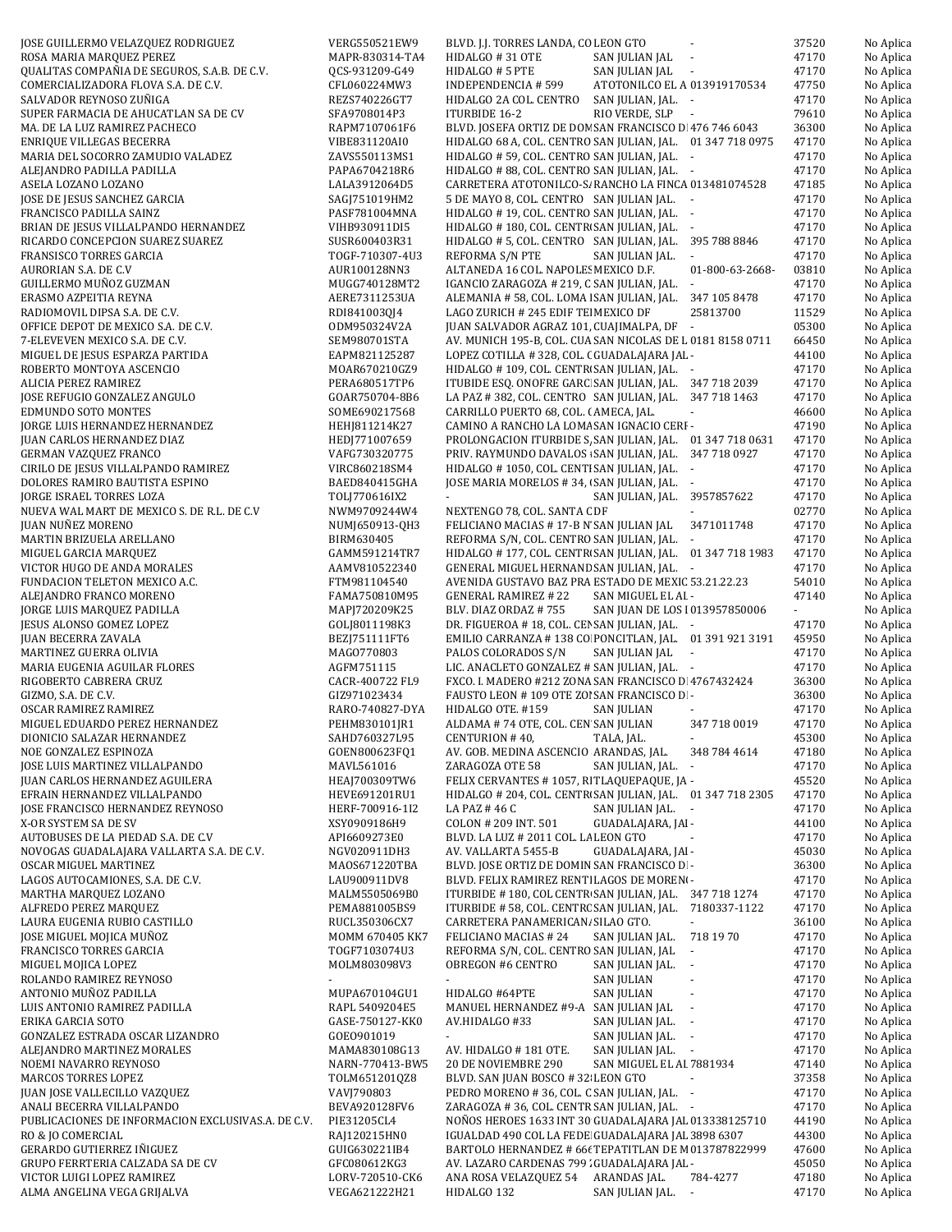| oon dommnwo vnmmqona kopiudona                     | ,,,,,,,,,,,,,,,,, | buyb. J.J. TORREJ EMPAY, CO BEON GTO                                                        | <b>JIJLV</b> | 101       |
|----------------------------------------------------|-------------------|---------------------------------------------------------------------------------------------|--------------|-----------|
| ROSA MARIA MARQUEZ PEREZ                           | MAPR-830314-TA4   | HIDALGO #31 OTE<br>SAN JULIAN JAL -                                                         | 47170        | No Aplica |
| QUALITAS COMPAÑIA DE SEGUROS, S.A.B. DE C.V.       | OCS-931209-G49    | SAN JULIAN JAL -<br>HIDALGO # 5 PTE                                                         | 47170        | No Aplica |
| COMERCIALIZADORA FLOVA S.A. DE C.V.                | CFL060224MW3      | ATOTONILCO EL A 013919170534<br>INDEPENDENCIA # 599                                         | 47750        | No Aplica |
| SALVADOR REYNOSO ZUÑIGA                            | REZS740226GT7     | HIDALGO 2A COL. CENTRO<br>SAN JULIAN, JAL. -                                                | 47170        | No Aplica |
| SUPER FARMACIA DE AHUCATLAN SA DE CV               | SFA9708014P3      | RIO VERDE, SLP -<br>ITURBIDE 16-2                                                           | 79610        | No Aplica |
| MA. DE LA LUZ RAMIREZ PACHECO                      | RAPM7107061F6     | BLVD. JOSEFA ORTIZ DE DON SAN FRANCISCO D 476 746 6043                                      | 36300        | No Aplica |
| ENRIQUE VILLEGAS BECERRA                           | VIBE831120AI0     | HIDALGO 68 A, COL. CENTRO SAN JULIAN, JAL. 01 347 718 0975                                  | 47170        | No Aplica |
| MARIA DEL SOCORRO ZAMUDIO VALADEZ                  | ZAVS550113MS1     | HIDALGO # 59, COL. CENTRO SAN JULIAN, JAL. -                                                | 47170        | No Aplica |
| ALEJANDRO PADILLA PADILLA                          | PAPA6704218R6     | HIDALGO # 88, COL. CENTRO SAN JULIAN, JAL. -                                                | 47170        | No Aplica |
| ASELA LOZANO LOZANO                                | LALA3912064D5     | CARRETERA ATOTONILCO-S/ RANCHO LA FINCA 013481074528                                        | 47185        | No Aplica |
| JOSE DE JESUS SANCHEZ GARCIA                       | SAGJ751019HM2     | 5 DE MAYO 8, COL. CENTRO SAN JULIAN JAL. -                                                  | 47170        | No Aplica |
| FRANCISCO PADILLA SAINZ                            | PASF781004MNA     | HIDALGO #19, COL. CENTRO SAN JULIAN, JAL. -                                                 | 47170        | No Aplica |
| BRIAN DE JESUS VILLALPANDO HERNANDEZ               | VIHB930911DI5     | HIDALGO # 180, COL. CENTR SAN JULIAN, JAL. -                                                | 47170        | No Aplica |
| RICARDO CONCEPCION SUAREZ SUAREZ                   | SUSR600403R31     | HIDALGO # 5, COL. CENTRO SAN JULIAN, JAL. 395 788 8846                                      | 47170        | No Aplica |
| FRANSISCO TORRES GARCIA                            | TOGF-710307-4U3   | REFORMA S/N PTE<br>SAN JULIAN JAL.<br>$\sim$                                                | 47170        | No Aplica |
| AURORIAN S.A. DE C.V                               | AUR100128NN3      | ALTANEDA 16 COL. NAPOLE: MEXICO D.F.<br>01-800-63-2668-                                     | 03810        | No Aplica |
| GUILLERMO MUÑOZ GUZMAN                             | MUGG740128MT2     | IGANCIO ZARAGOZA # 219, C SAN JULIAN, JAL.<br>$\sim$                                        | 47170        | No Aplica |
| ERASMO AZPEITIA REYNA                              | AERE7311253UA     | ALEMANIA #58, COL. LOMA   SAN JULIAN, JAL. 347 105 8478                                     | 47170        | No Aplica |
| RADIOMOVIL DIPSA S.A. DE C.V.                      | RDI841003QJ4      | 25813700<br>LAGO ZURICH # 245 EDIF TE MEXICO DF                                             | 11529        | No Aplica |
| OFFICE DEPOT DE MEXICO S.A. DE C.V.                | ODM950324V2A      | JUAN SALVADOR AGRAZ 101, CUAJIMALPA, DF -                                                   | 05300        | No Aplica |
| 7-ELEVEVEN MEXICO S.A. DE C.V.                     | SEM980701STA      | AV. MUNICH 195-B, COL. CUA SAN NICOLAS DE L 0181 8158 0711                                  | 66450        | No Aplica |
| MIGUEL DE JESUS ESPARZA PARTIDA                    | EAPM821125287     | LOPEZ COTILLA #328, COL. (GUADALAJARA JAL -                                                 | 44100        | No Aplica |
| ROBERTO MONTOYA ASCENCIO                           | MOAR670210GZ9     | HIDALGO #109, COL. CENTR SAN JULIAN, JAL. -                                                 | 47170        | No Aplica |
| ALICIA PEREZ RAMIREZ                               | PERA680517TP6     | ITUBIDE ESQ. ONOFRE GARC SAN JULIAN, JAL. 347 718 2039                                      | 47170        | No Aplica |
| JOSE REFUGIO GONZALEZ ANGULO                       | GOAR750704-8B6    | LA PAZ #382, COL. CENTRO SAN JULIAN, JAL. 347 718 1463                                      | 47170        | No Aplica |
| EDMUNDO SOTO MONTES                                | SOME690217568     | CARRILLO PUERTO 68, COL. (AMECA, JAL.                                                       | 46600        | No Aplica |
| JORGE LUIS HERNANDEZ HERNANDEZ                     | HEHJ811214K27     | CAMINO A RANCHO LA LOMA SAN IGNACIO CERI -                                                  | 47190        | No Aplica |
| JUAN CARLOS HERNANDEZ DIAZ                         | HEDJ771007659     | PROLONGACION ITURBIDE S, SAN JULIAN, JAL. 01 347 718 0631                                   | 47170        | No Aplica |
|                                                    |                   | PRIV. RAYMUNDO DAVALOS : SAN JULIAN, JAL. 347 718 0927                                      |              |           |
| GERMAN VAZQUEZ FRANCO                              | VAFG730320775     |                                                                                             | 47170        | No Aplica |
| CIRILO DE JESUS VILLALPANDO RAMIREZ                | VIRC860218SM4     | HIDALGO #1050, COL. CENTI SAN JULIAN, JAL. -<br>JOSE MARIA MORELOS #34, (SAN JULIAN, JAL. - | 47170        | No Aplica |
| DOLORES RAMIRO BAUTISTA ESPINO                     | BAED840415GHA     | $\Delta \sim 10^{11}$ m $^{-1}$ .                                                           | 47170        | No Aplica |
| JORGE ISRAEL TORRES LOZA                           | TOLJ770616IX2     | SAN JULIAN, JAL. 3957857622                                                                 | 47170        | No Aplica |
| NUEVA WAL MART DE MEXICO S. DE R.L. DE C.V         | NWM9709244W4      | NEXTENGO 78, COL. SANTA C DF                                                                | 02770        | No Aplica |
| JUAN NUÑEZ MORENO                                  | NUMJ650913-QH3    | FELICIANO MACIAS #17-B N SAN JULIAN JAL 3471011748                                          | 47170        | No Aplica |
| MARTIN BRIZUELA ARELLANO                           | BIRM630405        | REFORMA S/N, COL. CENTRO SAN JULIAN, JAL. -                                                 | 47170        | No Aplica |
| MIGUEL GARCIA MARQUEZ                              | GAMM591214TR7     | HIDALGO #177, COL. CENTR SAN JULIAN, JAL. 01 347 718 1983                                   | 47170        | No Aplica |
| VICTOR HUGO DE ANDA MORALES                        | AAMV810522340     | GENERAL MIGUEL HERNAND SAN JULIAN, JAL. -                                                   | 47170        | No Aplica |
| FUNDACION TELETON MEXICO A.C.                      | FTM981104540      | AVENIDA GUSTAVO BAZ PRA ESTADO DE MEXIC 53.21.22.23                                         | 54010        | No Aplica |
| ALEJANDRO FRANCO MORENO                            | FAMA750810M95     | GENERAL RAMIREZ # 22<br>SAN MIGUEL EL AL -                                                  | 47140        | No Aplica |
| JORGE LUIS MARQUEZ PADILLA                         | MAPJ720209K25     | SAN JUAN DE LOS 1013957850006<br>BLV. DIAZ ORDAZ # 755                                      | ÷.           | No Aplica |
| JESUS ALONSO GOMEZ LOPEZ                           | GOLJ8011198K3     | DR. FIGUEROA #18, COL. CEI SAN JULIAN, JAL. -                                               | 47170        | No Aplica |
| JUAN BECERRA ZAVALA                                | BEZJ751111FT6     | EMILIO CARRANZA #138 CO PONCITLAN, JAL. 01 391 921 3191                                     | 45950        | No Aplica |
| MARTINEZ GUERRA OLIVIA                             | MAG0770803        | PALOS COLORADOS S/N<br>SAN JULIAN JAL<br>$\sim$                                             | 47170        | No Aplica |
| MARIA EUGENIA AGUILAR FLORES                       | AGFM751115        | LIC. ANACLETO GONZALEZ # SAN JULIAN, JAL. -                                                 | 47170        | No Aplica |
| RIGOBERTO CABRERA CRUZ                             | CACR-400722 FL9   | FXCO. I. MADERO #212 ZONA SAN FRANCISCO D 4767432424                                        | 36300        | No Aplica |
| GIZMO, S.A. DE C.V.                                | GIZ971023434      | FAUSTO LEON #109 OTE ZOI SAN FRANCISCO D -                                                  | 36300        | No Aplica |
| OSCAR RAMIREZ RAMIREZ                              | RARO-740827-DYA   | HIDALGO OTE. #159<br>SAN JULIAN                                                             | 47170        | No Aplica |
| MIGUEL EDUARDO PEREZ HERNANDEZ                     | PEHM830101JR1     | ALDAMA #74 OTE, COL. CEN SAN JULIAN<br>347 718 0019                                         | 47170        | No Aplica |
| DIONICIO SALAZAR HERNANDEZ                         | SAHD760327L95     | CENTURION #40,<br>TALA, JAL.                                                                | 45300        | No Aplica |
| NOE GONZALEZ ESPINOZA                              | GOEN800623FQ1     | AV. GOB. MEDINA ASCENCIO ARANDAS, JAL.<br>348 784 4614                                      | 47180        | No Aplica |
| JOSE LUIS MARTINEZ VILLALPANDO                     | MAVL561016        | ZARAGOZA OTE 58<br>SAN JULIAN, JAL. -                                                       | 47170        | No Aplica |
| JUAN CARLOS HERNANDEZ AGUILERA                     | HEAJ700309TW6     | FELIX CERVANTES # 1057, RITLAQUEPAQUE, JA -                                                 | 45520        | No Aplica |
| EFRAIN HERNANDEZ VILLALPANDO                       | HEVE691201RU1     | HIDALGO # 204, COL. CENTRI SAN JULIAN, JAL. 01 347 718 2305                                 | 47170        | No Aplica |
| JOSE FRANCISCO HERNANDEZ REYNOSO                   | HERF-700916-1I2   | LA PAZ #46 C<br>SAN JULIAN JAL. -                                                           | 47170        | No Aplica |
| X-OR SYSTEM SA DE SV                               | XSY0909186H9      | COLON # 209 INT. 501<br>GUADALAJARA, JAI -                                                  | 44100        | No Aplica |
| AUTOBUSES DE LA PIEDAD S.A. DE C.V                 | API6609273E0      | BLVD. LA LUZ # 2011 COL. LA LEON GTO                                                        | 47170        | No Aplica |
| NOVOGAS GUADALAJARA VALLARTA S.A. DE C.V.          | NGV020911DH3      | AV. VALLARTA 5455-B<br>GUADALAJARA, JAI -                                                   | 45030        | No Aplica |
| OSCAR MIGUEL MARTINEZ                              | MA0S671220TBA     | BLVD. JOSE ORTIZ DE DOMIN SAN FRANCISCO D -                                                 | 36300        | No Aplica |
| LAGOS AUTOCAMIONES, S.A. DE C.V.                   | LAU900911DV8      | BLVD. FELIX RAMIREZ RENTI LAGOS DE MOREN-                                                   | 47170        | No Aplica |
| MARTHA MARQUEZ LOZANO                              | MALM5505069B0     | ITURBIDE #180, COL CENTR SAN JULIAN, JAL. 347 718 1274                                      | 47170        | No Aplica |
| ALFREDO PEREZ MARQUEZ                              | PEMA881005BS9     | ITURBIDE #58, COL. CENTRC SAN JULIAN, JAL. 7180337-1122                                     | 47170        | No Aplica |
| LAURA EUGENIA RUBIO CASTILLO                       | RUCL350306CX7     | CARRETERA PANAMERICAN. SILAO GTO.<br>×.                                                     | 36100        | No Aplica |
| JOSE MIGUEL MOJICA MUÑOZ                           | MOMM 670405 KK7   | FELICIANO MACIAS # 24<br>SAN JULIAN JAL.<br>718 19 70                                       | 47170        | No Aplica |
| FRANCISCO TORRES GARCIA                            | TOGF7103074U3     | REFORMA S/N, COL. CENTRO SAN JULIAN, JAL<br>$\sim$                                          | 47170        | No Aplica |
| MIGUEL MOJICA LOPEZ                                | MOLM803098V3      | OBREGON #6 CENTRO<br>SAN JULIAN JAL.<br>$\overline{\phantom{a}}$                            | 47170        | No Aplica |
| ROLANDO RAMIREZ REYNOSO                            |                   | SAN JULIAN                                                                                  | 47170        | No Aplica |
| ANTONIO MUÑOZ PADILLA                              | MUPA670104GU1     | HIDALGO #64PTE<br><b>SAN JULIAN</b><br>$\blacksquare$                                       | 47170        | No Aplica |
| LUIS ANTONIO RAMIREZ PADILLA                       | RAPL 5409204E5    | MANUEL HERNANDEZ #9-A SAN JULIAN JAL                                                        | 47170        | No Aplica |
| ERIKA GARCIA SOTO                                  | GASE-750127-KK0   | AV.HIDALGO #33<br>SAN JULIAN JAL.<br>$\sim$ $-$                                             | 47170        | No Aplica |
| GONZALEZ ESTRADA OSCAR LIZANDRO                    | GOE0901019        | SAN JULIAN JAL.<br>$\sim$                                                                   | 47170        | No Aplica |
| ALEJANDRO MARTINEZ MORALES                         | MAMA830108G13     | AV. HIDALGO #181 OTE.<br>SAN JULIAN JAL. -                                                  | 47170        | No Aplica |
| NOEMI NAVARRO REYNOSO                              | NARN-770413-BW5   | SAN MIGUEL EL AI 7881934<br>20 DE NOVIEMBRE 290                                             | 47140        | No Aplica |
| MARCOS TORRES LOPEZ                                | TOLM651201QZ8     | BLVD. SAN JUAN BOSCO # 32 LEON GTO                                                          | 37358        | No Aplica |
| JUAN JOSE VALLECILLO VAZQUEZ                       | VAVJ790803        | PEDRO MORENO #36, COL. C SAN JULIAN, JAL. -                                                 | 47170        | No Aplica |
| ANALI BECERRA VILLALPANDO                          | BEVA920128FV6     | ZARAGOZA # 36, COL. CENTR SAN JULIAN, JAL. -                                                | 47170        | No Aplica |
| PUBLICACIONES DE INFORMACION EXCLUSIVAS.A. DE C.V. | PIE31205CL4       | NOÑOS HEROES 1633 INT 30 GUADALAJARA JAL 013338125710                                       | 44190        | No Aplica |
| RO & JO COMERCIAL                                  | RAJ120215HN0      | IGUALDAD 490 COL LA FEDE GUADALAJARA JAL 3898 6307                                          | 44300        | No Aplica |
| GERARDO GUTIERREZ IÑIGUEZ                          | GUIG630221IB4     | BARTOLO HERNANDEZ # 66t TEPATITLAN DE M 013787822999                                        | 47600        | No Aplica |
| GRUPO FERRTERIA CALZADA SA DE CV                   | GFC080612KG3      | AV. LAZARO CARDENAS 799 : GUADALAJARA JAL -                                                 | 45050        | No Aplica |
| VICTOR LUIGI LOPEZ RAMIREZ                         | LORV-720510-CK6   | ANA ROSA VELAZQUEZ 54<br>ARANDAS JAL.<br>784-4277                                           | 47180        | No Aplica |
| ALMA ANGELINA VEGA GRIJALVA                        | VEGA621222H21     | HIDALGO 132<br>SAN JULIAN JAL. -                                                            | 47170        | No Aplica |
|                                                    |                   |                                                                                             |              |           |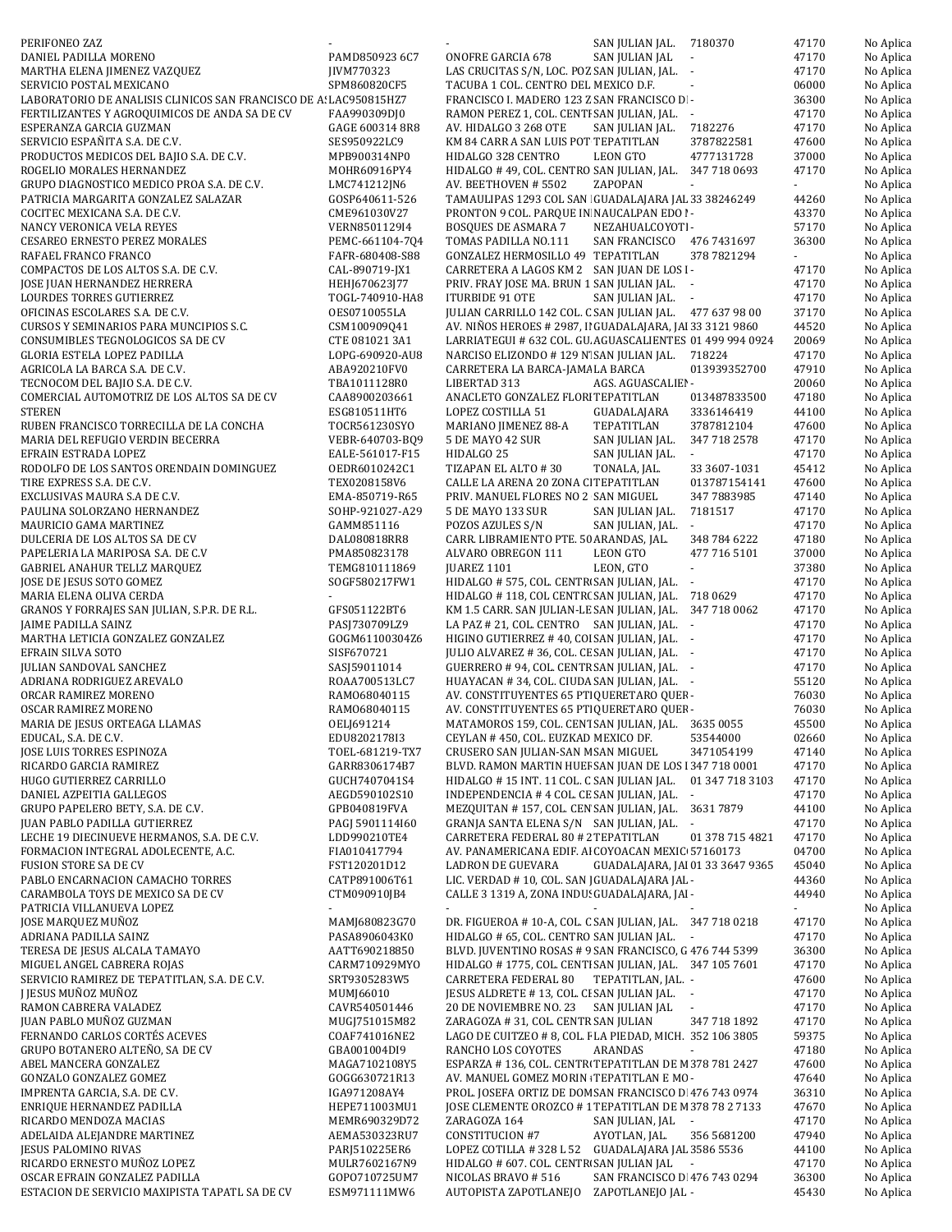| PERIFONEO ZAZ                                                                   |                                    | SAN JULIAN JAL.<br>7180370                                                                                    | 47170                       | No Aplica              |
|---------------------------------------------------------------------------------|------------------------------------|---------------------------------------------------------------------------------------------------------------|-----------------------------|------------------------|
| DANIEL PADILLA MORENO                                                           | PAMD850923 6C7                     | <b>ONOFRE GARCIA 678</b><br>SAN JULIAN JAL<br>$\mathcal{L}_{\mathcal{A}}$                                     | 47170                       | No Aplica              |
| MARTHA ELENA JIMENEZ VAZQUEZ                                                    | JIVM770323                         | LAS CRUCITAS S/N, LOC. POZ SAN JULIAN, JAL. -                                                                 | 47170                       | No Aplica              |
| SERVICIO POSTAL MEXICANO                                                        | SPM860820CF5                       | TACUBA 1 COL. CENTRO DEL MEXICO D.F.<br>$\blacksquare$                                                        | 06000                       | No Aplica              |
| LABORATORIO DE ANALISIS CLINICOS SAN FRANCISCO DE A: LAC950815HZ7               |                                    | FRANCISCO I. MADERO 123 Z SAN FRANCISCO D -                                                                   | 36300                       | No Aplica              |
| FERTILIZANTES Y AGROQUIMICOS DE ANDA SA DE CV<br>ESPERANZA GARCIA GUZMAN        | FAA990309DJ0<br>GAGE 600314 8R8    | RAMON PEREZ 1, COL. CENTI SAN JULIAN, JAL. -<br>7182276<br>AV. HIDALGO 3 268 OTE<br>SAN JULIAN JAL.           | 47170<br>47170              | No Aplica<br>No Aplica |
| SERVICIO ESPAÑITA S.A. DE C.V.                                                  | SES950922LC9                       | KM 84 CARR A SAN LUIS POT TEPATITLAN<br>3787822581                                                            | 47600                       | No Aplica              |
| PRODUCTOS MEDICOS DEL BAJIO S.A. DE C.V.                                        | MPB900314NP0                       | HIDALGO 328 CENTRO<br>LEON GTO<br>4777131728                                                                  | 37000                       | No Aplica              |
| ROGELIO MORALES HERNANDEZ                                                       | MOHR60916PY4                       | HIDALGO #49, COL. CENTRO SAN JULIAN, JAL. 347 718 0693                                                        | 47170                       | No Aplica              |
| GRUPO DIAGNOSTICO MEDICO PROA S.A. DE C.V.                                      | LMC741212JN6                       | AV. BEETHOVEN # 5502<br>ZAPOPAN                                                                               |                             | No Aplica              |
| PATRICIA MARGARITA GONZALEZ SALAZAR                                             | GOSP640611-526                     | TAMAULIPAS 1293 COL SAN GUADALAJARA JAL 33 38246249                                                           | 44260                       | No Aplica              |
| COCITEC MEXICANA S.A. DE C.V.                                                   | CME961030V27                       | PRONTON 9 COL. PARQUE IN NAUCALPAN EDO I-                                                                     | 43370                       | No Aplica              |
| NANCY VERONICA VELA REYES                                                       | VERN8501129I4                      | BOSQUES DE ASMARA 7<br>NEZAHUALCOYOTI-                                                                        | 57170                       | No Aplica              |
| <b>CESAREO ERNESTO PEREZ MORALES</b>                                            | PEMC-661104-704                    | SAN FRANCISCO 476 7431697<br>TOMAS PADILLA NO.111                                                             | 36300                       | No Aplica              |
| RAFAEL FRANCO FRANCO                                                            | FAFR-680408-S88                    | GONZALEZ HERMOSILLO 49 TEPATITLAN<br>378 7821294                                                              | $\mathcal{L}_{\mathcal{A}}$ | No Aplica              |
| COMPACTOS DE LOS ALTOS S.A. DE C.V.<br>JOSE JUAN HERNANDEZ HERRERA              | CAL-890719-JX1<br>HEHJ670623J77    | CARRETERA A LAGOS KM 2 SAN JUAN DE LOS I-<br>PRIV. FRAY JOSE MA. BRUN 1 SAN JULIAN JAL. -                     | 47170<br>47170              | No Aplica              |
| LOURDES TORRES GUTIERREZ                                                        | TOGL-740910-HA8                    | ITURBIDE 91 OTE<br>SAN JULIAN JAL. -                                                                          | 47170                       | No Aplica<br>No Aplica |
| OFICINAS ESCOLARES S.A. DE C.V.                                                 | OES0710055LA                       | JULIAN CARRILLO 142 COL. C SAN JULIAN JAL. 477 637 98 00                                                      | 37170                       | No Aplica              |
| CURSOS Y SEMINARIOS PARA MUNCIPIOS S.C.                                         | CSM100909Q41                       | AV. NIÑOS HEROES # 2987, II GUADALAJARA, JAI 33 3121 9860                                                     | 44520                       | No Aplica              |
| CONSUMIBLES TEGNOLOGICOS SA DE CV                                               | CTE 081021 3A1                     | LARRIATEGUI # 632 COL. GU. AGUASCALIENTES 01 499 994 0924                                                     | 20069                       | No Aplica              |
| GLORIA ESTELA LOPEZ PADILLA                                                     | LOPG-690920-AU8                    | NARCISO ELIZONDO #129 N' SAN JULIAN JAL. 718224                                                               | 47170                       | No Aplica              |
| AGRICOLA LA BARCA S.A. DE C.V.                                                  | ABA920210FV0                       | CARRETERA LA BARCA-JAMA LA BARCA<br>013939352700                                                              | 47910                       | No Aplica              |
| TECNOCOM DEL BAJIO S.A. DE C.V.                                                 | TBA1011128R0                       | AGS. AGUASCALIEI -<br>LIBERTAD 313                                                                            | 20060                       | No Aplica              |
| COMERCIAL AUTOMOTRIZ DE LOS ALTOS SA DE CV                                      | CAA8900203661                      | ANACLETO GONZALEZ FLORI TEPATITLAN<br>013487833500                                                            | 47180                       | No Aplica              |
| <b>STEREN</b>                                                                   | ESG810511HT6                       | LOPEZ COSTILLA 51<br>GUADALAJARA<br>3336146419                                                                | 44100                       | No Aplica              |
| RUBEN FRANCISCO TORRECILLA DE LA CONCHA                                         | TOCR561230SYO                      | MARIANO JIMENEZ 88-A<br>TEPATITLAN<br>3787812104<br>5 DE MAYO 42 SUR                                          | 47600                       | No Aplica              |
| MARIA DEL REFUGIO VERDIN BECERRA<br>EFRAIN ESTRADA LOPEZ                        | VEBR-640703-BQ9<br>EALE-561017-F15 | SAN JULIAN JAL.<br>347 718 2578<br>HIDALGO 25<br>SAN JULIAN JAL.                                              | 47170<br>47170              | No Aplica<br>No Aplica |
| RODOLFO DE LOS SANTOS ORENDAIN DOMINGUEZ                                        | 0EDR6010242C1                      | TIZAPAN EL ALTO #30<br>TONALA, JAL.<br>33 3607-1031                                                           | 45412                       | No Aplica              |
| TIRE EXPRESS S.A. DE C.V.                                                       | TEX0208158V6                       | CALLE LA ARENA 20 ZONA CI TEPATITLAN<br>013787154141                                                          | 47600                       | No Aplica              |
| EXCLUSIVAS MAURA S.A DE C.V.                                                    | EMA-850719-R65                     | PRIV. MANUEL FLORES NO 2 SAN MIGUEL<br>347 7883985                                                            | 47140                       | No Aplica              |
| PAULINA SOLORZANO HERNANDEZ                                                     | SOHP-921027-A29                    | 5 DE MAYO 133 SUR<br>7181517<br>SAN JULIAN JAL.                                                               | 47170                       | No Aplica              |
| MAURICIO GAMA MARTINEZ                                                          | GAMM851116                         | POZOS AZULES S/N<br>SAN JULIAN, JAL.<br>$\sim$                                                                | 47170                       | No Aplica              |
| DULCERIA DE LOS ALTOS SA DE CV                                                  | DAL080818RR8                       | CARR. LIBRAMIENTO PTE. 50 ARANDAS, JAL.<br>348 784 6222                                                       | 47180                       | No Aplica              |
| PAPELERIA LA MARIPOSA S.A. DE C.V                                               | PMA850823178                       | ALVARO OBREGON 111<br>LEON GTO<br>477 716 5101                                                                | 37000                       | No Aplica              |
| <b>GABRIEL ANAHUR TELLZ MARQUEZ</b>                                             | TEMG810111869                      | JUAREZ 1101<br>LEON, GTO<br>$\omega$                                                                          | 37380                       | No Aplica              |
| JOSE DE JESUS SOTO GOMEZ                                                        | SOGF580217FW1                      | HIDALGO # 575, COL. CENTR SAN JULIAN, JAL. -                                                                  | 47170                       | No Aplica              |
| MARIA ELENA OLIVA CERDA<br>GRANOS Y FORRAJES SAN JULIAN, S.P.R. DE R.L.         | $\sim$<br>GFS051122BT6             | HIDALGO #118, COL CENTR(SAN JULIAN, JAL. 718 0629<br>KM 1.5 CARR. SAN JULIAN-LE SAN JULIAN, JAL. 347 718 0062 | 47170<br>47170              | No Aplica<br>No Aplica |
| JAIME PADILLA SAINZ                                                             | PASJ730709LZ9                      | LA PAZ # 21, COL. CENTRO SAN JULIAN, JAL.                                                                     | 47170                       | No Aplica              |
| MARTHA LETICIA GONZALEZ GONZALEZ                                                | GOGM61100304Z6                     | HIGINO GUTIERREZ #40, COI SAN JULIAN, JAL. -                                                                  | 47170                       | No Aplica              |
| EFRAIN SILVA SOTO                                                               | SISF670721                         | JULIO ALVAREZ #36, COL. CE SAN JULIAN, JAL. -                                                                 | 47170                       | No Aplica              |
| <b>JULIAN SANDOVAL SANCHEZ</b>                                                  | SASJ59011014                       | GUERRERO # 94, COL. CENTR SAN JULIAN, JAL. -                                                                  | 47170                       | No Aplica              |
| ADRIANA RODRIGUEZ AREVALO                                                       | ROAA700513LC7                      | HUAYACAN #34, COL. CIUDA SAN JULIAN, JAL. -                                                                   | 55120                       | No Aplica              |
| ORCAR RAMIREZ MORENO                                                            | RAM068040115                       | AV. CONSTITUYENTES 65 PTI QUERETARO QUEF-                                                                     | 76030                       | No Aplica              |
| OSCAR RAMIREZ MORENO                                                            | RAM068040115                       | AV. CONSTITUYENTES 65 PT QUERETARO QUEF -                                                                     | 76030                       | No Aplica              |
| MARIA DE JESUS ORTEAGA LLAMAS                                                   | OELJ691214                         | MATAMOROS 159, COL. CENT SAN JULIAN, JAL. 3635 0055                                                           | 45500                       | No Aplica              |
| EDUCAL, S.A. DE C.V.                                                            | EDU8202178I3                       | CEYLAN #450, COL. EUZKAD MEXICO DF.<br>53544000                                                               | 02660                       | No Aplica              |
| JOSE LUIS TORRES ESPINOZA<br>RICARDO GARCIA RAMIREZ                             | TOEL-681219-TX7<br>GARR8306174B7   | CRUSERO SAN JULIAN-SAN M SAN MIGUEL<br>3471054199<br>BLVD. RAMON MARTIN HUEF SAN JUAN DE LOS 1347 718 0001    | 47140<br>47170              | No Aplica<br>No Aplica |
| HUGO GUTIERREZ CARRILLO                                                         | GUCH7407041S4                      | HIDALGO #15 INT. 11 COL. C SAN JULIAN JAL.<br>01 347 718 3103                                                 | 47170                       | No Aplica              |
| DANIEL AZPEITIA GALLEGOS                                                        | AEGD590102S10                      | INDEPENDENCIA #4 COL. CE SAN JULIAN, JAL. -                                                                   | 47170                       | No Aplica              |
| GRUPO PAPELERO BETY, S.A. DE C.V.                                               | GPB040819FVA                       | MEZQUITAN #157, COL. CEN SAN JULIAN, JAL.<br>36317879                                                         | 44100                       | No Aplica              |
| JUAN PABLO PADILLA GUTIERREZ                                                    | PAGJ 5901114160                    | GRANJA SANTA ELENA S/N SAN JULIAN, JAL. -                                                                     | 47170                       | No Aplica              |
| LECHE 19 DIECINUEVE HERMANOS, S.A. DE C.V.                                      | LDD990210TE4                       | CARRETERA FEDERAL 80 # 2 TEPATITLAN<br>01 378 715 4821                                                        | 47170                       | No Aplica              |
| FORMACION INTEGRAL ADOLECENTE, A.C.                                             | FIA010417794                       | AV. PANAMERICANA EDIF. AI COYOACAN MEXIC 57160173                                                             | 04700                       | No Aplica              |
| <b>FUSION STORE SA DE CV</b>                                                    | FST120201D12                       | LADRON DE GUEVARA<br>GUADALAJARA, JAI 01 33 3647 9365                                                         | 45040                       | No Aplica              |
| PABLO ENCARNACION CAMACHO TORRES                                                | CATP891006T61                      | LIC. VERDAD # 10, COL. SAN   GUADALAJARA JAL -                                                                | 44360                       | No Aplica              |
| CARAMBOLA TOYS DE MEXICO SA DE CV<br>PATRICIA VILLANUEVA LOPEZ                  | CTM090910JB4                       | CALLE 3 1319 A, ZONA INDU: GUADALAJARA, JAI -                                                                 | 44940<br>$\sim$             | No Aplica<br>No Aplica |
| JOSE MARQUEZ MUÑOZ                                                              | MAMJ680823G70                      | DR. FIGUEROA #10-A, COL. C SAN JULIAN, JAL. 347 718 0218                                                      | 47170                       | No Aplica              |
| ADRIANA PADILLA SAINZ                                                           | PASA8906043K0                      | HIDALGO # 65, COL. CENTRO SAN JULIAN JAL. -                                                                   | 47170                       | No Aplica              |
| TERESA DE JESUS ALCALA TAMAYO                                                   | AATT690218850                      | BLVD. JUVENTINO ROSAS # 9 SAN FRANCISCO, G 476 744 5399                                                       | 36300                       | No Aplica              |
| MIGUEL ANGEL CABRERA ROJAS                                                      | CARM710929MYO                      | HIDALGO #1775, COL. CENTI SAN JULIAN, JAL. 347 105 7601                                                       | 47170                       | No Aplica              |
| SERVICIO RAMIREZ DE TEPATITLAN, S.A. DE C.V.                                    | SRT9305283W5                       | CARRETERA FEDERAL 80<br>TEPATITLAN, JAL. -                                                                    | 47600                       | No Aplica              |
| J JESUS MUÑOZ MUÑOZ                                                             | MUMJ66010                          | JESUS ALDRETE #13, COL. CI SAN JULIAN JAL. -                                                                  | 47170                       | No Aplica              |
| RAMON CABRERA VALADEZ                                                           | CAVR540501446                      | 20 DE NOVIEMBRE NO. 23<br>SAN JULIAN JAL<br>$\overline{\phantom{a}}$                                          | 47170                       | No Aplica              |
| JUAN PABLO MUÑOZ GUZMAN                                                         | MUGJ751015M82                      | ZARAGOZA #31, COL. CENTR SAN JULIAN<br>347 718 1892                                                           | 47170                       | No Aplica              |
| FERNANDO CARLOS CORTÉS ACEVES                                                   | COAF741016NE2                      | LAGO DE CUITZEO # 8, COL. I LA PIEDAD, MICH. 352 106 3805                                                     | 59375                       | No Aplica              |
| GRUPO BOTANERO ALTEÑO, SA DE CV<br>ABEL MANCERA GONZALEZ                        | GBA001004DI9<br>MAGA7102108Y5      | RANCHO LOS COYOTES<br>ARANDAS<br>ESPARZA #136, COL. CENTRI TEPATITLAN DE M378 781 2427                        | 47180<br>47600              | No Aplica<br>No Aplica |
| GONZALO GONZALEZ GOMEZ                                                          | GOGG630721R13                      | AV. MANUEL GOMEZ MORIN TEPATITLAN E MC-                                                                       | 47640                       | No Aplica              |
| IMPRENTA GARCIA, S.A. DE C.V.                                                   | IGA971208AY4                       | PROL. JOSEFA ORTIZ DE DOM SAN FRANCISCO D 476 743 0974                                                        | 36310                       | No Aplica              |
| ENRIQUE HERNANDEZ PADILLA                                                       | HEPE711003MU1                      | JOSE CLEMENTE OROZCO #1 TEPATITLAN DE M 378 78 2 7133                                                         | 47670                       | No Aplica              |
| RICARDO MENDOZA MACIAS                                                          | MEMR690329D72                      | ZARAGOZA 164<br>SAN JULIAN, JAL<br>$\overline{\phantom{a}}$                                                   | 47170                       | No Aplica              |
| ADELAIDA ALEJANDRE MARTINEZ                                                     | AEMA530323RU7                      | AYOTLAN, JAL.<br>CONSTITUCION #7<br>356 5681200                                                               | 47940                       | No Aplica              |
| <b>JESUS PALOMINO RIVAS</b>                                                     | PARJ510225ER6                      | LOPEZ COTILLA #328 L 52 GUADALAJARA JAL 3586 5536                                                             | 44100                       | No Aplica              |
| RICARDO ERNESTO MUÑOZ LOPEZ                                                     | MULR7602167N9                      | HIDALGO # 607. COL. CENTR SAN JULIAN JAL<br>$\sim$                                                            | 47170                       | No Aplica              |
| OSCAR EFRAIN GONZALEZ PADILLA<br>ESTACION DE SERVICIO MAXIPISTA TAPATL SA DE CV | GOP0710725UM7<br>ESM971111MW6      | NICOLAS BRAVO #516<br>SAN FRANCISCO D 476 743 0294<br>AUTOPISTA ZAPOTLANEJO<br>ZAPOTLANEJO JAL -              | 36300<br>45430              | No Aplica<br>No Aplica |
|                                                                                 |                                    |                                                                                                               |                             |                        |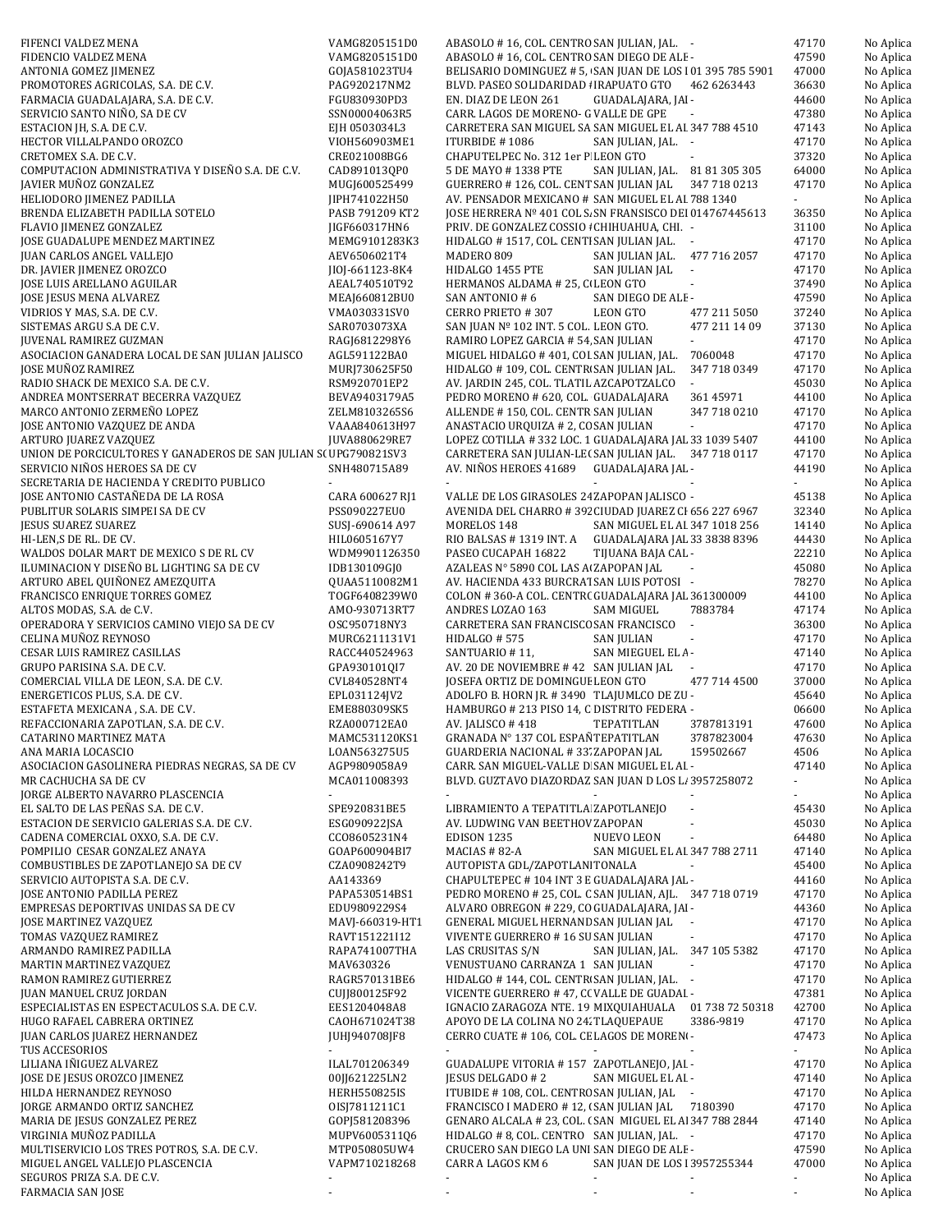| FIFENCI VALDEZ MENA                                                               | VAMG8205151D0                  | ABASOLO #16, COL. CENTRO SAN JULIAN, JAL. -                                                      |                                        | 47170                   | No Aplica              |
|-----------------------------------------------------------------------------------|--------------------------------|--------------------------------------------------------------------------------------------------|----------------------------------------|-------------------------|------------------------|
| FIDENCIO VALDEZ MENA                                                              | VAMG8205151D0                  | ABASOLO #16, COL. CENTRO SAN DIEGO DE ALE -                                                      |                                        | 47590                   | No Aplica              |
| ANTONIA GOMEZ JIMENEZ                                                             | GOJA581023TU4                  | BELISARIO DOMINGUEZ # 5, SAN JUAN DE LOS 101 395 785 5901                                        |                                        | 47000                   | No Aplica              |
| PROMOTORES AGRICOLAS, S.A. DE C.V.                                                | PAG920217NM2                   | BLVD. PASEO SOLIDARIDAD : IRAPUATO GTO 462 6263443                                               |                                        | 36630                   | No Aplica              |
| FARMACIA GUADALAJARA, S.A. DE C.V.<br>SERVICIO SANTO NIÑO, SA DE CV               | FGU830930PD3<br>SSN00004063R5  | EN. DIAZ DE LEON 261<br>CARR. LAGOS DE MORENO- G VALLE DE GPE                                    | GUADALAJARA, JAI -                     | 44600<br>47380          | No Aplica<br>No Aplica |
| ESTACION JH, S.A. DE C.V.                                                         | EJH 0503034L3                  | CARRETERA SAN MIGUEL SA SAN MIGUEL EL AI 347 788 4510                                            |                                        | 47143                   | No Aplica              |
| HECTOR VILLALPANDO OROZCO                                                         | VIOH560903ME1                  | ITURBIDE #1086                                                                                   | SAN JULIAN, JAL. -                     | 47170                   | No Aplica              |
| CRETOMEX S.A. DE C.V.                                                             | CRE021008BG6                   | CHAPUTELPEC No. 312 1er P LEON GTO                                                               |                                        | 37320                   | No Aplica              |
| COMPUTACION ADMINISTRATIVA Y DISEÑO S.A. DE C.V.                                  | CAD891013QP0                   | 5 DE MAYO # 1338 PTE                                                                             | SAN JULIAN, JAL. 81 81 305 305         | 64000                   | No Aplica              |
| JAVIER MUÑOZ GONZALEZ                                                             | MUGJ600525499                  | GUERRERO # 126, COL. CENT SAN JULIAN JAL                                                         | 347 718 0213                           | 47170                   | No Aplica              |
| HELIODORO JIMENEZ PADILLA                                                         | JIPH741022H50                  | AV. PENSADOR MEXICANO # SAN MIGUEL EL AI 788 1340                                                |                                        | ÷.                      | No Aplica              |
| BRENDA ELIZABETH PADILLA SOTELO                                                   | PASB 791209 KT2                | JOSE HERRERA Nº 401 COL S. SN FRANSISCO DEI 014767445613                                         |                                        | 36350                   | No Aplica              |
| FLAVIO JIMENEZ GONZALEZ<br>JOSE GUADALUPE MENDEZ MARTINEZ                         | IIGF660317HN6<br>MEMG9101283K3 | PRIV. DE GONZALEZ COSSIO : CHIHUAHUA, CHI. -<br>HIDALGO #1517, COL. CENTI SAN JULIAN JAL. -      |                                        | 31100<br>47170          | No Aplica<br>No Aplica |
| JUAN CARLOS ANGEL VALLEJO                                                         | AEV6506021T4                   | MADERO 809                                                                                       | SAN JULIAN JAL.<br>477 716 2057        | 47170                   | No Aplica              |
| DR. JAVIER JIMENEZ OROZCO                                                         | JI0J-661123-8K4                | HIDALGO 1455 PTE                                                                                 | SAN JULIAN JAL<br>$\sim$               | 47170                   | No Aplica              |
| JOSE LUIS ARELLANO AGUILAR                                                        | AEAL740510T92                  | HERMANOS ALDAMA # 25, C LEON GTO                                                                 | $\blacksquare$                         | 37490                   | No Aplica              |
| JOSE JESUS MENA ALVAREZ                                                           | MEAJ660812BU0                  | SAN ANTONIO # 6                                                                                  | SAN DIEGO DE ALE-                      | 47590                   | No Aplica              |
| VIDRIOS Y MAS, S.A. DE C.V.                                                       | VMA030331SV0                   | CERRO PRIETO #307                                                                                | LEON GTO<br>477 211 5050               | 37240                   | No Aplica              |
| SISTEMAS ARGU S.A DE C.V.                                                         | SAR0703073XA                   | SAN JUAN Nº 102 INT. 5 COL. LEON GTO.                                                            | 477 211 14 09                          | 37130                   | No Aplica              |
| <b>JUVENAL RAMIREZ GUZMAN</b><br>ASOCIACION GANADERA LOCAL DE SAN JULIAN JALISCO  | RAGJ6812298Y6<br>AGL591122BA0  | RAMIRO LOPEZ GARCIA # 54 SAN JULIAN<br>MIGUEL HIDALGO # 401, COI SAN JULIAN, JAL.                | 7060048                                | 47170<br>47170          | No Aplica<br>No Aplica |
| JOSE MUÑOZ RAMIREZ                                                                | MURJ730625F50                  | HIDALGO #109, COL. CENTR SAN JULIAN JAL.                                                         | 347 718 0349                           | 47170                   | No Aplica              |
| RADIO SHACK DE MEXICO S.A. DE C.V.                                                | RSM920701EP2                   | AV. JARDIN 245, COL. TLATIL AZCAPOTZALCO                                                         | $\omega$                               | 45030                   | No Aplica              |
| ANDREA MONTSERRAT BECERRA VAZQUEZ                                                 | BEVA9403179A5                  | PEDRO MORENO # 620, COL. GUADALAJARA                                                             | 361 45971                              | 44100                   | No Aplica              |
| MARCO ANTONIO ZERMEÑO LOPEZ                                                       | ZELM8103265S6                  | ALLENDE #150, COL. CENTR SAN JULIAN                                                              | 347 718 0210                           | 47170                   | No Aplica              |
| JOSE ANTONIO VAZQUEZ DE ANDA                                                      | VAAA840613H97                  | ANASTACIO URQUIZA # 2, CC SAN JULIAN                                                             |                                        | 47170                   | No Aplica              |
| ARTURO JUAREZ VAZQUEZ                                                             | JUVA880629RE7                  | LOPEZ COTILLA #332 LOC. 1 GUADALAJARA JAL 33 1039 5407                                           |                                        | 44100                   | No Aplica              |
| UNION DE PORCICULTORES Y GANADEROS DE SAN JULIAN S(UPG790821SV3                   |                                | CARRETERA SAN JULIAN-LE(SAN JULIAN JAL. 347 718 0117                                             |                                        | 47170                   | No Aplica              |
| SERVICIO NIÑOS HEROES SA DE CV<br>SECRETARIA DE HACIENDA Y CREDITO PUBLICO        | SNH480715A89                   | AV. NIÑOS HEROES 41689 GUADALAJARA JAL -                                                         |                                        | 44190<br>$\blacksquare$ | No Aplica<br>No Aplica |
| JOSE ANTONIO CASTAÑEDA DE LA ROSA                                                 | CARA 600627 RJ1                | VALLE DE LOS GIRASOLES 24 ZAPOPAN JALISCO -                                                      |                                        | 45138                   | No Aplica              |
| PUBLITUR SOLARIS SIMPEI SA DE CV                                                  | PSS090227EU0                   | AVENIDA DEL CHARRO #392 CIUDAD JUAREZ CI 656 227 6967                                            |                                        | 32340                   | No Aplica              |
| <b>JESUS SUAREZ SUAREZ</b>                                                        | SUSJ-690614 A97                | MORELOS 148                                                                                      | SAN MIGUEL EL AI 347 1018 256          | 14140                   | No Aplica              |
| HI-LEN, SDE RL. DE CV.                                                            | HIL0605167Y7                   | RIO BALSAS #1319 INT. A GUADALAJARA JAL 33 3838 8396                                             |                                        | 44430                   | No Aplica              |
| WALDOS DOLAR MART DE MEXICO S DE RL CV                                            | WDM9901126350                  | PASEO CUCAPAH 16822                                                                              | TIJUANA BAJA CAL -                     | 22210                   | No Aplica              |
| ILUMINACION Y DISEÑO BL LIGHTING SA DE CV                                         | IDB130109GJ0                   | AZALEAS Nº 5890 COL LAS A ZAPOPAN JAL                                                            |                                        | 45080                   | No Aplica              |
| ARTURO ABEL QUIÑONEZ AMEZQUITA<br>FRANCISCO ENRIQUE TORRES GOMEZ                  | QUAA5110082M1                  | AV. HACIENDA 433 BURCRAT SAN LUIS POTOSI -<br>COLON #360-A COL. CENTR( GUADALAJARA JAL 361300009 |                                        | 78270<br>44100          | No Aplica              |
| ALTOS MODAS, S.A. de C.V.                                                         | TOGF6408239W0<br>AMO-930713RT7 | ANDRES LOZAO 163                                                                                 | 7883784<br><b>SAM MIGUEL</b>           | 47174                   | No Aplica<br>No Aplica |
| OPERADORA Y SERVICIOS CAMINO VIEJO SA DE CV                                       | OSC950718NY3                   | CARRETERA SAN FRANCISCC SAN FRANCISCO                                                            | $\sim$                                 | 36300                   | No Aplica              |
| CELINA MUÑOZ REYNOSO                                                              | MURC6211131V1                  | HIDALGO # 575                                                                                    | <b>SAN JULIAN</b><br>$\blacksquare$    | 47170                   | No Aplica              |
| CESAR LUIS RAMIREZ CASILLAS                                                       | RACC440524963                  | SANTUARIO #11,                                                                                   | SAN MIEGUEL EL A-                      | 47140                   | No Aplica              |
| GRUPO PARISINA S.A. DE C.V.                                                       | GPA9301010I7                   | AV. 20 DE NOVIEMBRE #42 SAN JULIAN JAL                                                           |                                        | 47170                   | No Aplica              |
| COMERCIAL VILLA DE LEON, S.A. DE C.V.                                             | CVL840528NT4                   | JOSEFA ORTIZ DE DOMINGUE LEON GTO                                                                | 477 714 4500                           | 37000                   | No Aplica              |
| ENERGETICOS PLUS, S.A. DE C.V.<br>ESTAFETA MEXICANA, S.A. DE C.V.                 | EPL031124JV2<br>EME880309SK5   | ADOLFO B. HORN JR. #3490 TLAJUMLCO DE ZU -<br>HAMBURGO # 213 PISO 14, C DISTRITO FEDERA -        |                                        | 45640<br>06600          | No Aplica              |
| REFACCIONARIA ZAPOTLAN, S.A. DE C.V.                                              | RZA000712EA0                   | AV. JALISCO #418                                                                                 | TEPATITLAN<br>3787813191               | 47600                   | No Aplica<br>No Aplica |
| CATARINO MARTINEZ MATA                                                            | MAMC531120KS1                  | GRANADA N° 137 COL ESPAN TEPATITLAN                                                              | 3787823004                             | 47630                   | No Aplica              |
| ANA MARIA LOCASCIO                                                                | LOAN563275U5                   | GUARDERIA NACIONAL #33' ZAPOPAN JAL                                                              | 159502667                              | 4506                    | No Aplica              |
| ASOCIACION GASOLINERA PIEDRAS NEGRAS, SA DE CV                                    | AGP9809058A9                   | CARR. SAN MIGUEL-VALLE D SAN MIGUEL EL AI -                                                      |                                        | 47140                   | No Aplica              |
| MR CACHUCHA SA DE CV                                                              | MCA011008393                   | BLVD. GUZTAVO DIAZORDAZ SAN JUAN D LOS L. 3957258072                                             |                                        | ÷.                      | No Aplica              |
| JORGE ALBERTO NAVARRO PLASCENCIA                                                  | $\blacksquare$                 | $\sim$                                                                                           |                                        | $\blacksquare$          | No Aplica              |
| EL SALTO DE LAS PEÑAS S.A. DE C.V.                                                | SPE920831BE5                   | LIBRAMIENTO A TEPATITLA ZAPOTLANEJO                                                              |                                        | 45430                   | No Aplica              |
| ESTACION DE SERVICIO GALERIAS S.A. DE C.V.<br>CADENA COMERCIAL OXXO, S.A. DE C.V. | ESG090922JSA<br>CC08605231N4   | AV. LUDWING VAN BEETHOV ZAPOPAN<br>EDISON 1235                                                   | NUEVO LEON<br>$\overline{\phantom{a}}$ | 45030<br>64480          | No Aplica<br>No Aplica |
| POMPILIO CESAR GONZALEZ ANAYA                                                     | GOAP600904BI7                  | MACIAS # 82-A                                                                                    | SAN MIGUEL EL AI 347 788 2711          | 47140                   | No Aplica              |
| COMBUSTIBLES DE ZAPOTLANEJO SA DE CV                                              | CZA0908242T9                   | AUTOPISTA GDL/ZAPOTLAN TONALA                                                                    |                                        | 45400                   | No Aplica              |
| SERVICIO AUTOPISTA S.A. DE C.V.                                                   | AA143369                       | CHAPULTEPEC #104 INT 3 E GUADALAJARA JAL -                                                       |                                        | 44160                   | No Aplica              |
| JOSE ANTONIO PADILLA PEREZ                                                        | PAPA530514BS1                  | PEDRO MORENO # 25, COL. C SAN JULIAN, AJL. 347 718 0719                                          |                                        | 47170                   | No Aplica              |
| EMPRESAS DEPORTIVAS UNIDAS SA DE CV                                               | EDU9809229S4                   | ALVARO OBREGON # 229, CO GUADALAJARA, JAI -                                                      |                                        | 44360                   | No Aplica              |
| <b>JOSE MARTINEZ VAZQUEZ</b>                                                      | MAVJ-660319-HT1                | GENERAL MIGUEL HERNAND SAN JULIAN JAL -                                                          |                                        | 47170                   | No Aplica              |
| TOMAS VAZQUEZ RAMIREZ<br>ARMANDO RAMIREZ PADILLA                                  | RAVT151221I12<br>RAPA741007THA | VIVENTE GUERRERO # 16 SU SAN JULIAN<br>LAS CRUSITAS S/N                                          | SAN JULIAN, JAL. 347 105 5382          | 47170<br>47170          | No Aplica              |
| <b>MARTIN MARTINEZ VAZQUEZ</b>                                                    | MAV630326                      | VENUSTUANO CARRANZA 1 SAN JULIAN                                                                 | $\sim$                                 | 47170                   | No Aplica<br>No Aplica |
| RAMON RAMIREZ GUTIERREZ                                                           | RAGR570131BE6                  | HIDALGO # 144, COL. CENTR SAN JULIAN, JAL. -                                                     |                                        | 47170                   | No Aplica              |
| <b>JUAN MANUEL CRUZ JORDAN</b>                                                    | CUJJ800125F92                  | VICENTE GUERRERO #47, CC VALLE DE GUADAI -                                                       |                                        | 47381                   | No Aplica              |
| ESPECIALISTAS EN ESPECTACULOS S.A. DE C.V.                                        | EES1204048A8                   | IGNACIO ZARAGOZA NTE. 19 MIXQUIAHUALA 01 738 72 50318                                            |                                        | 42700                   | No Aplica              |
| HUGO RAFAEL CABRERA ORTINEZ                                                       | CAOH671024T38                  | APOYO DE LA COLINA NO 24. TLAQUEPAUE                                                             | 3386-9819                              | 47170                   | No Aplica              |
| JUAN CARLOS JUAREZ HERNANDEZ                                                      | JUHJ940708JF8                  | CERRO CUATE # 106, COL. CE LAGOS DE MORENO-                                                      |                                        | 47473                   | No Aplica              |
| TUS ACCESORIOS                                                                    |                                |                                                                                                  |                                        | ÷.                      | No Aplica              |
| LILIANA IÑIGUEZ ALVAREZ<br>JOSE DE JESUS OROZCO JIMENEZ                           | ILAL701206349<br>00JJ621225LN2 | GUADALUPE VITORIA #157 ZAPOTLANEJO, JAI -<br>JESUS DELGADO # 2                                   | SAN MIGUEL EL AI -                     | 47170<br>47140          | No Aplica<br>No Aplica |
| HILDA HERNANDEZ REYNOSO                                                           | <b>HERH550825IS</b>            | ITUBIDE #108, COL. CENTRC SAN JULIAN, JAL -                                                      |                                        | 47170                   | No Aplica              |
| JORGE ARMANDO ORTIZ SANCHEZ                                                       | 0ISJ7811211C1                  | FRANCISCO I MADERO # 12, (SAN JULIAN JAL                                                         | 7180390                                | 47170                   | No Aplica              |
| MARIA DE JESUS GONZALEZ PEREZ                                                     | GOPJ581208396                  | GENARO ALCALA # 23, COL. (SAN MIGUEL EL A 347 788 2844                                           |                                        | 47140                   | No Aplica              |
| VIRGINIA MUÑOZ PADILLA                                                            | MUPV6005311Q6                  | HIDALGO # 8, COL. CENTRO SAN JULIAN, JAL. -                                                      |                                        | 47170                   | No Aplica              |
| MULTISERVICIO LOS TRES POTROS, S.A. DE C.V.                                       | MTP050805UW4                   | CRUCERO SAN DIEGO LA UNI SAN DIEGO DE ALE -                                                      |                                        | 47590                   | No Aplica              |
| MIGUEL ANGEL VALLEJO PLASCENCIA<br>SEGUROS PRIZA S.A. DE C.V.                     | VAPM710218268                  | CARR A LAGOS KM 6                                                                                | SAN JUAN DE LOS 13957255344            | 47000                   | No Aplica<br>No Aplica |
| FARMACIA SAN JOSE                                                                 |                                |                                                                                                  |                                        |                         | No Aplica              |
|                                                                                   |                                |                                                                                                  |                                        |                         |                        |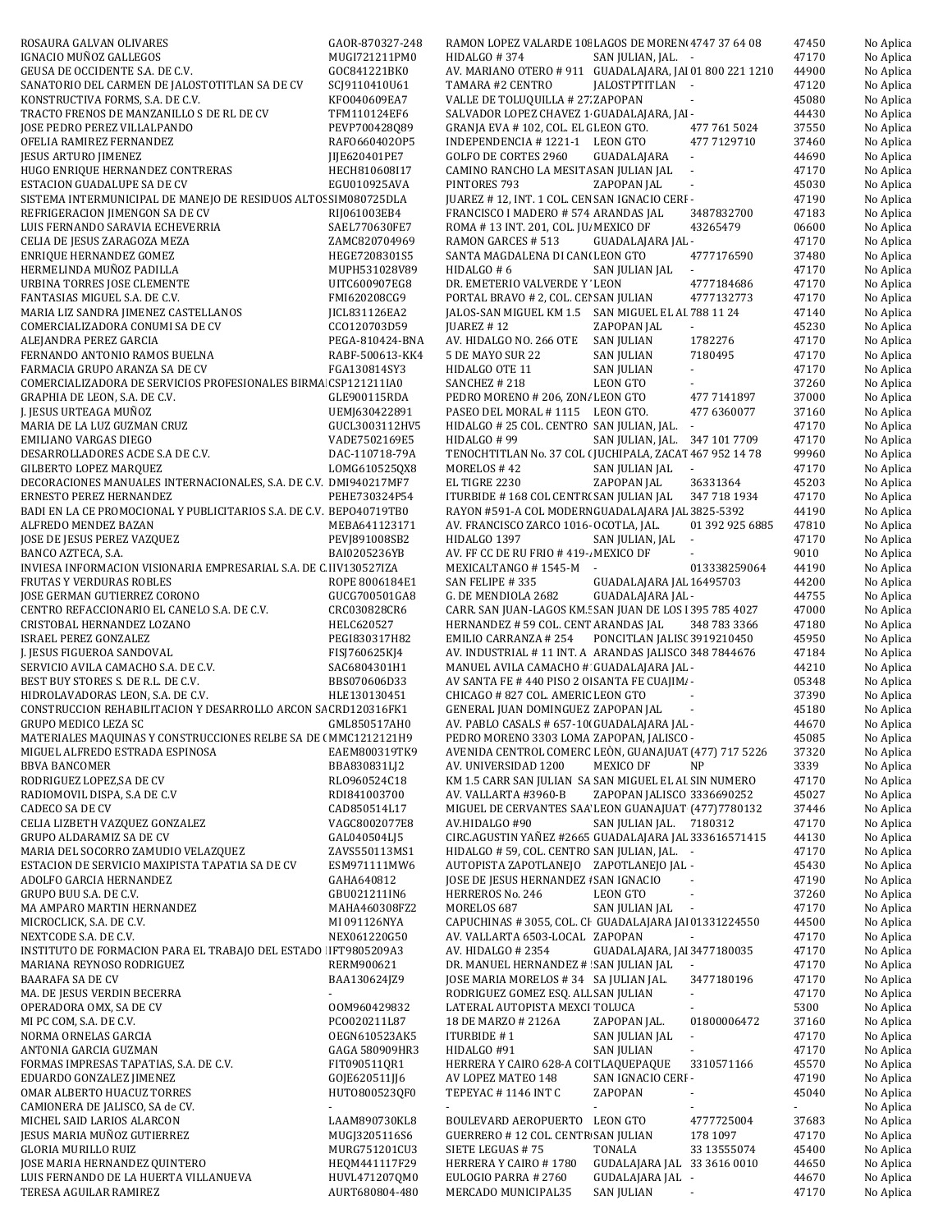| ROSAURA GALVAN OLIVARES                                                                            | GAOR-870327-248                 | RAMON LOPEZ VALARDE 108 LAGOS DE MOREN 4747 37 64 08                                     |                                                 |                          | 47450          | No Aplica              |
|----------------------------------------------------------------------------------------------------|---------------------------------|------------------------------------------------------------------------------------------|-------------------------------------------------|--------------------------|----------------|------------------------|
| IGNACIO MUÑOZ GALLEGOS                                                                             | MUGI721211PM0                   | HIDALGO #374                                                                             | SAN JULIAN, JAL. -                              |                          | 47170          | No Aplica              |
| GEUSA DE OCCIDENTE S.A. DE C.V.                                                                    | GOC841221BK0                    | AV. MARIANO OTERO #911 GUADALAJARA, JAI 01 800 221 1210                                  |                                                 |                          | 44900          | No Aplica              |
| SANATORIO DEL CARMEN DE JALOSTOTITLAN SA DE CV<br>KONSTRUCTIVA FORMS, S.A. DE C.V.                 | SCJ9110410U61<br>KF0040609EA7   | TAMARA #2 CENTRO<br>VALLE DE TOLUQUILLA # 27 ZAPOPAN                                     | JALOSTPTITLAN -                                 |                          | 47120<br>45080 | No Aplica<br>No Aplica |
| TRACTO FRENOS DE MANZANILLO S DE RL DE CV                                                          | TFM110124EF6                    | SALVADOR LOPEZ CHAVEZ 1 GUADALAJARA, JAI-                                                |                                                 |                          | 44430          | No Aplica              |
| JOSE PEDRO PEREZ VILLALPANDO                                                                       | PEVP700428Q89                   | GRANJA EVA #102, COL. EL (LEON GTO.                                                      |                                                 | 477 761 5024             | 37550          | No Aplica              |
| OFELIA RAMIREZ FERNANDEZ                                                                           | RAF06604020P5                   | INDEPENDENCIA #1221-1 LEON GTO                                                           |                                                 | 477 7129710              | 37460          | No Aplica              |
| JESUS ARTURO JIMENEZ                                                                               | JIJE620401PE7                   | <b>GOLFO DE CORTES 2960</b>                                                              | GUADALAJARA                                     | $\overline{\phantom{a}}$ | 44690          | No Aplica              |
| HUGO ENRIQUE HERNANDEZ CONTRERAS                                                                   | HECH810608I17                   | CAMINO RANCHO LA MESITA SAN JULIAN JAL                                                   |                                                 | $\overline{\phantom{a}}$ | 47170          | No Aplica              |
| ESTACION GUADALUPE SA DE CV                                                                        | EGU010925AVA                    | PINTORES 793                                                                             | ZAPOPAN JAL                                     | $\sim$                   | 45030          | No Aplica              |
| SISTEMA INTERMUNICIPAL DE MANEJO DE RESIDUOS ALTOS SIM080725DLA<br>REFRIGERACION JIMENGON SA DE CV | RIJ061003EB4                    | JUAREZ #12, INT. 1 COL. CEN SAN IGNACIO CERI -<br>FRANCISCO I MADERO # 574 ARANDAS JAL   |                                                 | 3487832700               | 47190<br>47183 | No Aplica<br>No Aplica |
| LUIS FERNANDO SARAVIA ECHEVERRIA                                                                   | SAEL770630FE7                   | ROMA # 13 INT. 201, COL. JU, MEXICO DF                                                   |                                                 | 43265479                 | 06600          | No Aplica              |
| CELIA DE JESUS ZARAGOZA MEZA                                                                       | ZAMC820704969                   | RAMON GARCES # 513                                                                       | GUADALAJARA JAL -                               |                          | 47170          | No Aplica              |
| ENRIQUE HERNANDEZ GOMEZ                                                                            | HEGE7208301S5                   | SANTA MAGDALENA DI CAN(LEON GTO                                                          |                                                 | 4777176590               | 37480          | No Aplica              |
| HERMELINDA MUÑOZ PADILLA                                                                           | MUPH531028V89                   | HIDALGO #6                                                                               | SAN JULIAN JAL                                  |                          | 47170          | No Aplica              |
| URBINA TORRES JOSE CLEMENTE                                                                        | UITC600907EG8                   | DR. EMETERIO VALVERDE Y LEON                                                             |                                                 | 4777184686               | 47170          | No Aplica              |
| FANTASIAS MIGUEL S.A. DE C.V.                                                                      | FMI620208CG9                    | PORTAL BRAVO # 2, COL. CEI SAN JULIAN                                                    |                                                 | 4777132773               | 47170          | No Aplica              |
| MARIA LIZ SANDRA JIMENEZ CASTELLANOS<br>COMERCIALIZADORA CONUMI SA DE CV                           | JICL831126EA2<br>CC0120703D59   | JALOS-SAN MIGUEL KM 1.5 SAN MIGUEL EL AI 788 11 24<br>JUAREZ # 12                        | ZAPOPAN JAL                                     | $\mathbb{Z}^+$           | 47140<br>45230 | No Aplica<br>No Aplica |
| ALEJANDRA PEREZ GARCIA                                                                             | PEGA-810424-BNA                 | AV. HIDALGO NO. 266 OTE                                                                  | <b>SAN JULIAN</b>                               | 1782276                  | 47170          | No Aplica              |
| FERNANDO ANTONIO RAMOS BUELNA                                                                      | RABF-500613-KK4                 | 5 DE MAYO SUR 22                                                                         | <b>SAN JULIAN</b>                               | 7180495                  | 47170          | No Aplica              |
| FARMACIA GRUPO ARANZA SA DE CV                                                                     | FGA130814SY3                    | HIDALGO OTE 11                                                                           | SAN JULIAN                                      |                          | 47170          | No Aplica              |
| COMERCIALIZADORA DE SERVICIOS PROFESIONALES BIRMA CSP121211IA0                                     |                                 | SANCHEZ # 218                                                                            | LEON GTO                                        |                          | 37260          | No Aplica              |
| GRAPHIA DE LEON, S.A. DE C.V.                                                                      | GLE900115RDA                    | PEDRO MORENO # 206, ZON/ LEON GTO                                                        |                                                 | 477 7141897              | 37000          | No Aplica              |
| J. JESUS URTEAGA MUÑOZ                                                                             | UEMJ630422891                   | PASEO DEL MORAL #1115 LEON GTO.                                                          |                                                 | 477 6360077              | 37160          | No Aplica              |
| MARIA DE LA LUZ GUZMAN CRUZ                                                                        | GUCL3003112HV5                  | HIDALGO # 25 COL. CENTRO SAN JULIAN, JAL. -                                              |                                                 |                          | 47170          | No Aplica              |
| EMILIANO VARGAS DIEGO<br>DESARROLLADORES ACDE S.A DE C.V.                                          | VADE7502169E5<br>DAC-110718-79A | HIDALGO # 99<br>TENOCHTITLAN No. 37 COL (JUCHIPALA, ZACAT 467 952 14 78                  | SAN JULIAN, JAL. 347 101 7709                   |                          | 47170<br>99960 | No Aplica<br>No Aplica |
| <b>GILBERTO LOPEZ MARQUEZ</b>                                                                      | LOMG6105250X8                   | MORELOS #42                                                                              | SAN JULIAN JAL                                  | $\overline{\phantom{a}}$ | 47170          | No Aplica              |
| DECORACIONES MANUALES INTERNACIONALES, S.A. DE C.V. DMI940217MF7                                   |                                 | EL TIGRE 2230                                                                            | ZAPOPAN JAL                                     | 36331364                 | 45203          | No Aplica              |
| ERNESTO PEREZ HERNANDEZ                                                                            | PEHE730324P54                   | ITURBIDE #168 COL CENTR(SAN JULIAN JAL                                                   |                                                 | 347 718 1934             | 47170          | No Aplica              |
| BADI EN LA CE PROMOCIONAL Y PUBLICITARIOS S.A. DE C.V. BEPO40719TB0                                |                                 | RAYON #591-A COL MODERN GUADALAJARA JAL 3825-5392                                        |                                                 |                          | 44190          | No Aplica              |
| ALFREDO MENDEZ BAZAN                                                                               | MEBA641123171                   | AV. FRANCISCO ZARCO 1016- OCOTLA, JAL.                                                   |                                                 | 01 392 925 6885          | 47810          | No Aplica              |
| JOSE DE JESUS PEREZ VAZQUEZ                                                                        | PEVJ891008SB2                   | HIDALGO 1397                                                                             | SAN JULIAN, JAL                                 | $\overline{\phantom{a}}$ | 47170          | No Aplica              |
| BANCO AZTECA, S.A.<br>INVIESA INFORMACION VISIONARIA EMPRESARIAL S.A. DE C IIV130527IZA            | BAI0205236YB                    | AV. FF CC DE RU FRIO # 419-. MEXICO DF<br>MEXICALTANGO #1545-M -                         |                                                 | 013338259064             | 9010<br>44190  | No Aplica              |
| <b>FRUTAS Y VERDURAS ROBLES</b>                                                                    | ROPE 8006184E1                  | SAN FELIPE #335                                                                          | GUADALAJARA JAL 16495703                        |                          | 44200          | No Aplica<br>No Aplica |
| JOSE GERMAN GUTIERREZ CORONO                                                                       | GUCG700501GA8                   | G. DE MENDIOLA 2682                                                                      | GUADALAJARA JAL -                               |                          | 44755          | No Aplica              |
| CENTRO REFACCIONARIO EL CANELO S.A. DE C.V.                                                        | CRC030828CR6                    | CARR. SAN JUAN-LAGOS KM. SAN JUAN DE LOS 1395 785 4027                                   |                                                 |                          | 47000          | No Aplica              |
| CRISTOBAL HERNANDEZ LOZANO                                                                         | HELC620527                      | HERNANDEZ # 59 COL. CENT ARANDAS JAL                                                     |                                                 | 348 783 3366             | 47180          | No Aplica              |
| <b>ISRAEL PEREZ GONZALEZ</b>                                                                       | PEGI830317H82                   | EMILIO CARRANZA # 254                                                                    | PONCITLAN JALIS(3919210450                      |                          | 45950          | No Aplica              |
| J. JESUS FIGUEROA SANDOVAL                                                                         | FISJ760625KJ4                   | AV. INDUSTRIAL #11 INT. A ARANDAS JALISCO 348 7844676                                    |                                                 |                          | 47184          | No Aplica              |
| SERVICIO AVILA CAMACHO S.A. DE C.V.                                                                | SAC6804301H1                    | MANUEL AVILA CAMACHO # GUADALAJARA JAL -                                                 |                                                 |                          | 44210          | No Aplica              |
| BEST BUY STORES S. DE R.L. DE C.V.<br>HIDROLAVADORAS LEON, S.A. DE C.V.                            | BBS070606D33<br>HLE130130451    | AV SANTA FE # 440 PISO 2 O SANTA FE CUAJIMI -<br>CHICAGO # 827 COL. AMERIC LEON GTO      |                                                 |                          | 05348<br>37390 | No Aplica              |
| CONSTRUCCION REHABILITACION Y DESARROLLO ARCON SA CRD120316FK1                                     |                                 | GENERAL JUAN DOMINGUEZ ZAPOPAN JAL                                                       |                                                 | $\sim$                   | 45180          | No Aplica<br>No Aplica |
| GRUPO MEDICO LEZA SC                                                                               | GML850517AH0                    | AV. PABLO CASALS # 657-10 GUADALAJARA JAL -                                              |                                                 |                          | 44670          | No Aplica              |
| MATERIALES MAQUINAS Y CONSTRUCCIONES RELBE SA DE (MMC1212121H9                                     |                                 | PEDRO MORENO 3303 LOMA ZAPOPAN, JALISCO -                                                |                                                 |                          | 45085          | No Aplica              |
| MIGUEL ALFREDO ESTRADA ESPINOSA                                                                    | EAEM800319TK9                   | AVENIDA CENTROL COMERC LEÒN, GUANAJUAT (477) 717 5226                                    |                                                 |                          | 37320          | No Aplica              |
| <b>BBVA BANCOMER</b>                                                                               | BBA830831LJ2                    | AV. UNIVERSIDAD 1200                                                                     | MEXICO DF                                       | <b>NP</b>                | 3339           | No Aplica              |
| RODRIGUEZ LOPEZ, SA DE CV                                                                          | RL0960524C18                    | KM 1.5 CARR SAN JULIAN SA SAN MIGUEL EL AI SIN NUMERO                                    |                                                 |                          | 47170          | No Aplica              |
| RADIOMOVIL DISPA, S.A DE C.V                                                                       | RDI841003700                    | AV. VALLARTA #3960-B                                                                     | ZAPOPAN JALISCO 3336690252                      |                          | 45027          | No Aplica              |
| CADECO SA DE CV<br>CELIA LIZBETH VAZQUEZ GONZALEZ                                                  | CAD850514L17<br>VAGC8002077E8   | MIGUEL DE CERVANTES SAA LEON GUANAJUAT (477)7780132<br>AV.HIDALGO #90                    | SAN JULIAN JAL. 7180312                         |                          | 37446<br>47170 | No Aplica<br>No Aplica |
| GRUPO ALDARAMIZ SA DE CV                                                                           | GAL040504LJ5                    | CIRC.AGUSTIN YAÑEZ #2665 GUADALAJARA JAL 333616571415                                    |                                                 |                          | 44130          | No Aplica              |
| MARIA DEL SOCORRO ZAMUDIO VELAZQUEZ                                                                | ZAVS550113MS1                   | HIDALGO # 59, COL. CENTRO SAN JULIAN, JAL. -                                             |                                                 |                          | 47170          | No Aplica              |
| ESTACION DE SERVICIO MAXIPISTA TAPATIA SA DE CV                                                    | ESM971111MW6                    | AUTOPISTA ZAPOTLANEJO ZAPOTLANEJO JAL -                                                  |                                                 |                          | 45430          | No Aplica              |
| ADOLFO GARCIA HERNANDEZ                                                                            | GAHA640812                      | JOSE DE JESUS HERNANDEZ I SAN IGNACIO                                                    |                                                 | $\sim$                   | 47190          | No Aplica              |
| GRUPO BUU S.A. DE C.V.                                                                             | GBU021211IN6                    | HERREROS No. 246                                                                         | LEON GTO                                        |                          | 37260          | No Aplica              |
| MA AMPARO MARTIN HERNANDEZ                                                                         | MAHA460308FZ2                   | MORELOS 687                                                                              | SAN JULIAN JAL                                  |                          | 47170          | No Aplica              |
| MICROCLICK, S.A. DE C.V.<br>NEXTCODE S.A. DE C.V.                                                  | MI 091126NYA<br>NEX061220G50    | CAPUCHINAS #3055, COL. CI GUADALAJARA JAI 01331224550<br>AV. VALLARTA 6503-LOCAL ZAPOPAN |                                                 |                          | 44500<br>47170 | No Aplica<br>No Aplica |
| INSTITUTO DE FORMACION PARA EL TRABAJO DEL ESTADO IFT9805209A3                                     |                                 | AV. HIDALGO # 2354                                                                       | GUADALAJARA, JAI 3477180035                     |                          | 47170          | No Aplica              |
| MARIANA REYNOSO RODRIGUEZ                                                                          | RERM900621                      | DR. MANUEL HERNANDEZ # SAN JULIAN JAL                                                    |                                                 |                          | 47170          | No Aplica              |
| <b>BAARAFA SA DE CV</b>                                                                            | BAA130624JZ9                    | JOSE MARIA MORELOS #34 SA JULIAN JAL.                                                    |                                                 | 3477180196               | 47170          | No Aplica              |
| MA. DE JESUS VERDIN BECERRA                                                                        |                                 | RODRIGUEZ GOMEZ ESQ. ALI SAN JULIAN                                                      |                                                 | $\blacksquare$           | 47170          | No Aplica              |
| OPERADORA OMX, SA DE CV                                                                            | 00M960429832                    | LATERAL AUTOPISTA MEXCI TOLUCA                                                           |                                                 | $\blacksquare$           | 5300           | No Aplica              |
| MI PC COM, S.A. DE C.V.                                                                            | PC0020211L87                    | 18 DE MARZO # 2126A                                                                      | ZAPOPAN JAL.                                    | 01800006472              | 37160          | No Aplica              |
| NORMA ORNELAS GARCIA                                                                               | OEGN610523AK5                   | ITURBIDE #1                                                                              | SAN JULIAN JAL                                  | $\blacksquare$           | 47170          | No Aplica              |
| ANTONIA GARCIA GUZMAN<br>FORMAS IMPRESAS TAPATIAS, S.A. DE C.V.                                    | GAGA 580909HR3<br>FIT090511QR1  | HIDALGO #91<br>HERRERA Y CAIRO 628-A COI TLAQUEPAQUE                                     | <b>SAN JULIAN</b>                               | 3310571166               | 47170<br>45570 | No Aplica<br>No Aplica |
| EDUARDO GONZALEZ JIMENEZ                                                                           | GOJE620511JJ6                   | AV LOPEZ MATEO 148                                                                       | SAN IGNACIO CERI -                              |                          | 47190          | No Aplica              |
| OMAR ALBERTO HUACUZ TORRES                                                                         | HUT0800523QF0                   | TEPEYAC #1146 INT C                                                                      | ZAPOPAN                                         | $\blacksquare$           | 45040          | No Aplica              |
| CAMIONERA DE JALISCO, SA de CV.                                                                    |                                 |                                                                                          |                                                 |                          |                | No Aplica              |
| MICHEL SAID LARIOS ALARCON                                                                         | LAAM890730KL8                   | BOULEVARD AEROPUERTO LEON GTO                                                            |                                                 | 4777725004               | 37683          | No Aplica              |
| JESUS MARIA MUÑOZ GUTIERREZ                                                                        | MUGJ3205116S6                   | GUERRERO # 12 COL. CENTR SAN JULIAN                                                      |                                                 | 178 1097                 | 47170          | No Aplica              |
| GLORIA MURILLO RUIZ                                                                                | MURG751201CU3                   | SIETE LEGUAS #75                                                                         | TONALA                                          | 33 13555074              | 45400          | No Aplica              |
| JOSE MARIA HERNANDEZ QUINTERO<br>LUIS FERNANDO DE LA HUERTA VILLANUEVA                             | HEQM441117F29<br>HUVL471207QM0  | HERRERA Y CAIRO #1780<br>EULOGIO PARRA # 2760                                            | GUDALAJARA JAL 33 3616 0010<br>GUDALAJARA JAL - |                          | 44650<br>44670 | No Aplica<br>No Aplica |
| TERESA AGUILAR RAMIREZ                                                                             | AURT680804-480                  | MERCADO MUNICIPAL35                                                                      | SAN JULIAN                                      |                          | 47170          | No Aplica              |
|                                                                                                    |                                 |                                                                                          |                                                 |                          |                |                        |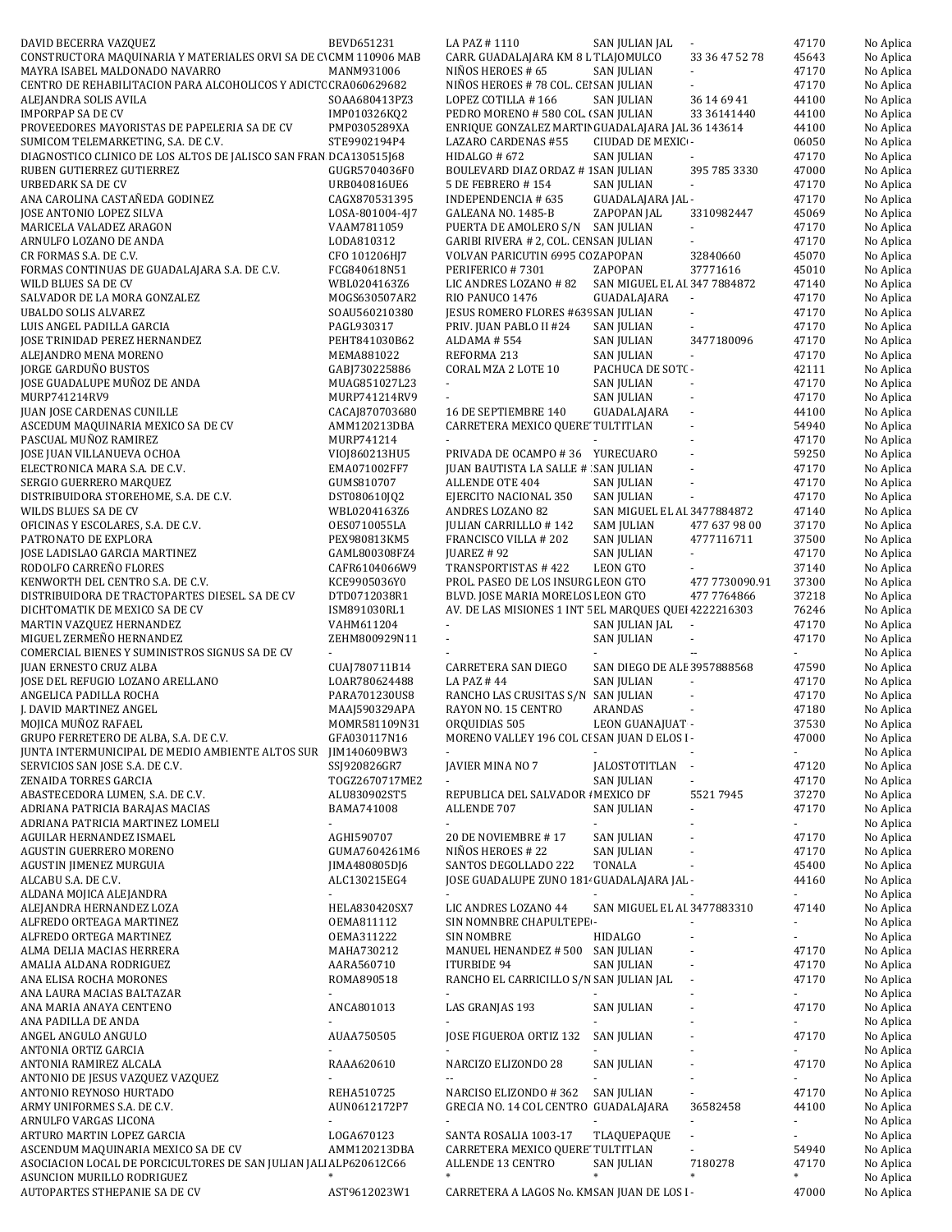| DAVID BECERRA VAZQUEZ                                                    | BEVD651231                     | LA PAZ #1110                                                                            | SAN JULIAN JAL                     |                          | 47170          | No Aplica              |
|--------------------------------------------------------------------------|--------------------------------|-----------------------------------------------------------------------------------------|------------------------------------|--------------------------|----------------|------------------------|
| CONSTRUCTORA MAQUINARIA Y MATERIALES ORVI SA DE C'CMM 110906 MAB         |                                | CARR. GUADALAJARA KM 8 L TLAJOMULCO                                                     |                                    | 33 36 47 52 78           | 45643          | No Aplica              |
| MAYRA ISABEL MALDONADO NAVARRO                                           | MANM931006                     | NIÑOS HEROES # 65                                                                       | SAN JULIAN                         |                          | 47170          | No Aplica              |
| CENTRO DE REHABILITACION PARA ALCOHOLICOS Y ADICTC CRA060629682          |                                | NIÑOS HEROES # 78 COL. CEI SAN JULIAN                                                   |                                    |                          | 47170          | No Aplica              |
| ALEJANDRA SOLIS AVILA                                                    | SOAA680413PZ3                  | LOPEZ COTILLA #166                                                                      | <b>SAN JULIAN</b>                  | 36 14 69 41              | 44100          | No Aplica              |
| <b>IMPORPAP SA DE CV</b><br>PROVEEDORES MAYORISTAS DE PAPELERIA SA DE CV | IMP010326KQ2<br>PMP0305289XA   | PEDRO MORENO #580 COL. (SAN JULIAN<br>ENRIQUE GONZALEZ MARTII GUADALAJARA JAL 36 143614 |                                    | 33 36141440              | 44100<br>44100 | No Aplica<br>No Aplica |
| SUMICOM TELEMARKETING, S.A. DE C.V.                                      | STE9902194P4                   | LAZARO CARDENAS #55                                                                     | CIUDAD DE MEXIC -                  |                          | 06050          | No Aplica              |
| DIAGNOSTICO CLINICO DE LOS ALTOS DE JALISCO SAN FRAN DCA130515J68        |                                | HIDALGO # 672                                                                           | <b>SAN JULIAN</b>                  |                          | 47170          | No Aplica              |
| RUBEN GUTIERREZ GUTIERREZ                                                | GUGR5704036F0                  | BOULEVARD DIAZ ORDAZ # 1 SAN JULIAN                                                     |                                    | 395 785 3330             | 47000          | No Aplica              |
| URBEDARK SA DE CV                                                        | URB040816UE6                   | 5 DE FEBRERO #154                                                                       | <b>SAN JULIAN</b>                  |                          | 47170          | No Aplica              |
| ANA CAROLINA CASTAÑEDA GODINEZ                                           | CAGX870531395                  | INDEPENDENCIA # 635                                                                     | GUADALAJARA JAL -                  |                          | 47170          | No Aplica              |
| JOSE ANTONIO LOPEZ SILVA                                                 | LOSA-801004-4J7                | GALEANA NO. 1485-B                                                                      | ZAPOPAN JAL                        | 3310982447               | 45069          | No Aplica              |
| MARICELA VALADEZ ARAGON                                                  | VAAM7811059                    | PUERTA DE AMOLERO S/N SAN JULIAN                                                        |                                    |                          | 47170          | No Aplica              |
| ARNULFO LOZANO DE ANDA                                                   | LODA810312                     | GARIBI RIVERA # 2, COL. CEN SAN JULIAN                                                  |                                    |                          | 47170          | No Aplica              |
| CR FORMAS S.A. DE C.V.                                                   | CFO 101206HJ7                  | VOLVAN PARICUTIN 6995 CC ZAPOPAN                                                        |                                    | 32840660                 | 45070          | No Aplica              |
| FORMAS CONTINUAS DE GUADALAJARA S.A. DE C.V.                             | FCG840618N51                   | PERIFERICO #7301                                                                        | ZAPOPAN                            | 37771616                 | 45010          | No Aplica              |
| WILD BLUES SA DE CV<br>SALVADOR DE LA MORA GONZALEZ                      | WBL0204163Z6<br>MOGS630507AR2  | LIC ANDRES LOZANO # 82<br>RIO PANUCO 1476                                               | SAN MIGUEL EL AI 347 7884872       | $\omega$                 | 47140<br>47170 | No Aplica              |
| UBALDO SOLIS ALVAREZ                                                     | SOAU560210380                  | JESUS ROMERO FLORES #635 SAN JULIAN                                                     | GUADALAJARA                        | $\overline{\phantom{a}}$ | 47170          | No Aplica<br>No Aplica |
| LUIS ANGEL PADILLA GARCIA                                                | PAGL930317                     | PRIV. JUAN PABLO II #24                                                                 | <b>SAN JULIAN</b>                  |                          | 47170          | No Aplica              |
| JOSE TRINIDAD PEREZ HERNANDEZ                                            | PEHT841030B62                  | ALDAMA #554                                                                             | <b>SAN JULIAN</b>                  | 3477180096               | 47170          | No Aplica              |
| ALEJANDRO MENA MORENO                                                    | MEMA881022                     | REFORMA 213                                                                             | SAN JULIAN                         | $\blacksquare$           | 47170          | No Aplica              |
| JORGE GARDUÑO BUSTOS                                                     | GABJ730225886                  | CORAL MZA 2 LOTE 10                                                                     | PACHUCA DE SOT(-                   |                          | 42111          | No Aplica              |
| JOSE GUADALUPE MUÑOZ DE ANDA                                             | MUAG851027L23                  | ÷.                                                                                      | SAN JULIAN                         |                          | 47170          | No Aplica              |
| MURP741214RV9                                                            | MURP741214RV9                  |                                                                                         | SAN JULIAN                         |                          | 47170          | No Aplica              |
| <b>JUAN JOSE CARDENAS CUNILLE</b>                                        | CACAJ870703680                 | 16 DE SEPTIEMBRE 140                                                                    | GUADALAJARA                        | $\sim$                   | 44100          | No Aplica              |
| ASCEDUM MAQUINARIA MEXICO SA DE CV                                       | AMM120213DBA                   | CARRETERA MEXICO QUERE' TULTITLAN                                                       |                                    | L.                       | 54940          | No Aplica              |
| PASCUAL MUÑOZ RAMIREZ                                                    | MURP741214                     |                                                                                         |                                    |                          | 47170          | No Aplica              |
| JOSE JUAN VILLANUEVA OCHOA                                               | VI0J860213HU5                  | PRIVADA DE OCAMPO #36 YURECUARO                                                         |                                    |                          | 59250          | No Aplica              |
| ELECTRONICA MARA S.A. DE C.V.<br>SERGIO GUERRERO MARQUEZ                 | EMA071002FF7<br>GUMS810707     | JUAN BAUTISTA LA SALLE # SAN JULIAN<br>ALLENDE OTE 404                                  | SAN JULIAN                         | $\sim$                   | 47170<br>47170 | No Aplica<br>No Aplica |
| DISTRIBUIDORA STOREHOME, S.A. DE C.V.                                    | DST080610JQ2                   | EJERCITO NACIONAL 350                                                                   | <b>SAN JULIAN</b>                  | $\sim$                   | 47170          | No Aplica              |
| WILDS BLUES SA DE CV                                                     | WBL0204163Z6                   | ANDRES LOZANO 82                                                                        | SAN MIGUEL EL AI 3477884872        |                          | 47140          | No Aplica              |
| OFICINAS Y ESCOLARES, S.A. DE C.V.                                       | OES0710055LA                   | JULIAN CARRILLLO #142                                                                   | <b>SAM JULIAN</b>                  | 477 637 98 00            | 37170          | No Aplica              |
| PATRONATO DE EXPLORA                                                     | PEX980813KM5                   | FRANCISCO VILLA # 202                                                                   | <b>SAN JULIAN</b>                  | 4777116711               | 37500          | No Aplica              |
| JOSE LADISLAO GARCIA MARTINEZ                                            | GAML800308FZ4                  | JUAREZ # 92                                                                             | <b>SAN JULIAN</b>                  | $\blacksquare$           | 47170          | No Aplica              |
| RODOLFO CARREÑO FLORES                                                   | CAFR6104066W9                  | TRANSPORTISTAS #422                                                                     | LEON GTO                           |                          | 37140          | No Aplica              |
| KENWORTH DEL CENTRO S.A. DE C.V.                                         | KCE9905036Y0                   | PROL. PASEO DE LOS INSURG LEON GTO                                                      |                                    | 477 7730090.91           | 37300          | No Aplica              |
| DISTRIBUIDORA DE TRACTOPARTES DIESEL. SA DE CV                           | DTD0712038R1                   | BLVD. JOSE MARIA MORELOS LEON GTO                                                       |                                    | 477 7764866              | 37218          | No Aplica              |
| DICHTOMATIK DE MEXICO SA DE CV                                           | ISM891030RL1                   | AV. DE LAS MISIONES 1 INT 5 EL MARQUES QUEI 4222216303                                  |                                    |                          | 76246          | No Aplica              |
|                                                                          |                                |                                                                                         |                                    |                          |                |                        |
| MARTIN VAZQUEZ HERNANDEZ                                                 | VAHM611204                     |                                                                                         | SAN JULIAN JAL                     |                          | 47170          | No Aplica              |
| MIGUEL ZERMEÑO HERNANDEZ                                                 | ZEHM800929N11                  | $\sim$                                                                                  | <b>SAN JULIAN</b>                  | $\sim$                   | 47170          | No Aplica              |
| COMERCIAL BIENES Y SUMINISTROS SIGNUS SA DE CV                           | ×.                             |                                                                                         |                                    | $\overline{\phantom{a}}$ | ÷.             | No Aplica              |
| <b>JUAN ERNESTO CRUZ ALBA</b>                                            | CUAJ780711B14                  | CARRETERA SAN DIEGO                                                                     | SAN DIEGO DE ALE 3957888568        |                          | 47590          | No Aplica              |
| JOSE DEL REFUGIO LOZANO ARELLANO                                         | LOAR780624488                  | LA PAZ #44                                                                              | <b>SAN JULIAN</b>                  |                          | 47170          | No Aplica              |
| ANGELICA PADILLA ROCHA<br>J. DAVID MARTINEZ ANGEL                        | PARA701230US8<br>MAAJ590329APA | RANCHO LAS CRUSITAS S/N SAN JULIAN<br>RAYON NO. 15 CENTRO                               | ARANDAS                            |                          | 47170<br>47180 | No Aplica              |
| MOJICA MUÑOZ RAFAEL                                                      | MOMR581109N31                  | ORQUIDIAS 505                                                                           | LEON GUANAJUAT -                   |                          | 37530          | No Aplica<br>No Aplica |
| GRUPO FERRETERO DE ALBA, S.A. DE C.V.                                    | GFA030117N16                   | MORENO VALLEY 196 COL CI SAN JUAN D ELOS I -                                            |                                    |                          | 47000          | No Aplica              |
| JUNTA INTERMUNICIPAL DE MEDIO AMBIENTE ALTOS SUR                         | JIM140609BW3                   |                                                                                         |                                    |                          | ÷.             | No Aplica              |
| SERVICIOS SAN JOSE S.A. DE C.V.                                          | SSJ920826GR7                   | JAVIER MINA NO 7                                                                        | JALOSTOTITLAN                      | $\sim$                   | 47120          | No Aplica              |
| ZENAIDA TORRES GARCIA                                                    | T0GZ2670717ME2                 |                                                                                         | <b>SAN JULIAN</b>                  |                          | 47170          | No Aplica              |
| ABASTECEDORA LUMEN, S.A. DE C.V.                                         | ALU830902ST5                   | REPUBLICA DEL SALVADOR I MEXICO DF                                                      |                                    | 55217945                 | 37270          | No Aplica              |
| ADRIANA PATRICIA BARAJAS MACIAS                                          | BAMA741008                     | ALLENDE 707                                                                             | SAN JULIAN                         |                          | 47170          | No Aplica              |
| ADRIANA PATRICIA MARTINEZ LOMELI                                         | $\blacksquare$                 |                                                                                         | ä,                                 |                          | ÷.             | No Aplica              |
| AGUILAR HERNANDEZ ISMAEL                                                 | AGHI590707                     | 20 DE NOVIEMBRE #17                                                                     | <b>SAN JULIAN</b>                  |                          | 47170          | No Aplica              |
| AGUSTIN GUERRERO MORENO                                                  | GUMA7604261M6                  | NIÑOS HEROES # 22<br>SANTOS DEGOLLADO 222                                               | <b>SAN JULIAN</b><br><b>TONALA</b> |                          | 47170          | No Aplica              |
| AGUSTIN JIMENEZ MURGUIA<br>ALCABU S.A. DE C.V.                           | JIMA480805DJ6<br>ALC130215EG4  | JOSE GUADALUPE ZUNO 1814 GUADALAJARA JAL -                                              |                                    |                          | 45400<br>44160 | No Aplica<br>No Aplica |
| ALDANA MOJICA ALEJANDRA                                                  |                                |                                                                                         |                                    |                          |                | No Aplica              |
| ALEJANDRA HERNANDEZ LOZA                                                 | HELA830420SX7                  | LIC ANDRES LOZANO 44                                                                    | SAN MIGUEL EL AI 3477883310        |                          | 47140          | No Aplica              |
| ALFREDO ORTEAGA MARTINEZ                                                 | OEMA811112                     | SIN NOMNBRE CHAPULTEPE -                                                                |                                    |                          |                | No Aplica              |
| ALFREDO ORTEGA MARTINEZ                                                  | 0EMA311222                     | SIN NOMBRE                                                                              | <b>HIDALGO</b>                     |                          |                | No Aplica              |
| ALMA DELIA MACIAS HERRERA                                                | MAHA730212                     | MANUEL HENANDEZ # 500                                                                   | <b>SAN JULIAN</b>                  |                          | 47170          | No Aplica              |
| AMALIA ALDANA RODRIGUEZ                                                  | AARA560710                     | ITURBIDE 94                                                                             | <b>SAN JULIAN</b>                  | ÷,                       | 47170          | No Aplica              |
| ANA ELISA ROCHA MORONES                                                  | ROMA890518                     | RANCHO EL CARRICILLO S/N SAN JULIAN JAL                                                 |                                    |                          | 47170          | No Aplica              |
| ANA LAURA MACIAS BALTAZAR                                                |                                |                                                                                         |                                    |                          |                | No Aplica              |
| ANA MARIA ANAYA CENTENO                                                  | ANCA801013                     | LAS GRANJAS 193                                                                         | <b>SAN JULIAN</b>                  |                          | 47170          | No Aplica              |
| ANA PADILLA DE ANDA                                                      |                                |                                                                                         |                                    |                          |                | No Aplica              |
| ANGEL ANGULO ANGULO<br>ANTONIA ORTIZ GARCIA                              | AUAA750505                     | JOSE FIGUEROA ORTIZ 132                                                                 | <b>SAN JULIAN</b>                  |                          | 47170          | No Aplica<br>No Aplica |
| ANTONIA RAMIREZ ALCALA                                                   | RAAA620610                     | NARCIZO ELIZONDO 28                                                                     | SAN JULIAN                         |                          | 47170          | No Aplica              |
| ANTONIO DE JESUS VAZQUEZ VAZQUEZ                                         |                                |                                                                                         |                                    |                          |                | No Aplica              |
| ANTONIO REYNOSO HURTADO                                                  | REHA510725                     | NARCISO ELIZONDO #362                                                                   | <b>SAN JULIAN</b>                  |                          | 47170          | No Aplica              |
| ARMY UNIFORMES S.A. DE C.V.                                              | AUN0612172P7                   | GRECIA NO. 14 COL CENTRO GUADALAJARA                                                    |                                    | 36582458                 | 44100          | No Aplica              |
| ARNULFO VARGAS LICONA                                                    |                                |                                                                                         |                                    |                          | ÷,             | No Aplica              |
| ARTURO MARTIN LOPEZ GARCIA                                               | LOGA670123                     | SANTA ROSALIA 1003-17                                                                   | TLAQUEPAQUE                        |                          |                | No Aplica              |
| ASCENDUM MAQUINARIA MEXICO SA DE CV                                      | AMM120213DBA                   | CARRETERA MEXICO QUERE' TULTITLAN                                                       |                                    | ä,                       | 54940          | No Aplica              |
| ASOCIACION LOCAL DE PORCICULTORES DE SAN JULIAN JALI ALP620612C66        |                                | ALLENDE 13 CENTRO                                                                       | SAN JULIAN                         | 7180278<br>*             | 47170          | No Aplica              |
| ASUNCION MURILLO RODRIGUEZ<br>AUTOPARTES STHEPANIE SA DE CV              | AST9612023W1                   | CARRETERA A LAGOS No. KM SAN JUAN DE LOS I-                                             |                                    |                          | 47000          | No Aplica<br>No Aplica |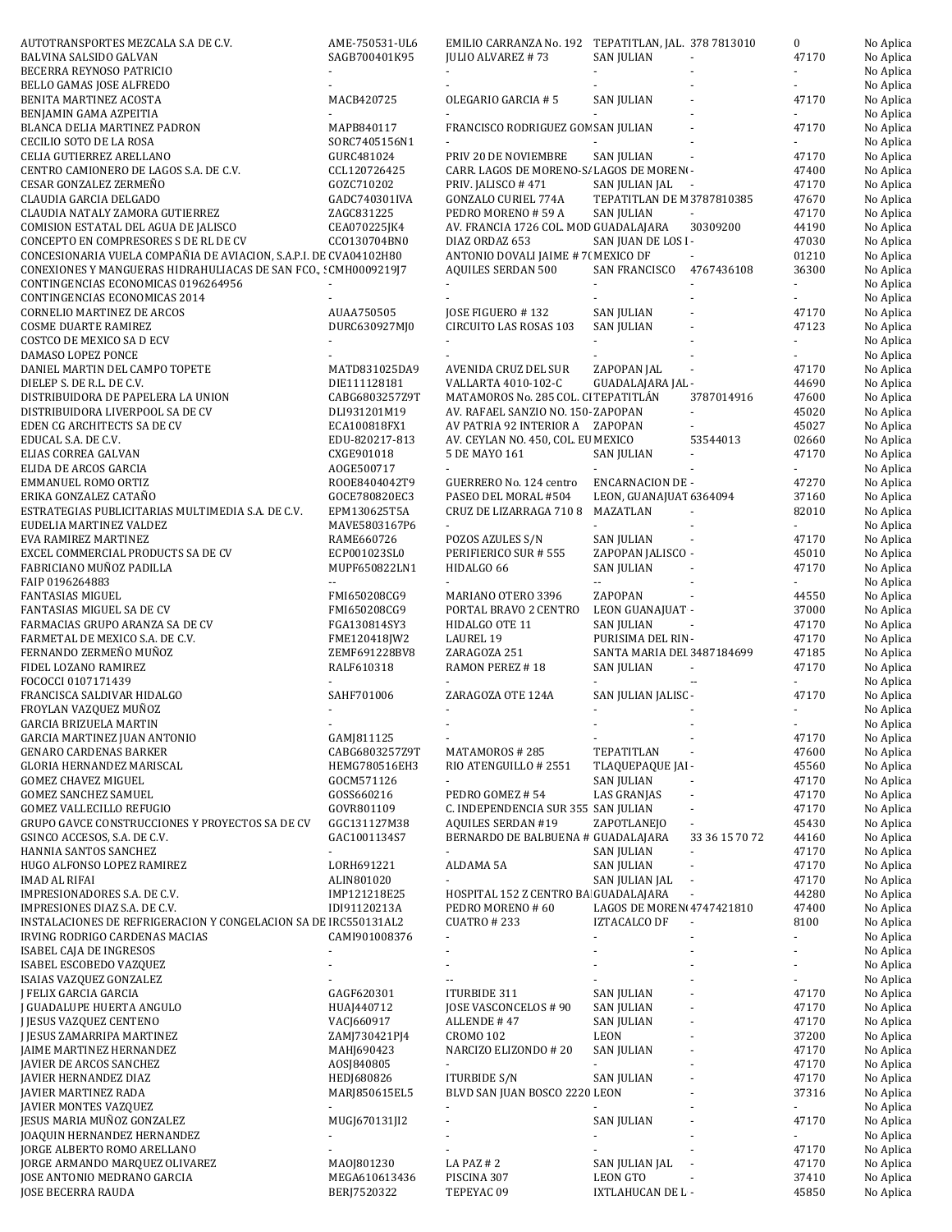| AUTOTRANSPORTES MEZCALA S.A DE C.V.                               | AME-750531-UL6          | EMILIO CARRANZA No. 192 TEPATITLAN, JAL. 378 7813010 |                                        |                          | $\boldsymbol{0}$            | No Aplica |
|-------------------------------------------------------------------|-------------------------|------------------------------------------------------|----------------------------------------|--------------------------|-----------------------------|-----------|
| BALVINA SALSIDO GALVAN                                            | SAGB700401K95           | JULIO ALVAREZ #73                                    | SAN JULIAN                             |                          | 47170                       | No Aplica |
| BECERRA REYNOSO PATRICIO                                          |                         |                                                      |                                        |                          |                             | No Aplica |
| BELLO GAMAS JOSE ALFREDO                                          |                         |                                                      |                                        |                          |                             | No Aplica |
| BENITA MARTINEZ ACOSTA                                            | MACB420725              | OLEGARIO GARCIA #5                                   | <b>SAN JULIAN</b>                      |                          | 47170                       | No Aplica |
| BENJAMIN GAMA AZPEITIA                                            |                         |                                                      |                                        |                          |                             | No Aplica |
| BLANCA DELIA MARTINEZ PADRON                                      | MAPB840117              | FRANCISCO RODRIGUEZ GON SAN JULIAN                   |                                        |                          | 47170                       | No Aplica |
| CECILIO SOTO DE LA ROSA                                           | SORC7405156N1           |                                                      |                                        |                          |                             | No Aplica |
| CELIA GUTIERREZ ARELLANO                                          | GURC481024              | PRIV 20 DE NOVIEMBRE                                 | <b>SAN JULIAN</b>                      |                          | 47170                       | No Aplica |
| CENTRO CAMIONERO DE LAGOS S.A. DE C.V.                            | CCL120726425            | CARR. LAGOS DE MORENO-S/ LAGOS DE MORENI-            |                                        |                          | 47400                       | No Aplica |
| CESAR GONZALEZ ZERMEÑO                                            | GOZC710202              | PRIV. JALISCO #471                                   | SAN JULIAN JAL                         |                          | 47170                       | No Aplica |
| CLAUDIA GARCIA DELGADO                                            | GADC740301IVA           | <b>GONZALO CURIEL 774A</b>                           | TEPATITLAN DE M 3787810385             | $\sim$                   | 47670                       |           |
|                                                                   | ZAGC831225              |                                                      |                                        |                          | 47170                       | No Aplica |
| CLAUDIA NATALY ZAMORA GUTIERREZ                                   | CEA070225JK4            | PEDRO MORENO # 59 A                                  | SAN JULIAN                             |                          |                             | No Aplica |
| COMISION ESTATAL DEL AGUA DE JALISCO                              |                         | AV. FRANCIA 1726 COL. MOD GUADALAJARA                |                                        | 30309200                 | 44190                       | No Aplica |
| CONCEPTO EN COMPRESORES S DE RL DE CV                             | CC0130704BN0            | DIAZ ORDAZ 653                                       | SAN JUAN DE LOS I-                     |                          | 47030                       | No Aplica |
| CONCESIONARIA VUELA COMPAÑIA DE AVIACION, S.A.P.I. DE CVA04102H80 |                         | ANTONIO DOVALI JAIME # 7( MEXICO DF                  |                                        |                          | 01210                       | No Aplica |
| CONEXIONES Y MANGUERAS HIDRAHULIACAS DE SAN FCO., : CMH000921917  |                         | <b>AQUILES SERDAN 500</b>                            | SAN FRANCISCO                          | 4767436108               | 36300                       | No Aplica |
| CONTINGENCIAS ECONOMICAS 0196264956                               |                         |                                                      |                                        |                          | $\overline{\phantom{a}}$    | No Aplica |
| CONTINGENCIAS ECONOMICAS 2014                                     |                         |                                                      |                                        |                          |                             | No Aplica |
| <b>CORNELIO MARTINEZ DE ARCOS</b>                                 | AUAA750505              | JOSE FIGUERO #132                                    | <b>SAN JULIAN</b>                      |                          | 47170                       | No Aplica |
| <b>COSME DUARTE RAMIREZ</b>                                       | DURC630927MJ0           | CIRCUITO LAS ROSAS 103                               | <b>SAN JULIAN</b>                      |                          | 47123                       | No Aplica |
| COSTCO DE MEXICO SA D ECV                                         |                         |                                                      |                                        |                          | ÷.                          | No Aplica |
| DAMASO LOPEZ PONCE                                                |                         |                                                      |                                        |                          |                             | No Aplica |
| DANIEL MARTIN DEL CAMPO TOPETE                                    | MATD831025DA9           | AVENIDA CRUZ DEL SUR                                 | ZAPOPAN JAL                            |                          | 47170                       | No Aplica |
| DIELEP S. DE R.L. DE C.V.                                         | DIE111128181            | VALLARTA 4010-102-C                                  | GUADALAJARA JAL -                      |                          | 44690                       | No Aplica |
| DISTRIBUIDORA DE PAPELERA LA UNION                                | CABG6803257Z9T          | MATAMOROS No. 285 COL. CI TEPATITLAN                 |                                        | 3787014916               | 47600                       | No Aplica |
| DISTRIBUIDORA LIVERPOOL SA DE CV                                  | DLI931201M19            | AV. RAFAEL SANZIO NO. 150-ZAPOPAN                    |                                        |                          | 45020                       | No Aplica |
| EDEN CG ARCHITECTS SA DE CV                                       | ECA100818FX1            | AV PATRIA 92 INTERIOR A ZAPOPAN                      |                                        |                          | 45027                       | No Aplica |
| EDUCAL S.A. DE C.V.                                               | EDU-820217-813          | AV. CEYLAN NO. 450, COL. EU MEXICO                   |                                        | 53544013                 | 02660                       | No Aplica |
| ELIAS CORREA GALVAN                                               | CXGE901018              | 5 DE MAYO 161                                        | <b>SAN JULIAN</b>                      |                          | 47170                       | No Aplica |
| ELIDA DE ARCOS GARCIA                                             | AOGE500717              | ÷.                                                   |                                        |                          | $\mathcal{L}_{\mathcal{A}}$ | No Aplica |
| EMMANUEL ROMO ORTIZ                                               | ROOE8404042T9           | GUERRERO No. 124 centro                              | <b>ENCARNACION DE -</b>                |                          | 47270                       | No Aplica |
| ERIKA GONZALEZ CATAÑO                                             | GOCE780820EC3           | PASEO DEL MORAL #504                                 | LEON, GUANAJUAT 6364094                |                          | 37160                       | No Aplica |
| ESTRATEGIAS PUBLICITARIAS MULTIMEDIA S.A. DE C.V.                 | EPM130625T5A            | CRUZ DE LIZARRAGA 710 8                              | MAZATLAN                               |                          | 82010                       | No Aplica |
| EUDELIA MARTINEZ VALDEZ                                           | MAVE5803167P6           | $\blacksquare$                                       | $\blacksquare$                         |                          | $\blacksquare$              | No Aplica |
| EVA RAMIREZ MARTINEZ                                              | RAME660726              | POZOS AZULES S/N                                     | SAN JULIAN                             |                          | 47170                       | No Aplica |
| EXCEL COMMERCIAL PRODUCTS SA DE CV                                | ECP001023SL0            | PERIFIERICO SUR # 555                                | ZAPOPAN JALISCO -                      |                          | 45010                       | No Aplica |
| FABRICIANO MUÑOZ PADILLA                                          |                         |                                                      |                                        |                          | 47170                       |           |
|                                                                   | MUPF650822LN1<br>$\sim$ | HIDALGO 66                                           | SAN JULIAN<br>Ξ.                       |                          |                             | No Aplica |
| FAIP 0196264883                                                   |                         |                                                      |                                        |                          | ÷.                          | No Aplica |
| <b>FANTASIAS MIGUEL</b>                                           | FMI650208CG9            | MARIANO OTERO 3396                                   | ZAPOPAN                                |                          | 44550                       | No Aplica |
| FANTASIAS MIGUEL SA DE CV                                         | FMI650208CG9            | PORTAL BRAVO 2 CENTRO                                | LEON GUANAJUAT -                       |                          | 37000                       | No Aplica |
| FARMACIAS GRUPO ARANZA SA DE CV                                   | FGA130814SY3            | HIDALGO OTE 11                                       | SAN JULIAN                             |                          | 47170                       | No Aplica |
| FARMETAL DE MEXICO S.A. DE C.V.                                   | FME120418JW2            | LAUREL 19                                            | PURISIMA DEL RIN-                      |                          | 47170                       | No Aplica |
| FERNANDO ZERMEÑO MUÑOZ                                            | ZEMF691228BV8           | ZARAGOZA 251                                         | SANTA MARIA DEI 3487184699             |                          | 47185                       | No Aplica |
| FIDEL LOZANO RAMIREZ                                              | RALF610318              | RAMON PEREZ #18                                      | SAN JULIAN                             | $\blacksquare$           | 47170                       | No Aplica |
| FOCOCCI 0107171439                                                |                         |                                                      |                                        |                          |                             | No Aplica |
| FRANCISCA SALDIVAR HIDALGO                                        | SAHF701006              | ZARAGOZA OTE 124A                                    | SAN JULIAN JALISC -                    |                          | 47170                       | No Aplica |
| FROYLAN VAZQUEZ MUÑOZ                                             |                         |                                                      |                                        |                          | ÷.                          | No Aplica |
| <b>GARCIA BRIZUELA MARTIN</b>                                     |                         |                                                      |                                        |                          |                             | No Aplica |
| GARCIA MARTINEZ JUAN ANTONIO                                      | GAMJ811125              |                                                      |                                        |                          | 47170                       | No Aplica |
| <b>GENARO CARDENAS BARKER</b>                                     | CABG6803257Z9T          | MATAMOROS #285                                       | TEPATITLAN                             |                          | 47600                       | No Aplica |
| GLORIA HERNANDEZ MARISCAL                                         | HEMG780516EH3           | RIO ATENGUILLO # 2551                                | TLAQUEPAQUE JAI -                      |                          | 45560                       | No Aplica |
| <b>GOMEZ CHAVEZ MIGUEL</b>                                        | GOCM571126              |                                                      | SAN JULIAN                             |                          | 47170                       | No Aplica |
| <b>GOMEZ SANCHEZ SAMUEL</b>                                       | GOSS660216              | PEDRO GOMEZ #54                                      | LAS GRANJAS                            |                          | 47170                       | No Aplica |
| <b>GOMEZ VALLECILLO REFUGIO</b>                                   | GOVR801109              | C. INDEPENDENCIA SUR 355 SAN JULIAN                  |                                        |                          | 47170                       | No Aplica |
| GRUPO GAVCE CONSTRUCCIONES Y PROYECTOS SA DE CV                   | GGC131127M38            | <b>AQUILES SERDAN #19</b>                            | ZAPOTLANEJO                            |                          | 45430                       | No Aplica |
| GSINCO ACCESOS, S.A. DE C.V.                                      | GAC1001134S7            | BERNARDO DE BALBUENA # GUADALAJARA                   |                                        | 33 36 15 70 72           | 44160                       | No Aplica |
| HANNIA SANTOS SANCHEZ                                             | $\blacksquare$          |                                                      | <b>SAN JULIAN</b>                      | $\overline{\phantom{a}}$ | 47170                       | No Aplica |
| HUGO ALFONSO LOPEZ RAMIREZ                                        | LORH691221              | ALDAMA 5A                                            | <b>SAN JULIAN</b>                      |                          | 47170                       | No Aplica |
| IMAD AL RIFAI                                                     | ALIN801020              |                                                      | SAN JULIAN JAL                         | ÷,                       | 47170                       | No Aplica |
| IMPRESIONADORES S.A. DE C.V.                                      | IMP121218E25            | HOSPITAL 152 Z CENTRO BA GUADALAJARA                 |                                        |                          | 44280                       | No Aplica |
| IMPRESIONES DIAZ S.A. DE C.V.                                     | IDI91120213A            | PEDRO MORENO # 60                                    | LAGOS DE MOREN 4747421810              |                          | 47400                       | No Aplica |
| INSTALACIONES DE REFRIGERACION Y CONGELACION SA DE IRC550131AL2   |                         | <b>CUATRO #233</b>                                   | IZTACALCO DF                           |                          | 8100                        | No Aplica |
| IRVING RODRIGO CARDENAS MACIAS                                    | CAMI901008376           | $\blacksquare$                                       |                                        |                          | ÷,                          | No Aplica |
| ISABEL CAJA DE INGRESOS                                           |                         |                                                      |                                        |                          |                             | No Aplica |
| ISABEL ESCOBEDO VAZQUEZ                                           |                         |                                                      |                                        |                          |                             | No Aplica |
| ISAIAS VAZQUEZ GONZALEZ                                           |                         | $\overline{a}$                                       |                                        |                          |                             | No Aplica |
|                                                                   |                         |                                                      |                                        |                          |                             |           |
| J FELIX GARCIA GARCIA                                             | GAGF620301              | ITURBIDE 311                                         | <b>SAN JULIAN</b><br><b>SAN JULIAN</b> |                          | 47170                       | No Aplica |
| J GUADALUPE HUERTA ANGULO                                         | HUAJ440712              | JOSE VASCONCELOS # 90                                |                                        |                          | 47170                       | No Aplica |
| J JESUS VAZQUEZ CENTENO                                           | VACJ660917              | ALLENDE #47                                          | <b>SAN JULIAN</b>                      |                          | 47170                       | No Aplica |
| J JESUS ZAMARRIPA MARTINEZ                                        | ZAMJ730421PJ4           | CROMO 102                                            | LEON                                   |                          | 37200                       | No Aplica |
| JAIME MARTINEZ HERNANDEZ                                          | MAHJ690423              | NARCIZO ELIZONDO #20                                 | <b>SAN JULIAN</b>                      |                          | 47170                       | No Aplica |
| JAVIER DE ARCOS SANCHEZ                                           | A0SJ840805              |                                                      |                                        |                          | 47170                       | No Aplica |
| JAVIER HERNANDEZ DIAZ                                             | HEDJ680826              | <b>ITURBIDE S/N</b>                                  | SAN JULIAN                             |                          | 47170                       | No Aplica |
| JAVIER MARTINEZ RADA                                              | MARJ850615EL5           | BLVD SAN JUAN BOSCO 2220 LEON                        |                                        |                          | 37316                       | No Aplica |
| JAVIER MONTES VAZQUEZ                                             |                         |                                                      |                                        |                          | ÷.                          | No Aplica |
| JESUS MARIA MUÑOZ GONZALEZ                                        | MUGJ670131JI2           |                                                      | SAN JULIAN                             |                          | 47170                       | No Aplica |
| JOAQUIN HERNANDEZ HERNANDEZ                                       |                         |                                                      |                                        |                          |                             | No Aplica |
| JORGE ALBERTO ROMO ARELLANO                                       |                         |                                                      |                                        |                          | 47170                       | No Aplica |
| JORGE ARMANDO MARQUEZ OLIVAREZ                                    | MA0J801230              | LA PAZ # 2                                           | SAN JULIAN JAL                         |                          | 47170                       | No Aplica |
| JOSE ANTONIO MEDRANO GARCIA                                       | MEGA610613436           | PISCINA 307                                          | LEON GTO                               |                          | 37410                       | No Aplica |
| JOSE BECERRA RAUDA                                                | BERJ7520322             | TEPEYAC 09                                           | IXTLAHUCAN DE L -                      |                          | 45850                       | No Aplica |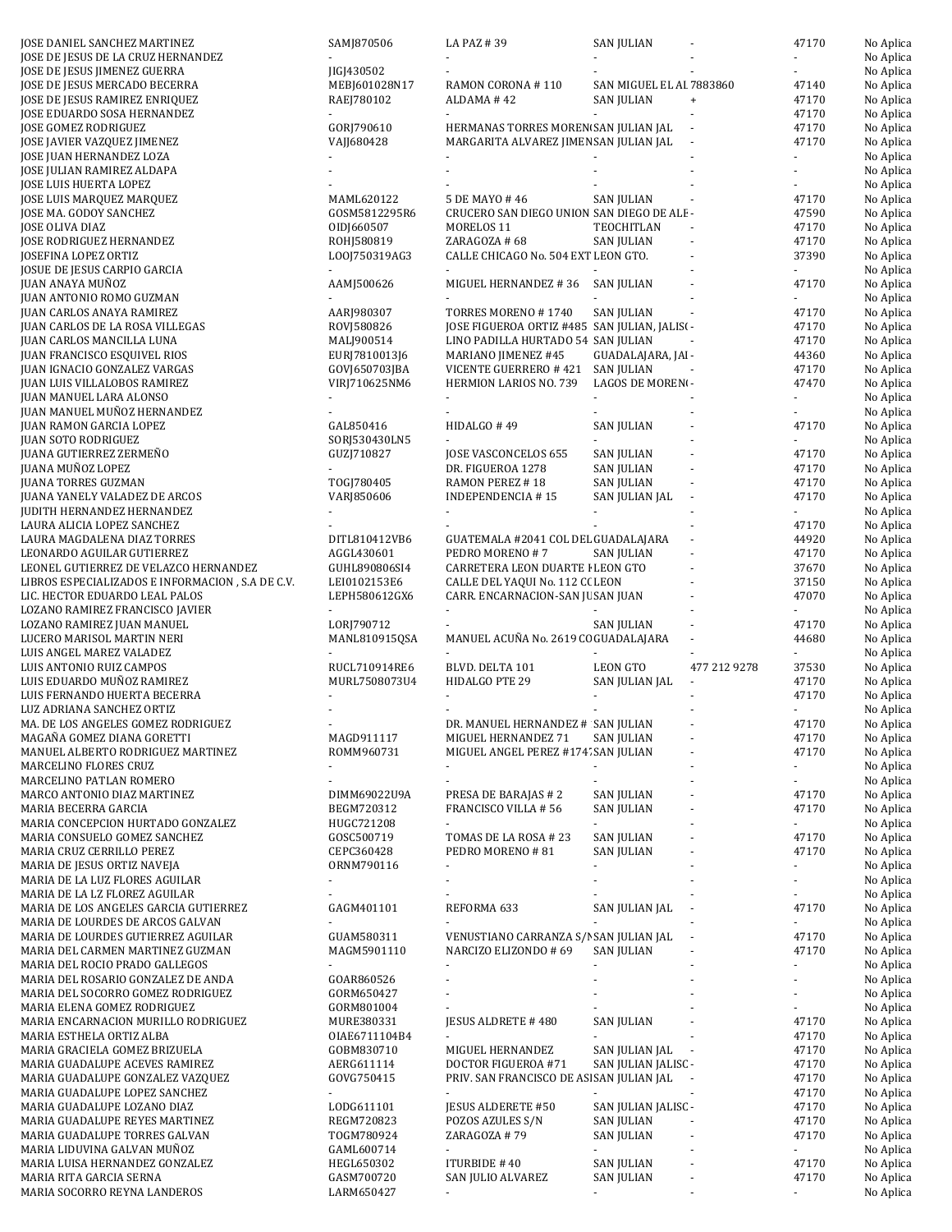| JOSE DANIEL SANCHEZ MARTINEZ                            | SAMJ870506               | LA PAZ #39                                    | <b>SAN JULIAN</b>        |                                  | 47170          | No Aplica              |
|---------------------------------------------------------|--------------------------|-----------------------------------------------|--------------------------|----------------------------------|----------------|------------------------|
| JOSE DE JESUS DE LA CRUZ HERNANDEZ                      |                          |                                               |                          |                                  |                | No Aplica              |
| JOSE DE JESUS JIMENEZ GUERRA                            | JIGJ430502               |                                               |                          |                                  |                | No Aplica              |
|                                                         |                          |                                               | SAN MIGUEL EL AI 7883860 |                                  |                |                        |
| JOSE DE JESUS MERCADO BECERRA                           | MEBJ601028N17            | RAMON CORONA #110                             |                          |                                  | 47140          | No Aplica              |
| JOSE DE JESUS RAMIREZ ENRIQUEZ                          | RAEJ780102               | ALDAMA #42                                    | SAN JULIAN               | $\begin{array}{c} + \end{array}$ | 47170          | No Aplica              |
| JOSE EDUARDO SOSA HERNANDEZ                             | $\omega$                 |                                               |                          |                                  | 47170          | No Aplica              |
| JOSE GOMEZ RODRIGUEZ                                    | GORJ790610               | HERMANAS TORRES MOREN SAN JULIAN JAL          |                          |                                  | 47170          | No Aplica              |
| JOSE JAVIER VAZQUEZ JIMENEZ                             | VAJJ680428               | MARGARITA ALVAREZ JIMEN SAN JULIAN JAL        |                          |                                  | 47170          | No Aplica              |
| JOSE JUAN HERNANDEZ LOZA                                |                          |                                               |                          |                                  |                | No Aplica              |
| JOSE JULIAN RAMIREZ ALDAPA                              |                          |                                               |                          |                                  |                | No Aplica              |
| JOSE LUIS HUERTA LOPEZ                                  |                          |                                               |                          |                                  |                | No Aplica              |
| JOSE LUIS MARQUEZ MARQUEZ                               | MAML620122               | 5 DE MAYO # 46                                | <b>SAN JULIAN</b>        |                                  | 47170          | No Aplica              |
| JOSE MA. GODOY SANCHEZ                                  | GOSM5812295R6            | CRUCERO SAN DIEGO UNION SAN DIEGO DE ALE-     |                          |                                  | 47590          | No Aplica              |
| JOSE OLIVA DIAZ                                         | OIDI660507               | MORELOS <sub>11</sub>                         | TEOCHITLAN               |                                  | 47170          |                        |
|                                                         |                          |                                               |                          |                                  |                | No Aplica              |
| JOSE RODRIGUEZ HERNANDEZ                                | ROHJ580819               | ZARAGOZA # 68                                 | SAN JULIAN               |                                  | 47170          | No Aplica              |
| JOSEFINA LOPEZ ORTIZ                                    | LO0J750319AG3            | CALLE CHICAGO No. 504 EXT LEON GTO.           |                          |                                  | 37390          | No Aplica              |
| JOSUE DE JESUS CARPIO GARCIA                            |                          |                                               |                          |                                  |                | No Aplica              |
| JUAN ANAYA MUÑOZ                                        | AAMJ500626               | MIGUEL HERNANDEZ #36                          | SAN JULIAN               |                                  | 47170          | No Aplica              |
| JUAN ANTONIO ROMO GUZMAN                                |                          |                                               |                          |                                  |                | No Aplica              |
| JUAN CARLOS ANAYA RAMIREZ                               | AARJ980307               | TORRES MORENO #1740                           | SAN JULIAN               |                                  | 47170          | No Aplica              |
| JUAN CARLOS DE LA ROSA VILLEGAS                         | ROVJ580826               | JOSE FIGUEROA ORTIZ #485 SAN JULIAN, JALISI - |                          |                                  | 47170          | No Aplica              |
| JUAN CARLOS MANCILLA LUNA                               | MALJ900514               | LINO PADILLA HURTADO 54 SAN JULIAN            |                          |                                  | 47170          | No Aplica              |
| JUAN FRANCISCO ESQUIVEL RIOS                            | EURJ7810013J6            | MARIANO JIMENEZ #45                           | GUADALAJARA, JAI -       |                                  | 44360          | No Aplica              |
| <b>JUAN IGNACIO GONZALEZ VARGAS</b>                     | GOVJ650703JBA            | VICENTE GUERRERO # 421                        | SAN JULIAN               |                                  | 47170          | No Aplica              |
| JUAN LUIS VILLALOBOS RAMIREZ                            | VIRJ710625NM6            | HERMION LARIOS NO. 739                        | LAGOS DE MORENI-         |                                  | 47470          |                        |
|                                                         |                          |                                               |                          |                                  |                | No Aplica              |
| JUAN MANUEL LARA ALONSO                                 |                          |                                               |                          |                                  |                | No Aplica              |
| JUAN MANUEL MUÑOZ HERNANDEZ                             |                          |                                               |                          |                                  |                | No Aplica              |
| <b>JUAN RAMON GARCIA LOPEZ</b>                          | GAL850416                | HIDALGO #49                                   | <b>SAN JULIAN</b>        |                                  | 47170          | No Aplica              |
| JUAN SOTO RODRIGUEZ                                     | SORJ530430LN5            |                                               |                          |                                  |                | No Aplica              |
| <b>JUANA GUTIERREZ ZERMEÑO</b>                          | GUZJ710827               | JOSE VASCONCELOS 655                          | SAN JULIAN               |                                  | 47170          | No Aplica              |
| <b>JUANA MUÑOZ LOPEZ</b>                                |                          | DR. FIGUEROA 1278                             | <b>SAN JULIAN</b>        |                                  | 47170          | No Aplica              |
| <b>JUANA TORRES GUZMAN</b>                              | TOGJ780405               | RAMON PEREZ #18                               | <b>SAN JULIAN</b>        |                                  | 47170          | No Aplica              |
| <b>JUANA YANELY VALADEZ DE ARCOS</b>                    | VARJ850606               | <b>INDEPENDENCIA #15</b>                      | SAN JULIAN JAL           | ÷,                               | 47170          | No Aplica              |
| JUDITH HERNANDEZ HERNANDEZ                              |                          |                                               |                          |                                  |                | No Aplica              |
| LAURA ALICIA LOPEZ SANCHEZ                              |                          |                                               |                          |                                  | 47170          | No Aplica              |
|                                                         |                          |                                               |                          |                                  |                |                        |
| LAURA MAGDALENA DIAZ TORRES                             | DITL810412VB6            | GUATEMALA #2041 COL DEL GUADALAJARA           |                          |                                  | 44920          | No Aplica              |
| LEONARDO AGUILAR GUTIERREZ                              | AGGL430601               | PEDRO MORENO #7                               | SAN JULIAN               |                                  | 47170          | No Aplica              |
| LEONEL GUTIERREZ DE VELAZCO HERNANDEZ                   | GUHL890806SI4            | CARRETERA LEON DUARTE I LEON GTO              |                          |                                  | 37670          | No Aplica              |
| LIBROS ESPECIALIZADOS E INFORMACION, S.A DE C.V.        | LEI0102153E6             | CALLE DEL YAQUI No. 112 C( LEON               |                          |                                  | 37150          | No Aplica              |
| LIC. HECTOR EDUARDO LEAL PALOS                          | LEPH580612GX6            | CARR. ENCARNACION-SAN JU SAN JUAN             |                          |                                  | 47070          | No Aplica              |
|                                                         |                          |                                               |                          |                                  |                |                        |
| LOZANO RAMIREZ FRANCISCO JAVIER                         |                          |                                               |                          |                                  |                | No Aplica              |
|                                                         | LORJ790712               |                                               |                          |                                  | 47170          |                        |
| LOZANO RAMIREZ JUAN MANUEL                              |                          |                                               | SAN JULIAN               |                                  |                | No Aplica              |
| LUCERO MARISOL MARTIN NERI                              | MANL810915QSA            | MANUEL ACUÑA No. 2619 CC GUADALAJARA          |                          |                                  | 44680          | No Aplica              |
| LUIS ANGEL MAREZ VALADEZ                                |                          |                                               |                          |                                  |                | No Aplica              |
| LUIS ANTONIO RUIZ CAMPOS                                | RUCL710914RE6            | BLVD. DELTA 101                               | LEON GTO                 | 477 212 9278                     | 37530          | No Aplica              |
| LUIS EDUARDO MUÑOZ RAMIREZ                              | MURL7508073U4            | HIDALGO PTE 29                                | SAN JULIAN JAL           |                                  | 47170          | No Aplica              |
| LUIS FERNANDO HUERTA BECERRA                            |                          |                                               |                          |                                  | 47170          | No Aplica              |
| LUZ ADRIANA SANCHEZ ORTIZ                               |                          |                                               |                          |                                  |                | No Aplica              |
| MA. DE LOS ANGELES GOMEZ RODRIGUEZ                      |                          | DR. MANUEL HERNANDEZ # SAN JULIAN             |                          |                                  | 47170          | No Aplica              |
| MAGAÑA GOMEZ DIANA GORETTI                              | MAGD911117               | MIGUEL HERNANDEZ 71                           | SAN JULIAN               |                                  | 47170          | No Aplica              |
| MANUEL ALBERTO RODRIGUEZ MARTINEZ                       | ROMM960731               | MIGUEL ANGEL PEREZ #174' SAN JULIAN           |                          |                                  | 47170          | No Aplica              |
| MARCELINO FLORES CRUZ                                   |                          |                                               |                          |                                  |                |                        |
|                                                         |                          |                                               |                          |                                  |                | No Aplica              |
| MARCELINO PATLAN ROMERO                                 |                          |                                               |                          |                                  |                | No Aplica              |
| MARCO ANTONIO DIAZ MARTINEZ                             | DIMM69022U9A             | PRESA DE BARAJAS # 2                          | <b>SAN JULIAN</b>        |                                  | 47170          | No Aplica              |
| MARIA BECERRA GARCIA                                    | BEGM720312               | FRANCISCO VILLA #56                           | <b>SAN JULIAN</b>        |                                  | 47170          | No Aplica              |
| MARIA CONCEPCION HURTADO GONZALEZ                       | HUGC721208               |                                               |                          |                                  | $\sim$         | No Aplica              |
| MARIA CONSUELO GOMEZ SANCHEZ                            | GOSC500719               | TOMAS DE LA ROSA # 23                         | <b>SAN JULIAN</b>        |                                  | 47170          | No Aplica              |
| MARIA CRUZ CERRILLO PEREZ                               | CEPC360428               | PEDRO MORENO #81                              | SAN JULIAN               |                                  | 47170          | No Aplica              |
| MARIA DE JESUS ORTIZ NAVEJA                             | ORNM790116               |                                               |                          |                                  |                | No Aplica              |
| MARIA DE LA LUZ FLORES AGUILAR                          |                          |                                               |                          |                                  | ÷.             | No Aplica              |
| MARIA DE LA LZ FLOREZ AGUILAR                           |                          |                                               |                          |                                  |                | No Aplica              |
| MARIA DE LOS ANGELES GARCIA GUTIERREZ                   | GAGM401101               | REFORMA 633                                   | SAN JULIAN JAL           |                                  | 47170          | No Aplica              |
| MARIA DE LOURDES DE ARCOS GALVAN                        |                          |                                               |                          |                                  |                | No Aplica              |
|                                                         | GUAM580311               |                                               |                          |                                  |                |                        |
| MARIA DE LOURDES GUTIERREZ AGUILAR                      |                          | VENUSTIANO CARRANZA S/I SAN JULIAN JAL        |                          |                                  | 47170          | No Aplica              |
| MARIA DEL CARMEN MARTINEZ GUZMAN                        | MAGM5901110<br>÷         | NARCIZO ELIZONDO # 69                         | <b>SAN JULIAN</b><br>ä,  |                                  | 47170          | No Aplica              |
| MARIA DEL ROCIO PRADO GALLEGOS                          |                          |                                               |                          |                                  | $\blacksquare$ | No Aplica              |
| MARIA DEL ROSARIO GONZALEZ DE ANDA                      | GOAR860526               |                                               |                          |                                  |                | No Aplica              |
| MARIA DEL SOCORRO GOMEZ RODRIGUEZ                       | GORM650427               |                                               |                          |                                  |                | No Aplica              |
| MARIA ELENA GOMEZ RODRIGUEZ                             | GORM801004               |                                               |                          |                                  |                | No Aplica              |
| MARIA ENCARNACION MURILLO RODRIGUEZ                     | MURE380331               | JESUS ALDRETE #480                            | <b>SAN JULIAN</b>        |                                  | 47170          | No Aplica              |
| MARIA ESTHELA ORTIZ ALBA                                | OIAE6711104B4            |                                               |                          |                                  | 47170          | No Aplica              |
| MARIA GRACIELA GOMEZ BRIZUELA                           | GOBM830710               | MIGUEL HERNANDEZ                              | SAN JULIAN JAL           |                                  | 47170          | No Aplica              |
| MARIA GUADALUPE ACEVES RAMIREZ                          | AERG611114               | DOCTOR FIGUEROA #71                           | SAN JULIAN JALISC -      |                                  | 47170          | No Aplica              |
| MARIA GUADALUPE GONZALEZ VAZQUEZ                        | GOVG750415               | PRIV. SAN FRANCISCO DE AS SAN JULIAN JAL      |                          |                                  | 47170          | No Aplica              |
| MARIA GUADALUPE LOPEZ SANCHEZ                           | $\blacksquare$           |                                               |                          |                                  | 47170          | No Aplica              |
|                                                         |                          |                                               |                          |                                  |                |                        |
| MARIA GUADALUPE LOZANO DIAZ                             | LODG611101               | JESUS ALDERETE #50                            | SAN JULIAN JALISC -      |                                  | 47170          | No Aplica              |
| MARIA GUADALUPE REYES MARTINEZ                          | REGM720823               | POZOS AZULES S/N                              | SAN JULIAN               |                                  | 47170          | No Aplica              |
| MARIA GUADALUPE TORRES GALVAN                           | TOGM780924               | ZARAGOZA #79                                  | SAN JULIAN               |                                  | 47170          | No Aplica              |
| MARIA LIDUVINA GALVAN MUÑOZ                             | GAML600714               | $\sim$                                        | $\blacksquare$           |                                  | $\sim$         | No Aplica              |
| MARIA LUISA HERNANDEZ GONZALEZ                          | HEGL650302               | ITURBIDE #40                                  | SAN JULIAN               |                                  | 47170          | No Aplica              |
| MARIA RITA GARCIA SERNA<br>MARIA SOCORRO REYNA LANDEROS | GASM700720<br>LARM650427 | SAN JULIO ALVAREZ                             | SAN JULIAN               | $\overline{\phantom{a}}$         | 47170          | No Aplica<br>No Aplica |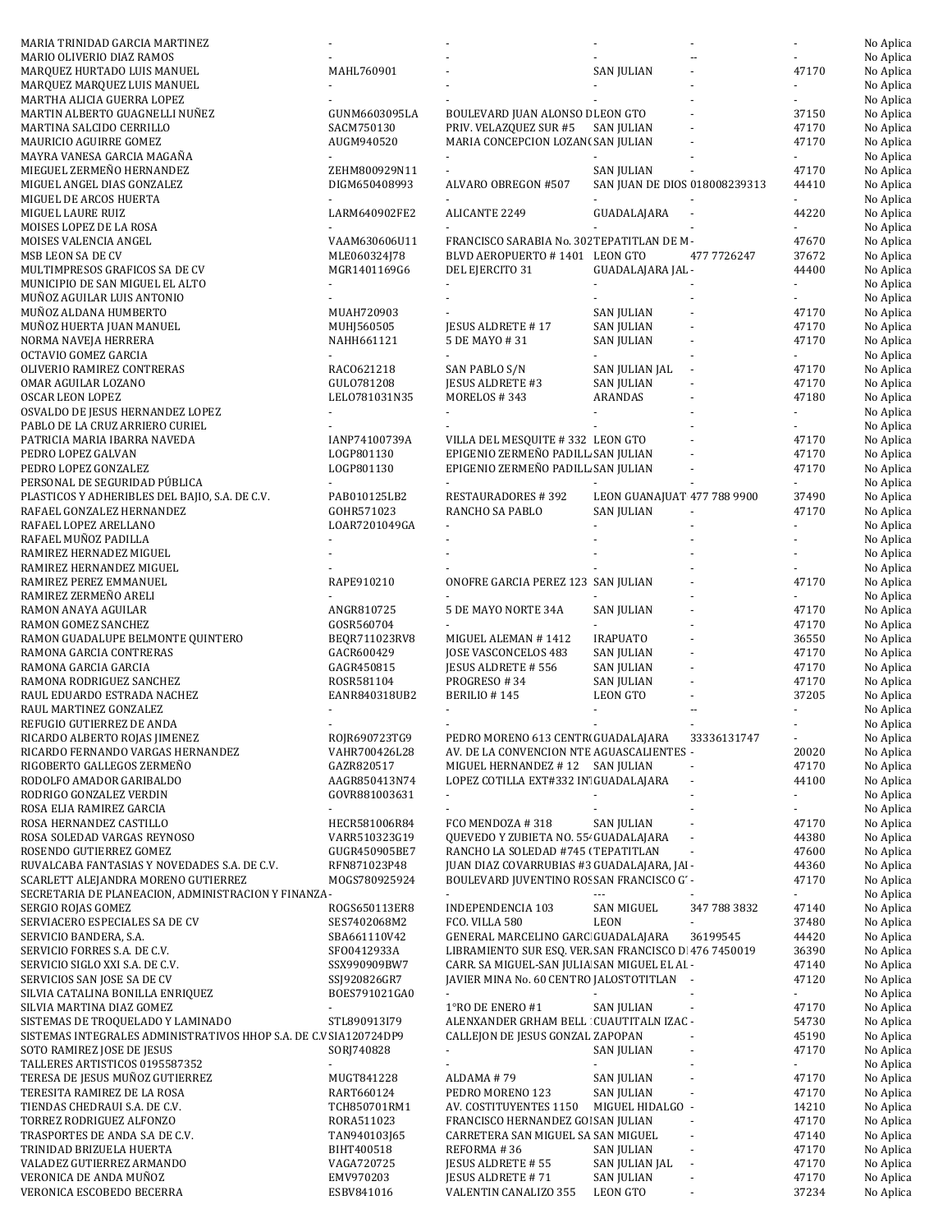| MARIA TRINIDAD GARCIA MARTINEZ                                                      |                               |                                                                                          |                               |                          |                             | No Aplica              |
|-------------------------------------------------------------------------------------|-------------------------------|------------------------------------------------------------------------------------------|-------------------------------|--------------------------|-----------------------------|------------------------|
| MARIO OLIVERIO DIAZ RAMOS                                                           |                               |                                                                                          |                               |                          |                             | No Aplica              |
| MARQUEZ HURTADO LUIS MANUEL                                                         | MAHL760901                    |                                                                                          | <b>SAN JULIAN</b>             |                          | 47170                       | No Aplica<br>No Aplica |
| MARQUEZ MARQUEZ LUIS MANUEL<br>MARTHA ALICIA GUERRA LOPEZ                           |                               |                                                                                          |                               |                          |                             | No Aplica              |
| MARTIN ALBERTO GUAGNELLI NUÑEZ                                                      | GUNM6603095LA                 | BOULEVARD JUAN ALONSO E LEON GTO                                                         |                               |                          | 37150                       | No Aplica              |
| MARTINA SALCIDO CERRILLO                                                            | SACM750130                    | PRIV. VELAZQUEZ SUR #5                                                                   | <b>SAN JULIAN</b>             |                          | 47170                       | No Aplica              |
| MAURICIO AGUIRRE GOMEZ                                                              | AUGM940520                    | MARIA CONCEPCION LOZAN( SAN JULIAN                                                       |                               |                          | 47170                       | No Aplica              |
| MAYRA VANESA GARCIA MAGAÑA                                                          |                               |                                                                                          |                               |                          |                             | No Aplica              |
| MIEGUEL ZERMEÑO HERNANDEZ                                                           | ZEHM800929N11                 |                                                                                          | <b>SAN JULIAN</b>             |                          | 47170                       | No Aplica              |
| MIGUEL ANGEL DIAS GONZALEZ                                                          | DIGM650408993                 | ALVARO OBREGON #507                                                                      | SAN JUAN DE DIOS 018008239313 |                          | 44410                       | No Aplica              |
| MIGUEL DE ARCOS HUERTA                                                              |                               |                                                                                          |                               |                          |                             | No Aplica              |
| MIGUEL LAURE RUIZ                                                                   | LARM640902FE2                 | ALICANTE 2249                                                                            | GUADALAJARA                   |                          | 44220                       | No Aplica              |
| MOISES LOPEZ DE LA ROSA                                                             |                               | FRANCISCO SARABIA No. 302 TEPATITLAN DE M-                                               |                               |                          |                             | No Aplica              |
| MOISES VALENCIA ANGEL<br>MSB LEON SA DE CV                                          | VAAM630606U11<br>MLE060324J78 | BLVD AEROPUERTO #1401 LEON GTO                                                           |                               | 477 7726247              | 47670<br>37672              | No Aplica<br>No Aplica |
| MULTIMPRESOS GRAFICOS SA DE CV                                                      | MGR1401169G6                  | DEL EJERCITO 31                                                                          | GUADALAJARA JAL -             |                          | 44400                       | No Aplica              |
| MUNICIPIO DE SAN MIGUEL EL ALTO                                                     |                               |                                                                                          |                               |                          |                             | No Aplica              |
| MUÑOZ AGUILAR LUIS ANTONIO                                                          |                               |                                                                                          |                               |                          |                             | No Aplica              |
| MUÑOZ ALDANA HUMBERTO                                                               | MUAH720903                    |                                                                                          | <b>SAN JULIAN</b>             |                          | 47170                       | No Aplica              |
| MUÑOZ HUERTA JUAN MANUEL                                                            | MUHJ560505                    | JESUS ALDRETE #17                                                                        | <b>SAN JULIAN</b>             |                          | 47170                       | No Aplica              |
| NORMA NAVEJA HERRERA                                                                | NAHH661121                    | 5 DE MAYO #31                                                                            | <b>SAN JULIAN</b>             |                          | 47170                       | No Aplica              |
| OCTAVIO GOMEZ GARCIA                                                                |                               |                                                                                          |                               |                          |                             | No Aplica              |
| OLIVERIO RAMIREZ CONTRERAS                                                          | RAC0621218                    | SAN PABLO S/N                                                                            | SAN JULIAN JAL                |                          | 47170                       | No Aplica              |
| OMAR AGUILAR LOZANO                                                                 | GULO781208                    | <b>JESUS ALDRETE #3</b>                                                                  | <b>SAN JULIAN</b>             |                          | 47170<br>47180              | No Aplica              |
| OSCAR LEON LOPEZ                                                                    | LEL0781031N35                 | MORELOS #343                                                                             | ARANDAS                       |                          |                             | No Aplica<br>No Aplica |
| OSVALDO DE JESUS HERNANDEZ LOPEZ<br>PABLO DE LA CRUZ ARRIERO CURIEL                 |                               |                                                                                          |                               |                          |                             | No Aplica              |
| PATRICIA MARIA IBARRA NAVEDA                                                        | IANP74100739A                 | VILLA DEL MESQUITE #332 LEON GTO                                                         |                               |                          | 47170                       | No Aplica              |
| PEDRO LOPEZ GALVAN                                                                  | LOGP801130                    | EPIGENIO ZERMEÑO PADILL SAN JULIAN                                                       |                               |                          | 47170                       | No Aplica              |
| PEDRO LOPEZ GONZALEZ                                                                | LOGP801130                    | EPIGENIO ZERMEÑO PADILL SAN JULIAN                                                       |                               |                          | 47170                       | No Aplica              |
| PERSONAL DE SEGURIDAD PÚBLICA                                                       |                               |                                                                                          |                               |                          |                             | No Aplica              |
| PLASTICOS Y ADHERIBLES DEL BAJIO, S.A. DE C.V.                                      | PAB010125LB2                  | <b>RESTAURADORES #392</b>                                                                | LEON GUANAJUAT 477 788 9900   |                          | 37490                       | No Aplica              |
| RAFAEL GONZALEZ HERNANDEZ                                                           | GOHR571023                    | RANCHO SA PABLO                                                                          | <b>SAN JULIAN</b>             |                          | 47170                       | No Aplica              |
| RAFAEL LOPEZ ARELLANO                                                               | LOAR7201049GA                 |                                                                                          |                               |                          |                             | No Aplica              |
| RAFAEL MUÑOZ PADILLA                                                                |                               |                                                                                          |                               |                          |                             | No Aplica              |
| RAMIREZ HERNADEZ MIGUEL<br>RAMIREZ HERNANDEZ MIGUEL                                 |                               |                                                                                          |                               |                          |                             | No Aplica<br>No Aplica |
| RAMIREZ PEREZ EMMANUEL                                                              | RAPE910210                    | ONOFRE GARCIA PEREZ 123 SAN JULIAN                                                       |                               |                          | 47170                       | No Aplica              |
| RAMIREZ ZERMEÑO ARELI                                                               |                               |                                                                                          |                               |                          |                             | No Aplica              |
| RAMON ANAYA AGUILAR                                                                 | ANGR810725                    | 5 DE MAYO NORTE 34A                                                                      | <b>SAN JULIAN</b>             |                          | 47170                       | No Aplica              |
| RAMON GOMEZ SANCHEZ                                                                 | GOSR560704                    |                                                                                          |                               |                          | 47170                       | No Aplica              |
| RAMON GUADALUPE BELMONTE QUINTERO                                                   | BEQR711023RV8                 | MIGUEL ALEMAN #1412                                                                      | <b>IRAPUATO</b>               |                          | 36550                       | No Aplica              |
| RAMONA GARCIA CONTRERAS                                                             | GACR600429                    | JOSE VASCONCELOS 483                                                                     | <b>SAN JULIAN</b>             |                          | 47170                       | No Aplica              |
| RAMONA GARCIA GARCIA                                                                | GAGR450815                    | <b>JESUS ALDRETE # 556</b>                                                               | <b>SAN JULIAN</b>             |                          | 47170                       | No Aplica              |
| RAMONA RODRIGUEZ SANCHEZ                                                            | ROSR581104                    | PROGRESO #34                                                                             | <b>SAN JULIAN</b>             |                          | 47170                       | No Aplica              |
| RAUL EDUARDO ESTRADA NACHEZ                                                         | EANR840318UB2                 | BERILIO #145                                                                             | <b>LEON GTO</b>               |                          | 37205                       | No Aplica              |
| RAUL MARTINEZ GONZALEZ                                                              |                               |                                                                                          |                               |                          |                             | No Aplica              |
| REFUGIO GUTIERREZ DE ANDA                                                           | ROJR690723TG9                 | PEDRO MORENO 613 CENTRI GUADALAJARA                                                      |                               | 33336131747              |                             | No Aplica              |
| RICARDO ALBERTO ROJAS JIMENEZ<br>RICARDO FERNANDO VARGAS HERNANDEZ                  | VAHR700426L28                 | AV. DE LA CONVENCION NTE AGUASCALIENTES -                                                |                               |                          | 20020                       | No Aplica<br>No Aplica |
| RIGOBERTO GALLEGOS ZERMEÑO                                                          | GAZR820517                    | MIGUEL HERNANDEZ #12 SAN JULIAN                                                          |                               |                          | 47170                       | No Aplica              |
| RODOLFO AMADOR GARIBALDO                                                            | AAGR850413N74                 | LOPEZ COTILLA EXT#332 IN' GUADALAJARA                                                    |                               | $\blacksquare$           | 44100                       | No Aplica              |
| RODRIGO GONZALEZ VERDIN                                                             | GOVR881003631                 | $\blacksquare$                                                                           |                               |                          | ÷.                          | No Aplica              |
| ROSA ELIA RAMIREZ GARCIA                                                            |                               |                                                                                          |                               |                          |                             | No Aplica              |
| ROSA HERNANDEZ CASTILLO                                                             | HECR581006R84                 | FCO MENDOZA #318                                                                         | SAN JULIAN                    |                          | 47170                       | No Aplica              |
| ROSA SOLEDAD VARGAS REYNOSO                                                         | VARR510323G19                 | QUEVEDO Y ZUBIETA NO. 55- GUADALAJARA                                                    |                               | $\blacksquare$           | 44380                       | No Aplica              |
| ROSENDO GUTIERREZ GOMEZ                                                             | GUGR450905BE7                 | RANCHO LA SOLEDAD #745 (TEPATITLAN                                                       |                               | $\blacksquare$           | 47600                       | No Aplica              |
| RUVALCABA FANTASIAS Y NOVEDADES S.A. DE C.V.<br>SCARLETT ALEJANDRA MORENO GUTIERREZ | RFN871023P48<br>MOGS780925924 | JUAN DIAZ COVARRUBIAS #3 GUADALAJARA, JAI -<br>BOULEVARD JUVENTINO ROSSAN FRANCISCO G' - |                               |                          | 44360<br>47170              | No Aplica<br>No Aplica |
| SECRETARIA DE PLANEACION, ADMINISTRACION Y FINANZA -                                |                               |                                                                                          |                               |                          |                             | No Aplica              |
| SERGIO ROJAS GOMEZ                                                                  | ROGS650113ER8                 | INDEPENDENCIA 103                                                                        | <b>SAN MIGUEL</b>             | 347 788 3832             | 47140                       | No Aplica              |
| SERVIACERO ESPECIALES SA DE CV                                                      | SES7402068M2                  | FCO. VILLA 580                                                                           | <b>LEON</b>                   |                          | 37480                       | No Aplica              |
| SERVICIO BANDERA, S.A.                                                              | SBA661110V42                  | GENERAL MARCELINO GARC GUADALAJARA                                                       |                               | 36199545                 | 44420                       | No Aplica              |
| SERVICIO FORRES S.A. DE C.V.                                                        | SF00412933A                   | LIBRAMIENTO SUR ESQ. VER SAN FRANCISCO D 476 7450019                                     |                               |                          | 36390                       | No Aplica              |
| SERVICIO SIGLO XXI S.A. DE C.V.                                                     | SSX990909BW7                  | CARR. SA MIGUEL-SAN JULIA SAN MIGUEL EL AI -                                             |                               |                          | 47140                       | No Aplica              |
| SERVICIOS SAN JOSE SA DE CV                                                         |                               |                                                                                          |                               |                          | 47120                       | No Aplica              |
| SILVIA CATALINA BONILLA ENRIQUEZ                                                    | SSJ920826GR7                  | JAVIER MINA No. 60 CENTRO JALOSTOTITLAN -                                                |                               |                          |                             |                        |
|                                                                                     | BOES791021GA0                 | ÷.                                                                                       |                               |                          | $\mathcal{L}_{\mathcal{A}}$ | No Aplica              |
| SILVIA MARTINA DIAZ GOMEZ                                                           |                               | 1°RO DE ENERO #1                                                                         | SAN JULIAN                    | $\overline{\phantom{a}}$ | 47170                       | No Aplica              |
| SISTEMAS DE TROQUELADO Y LAMINADO                                                   | STL890913I79                  | ALENXANDER GRHAM BELL CUAUTITALN IZAC -                                                  |                               |                          | 54730                       | No Aplica              |
| SISTEMAS INTEGRALES ADMINISTRATIVOS HHOP S.A. DE C.V SIA120724DP9                   |                               | CALLEJON DE JESUS GONZAL ZAPOPAN<br>٠                                                    |                               |                          | 45190                       | No Aplica              |
| SOTO RAMIREZ JOSE DE JESUS                                                          | SORJ740828                    |                                                                                          | SAN JULIAN                    |                          | 47170<br>$\sim$             | No Aplica<br>No Aplica |
| TALLERES ARTISTICOS 0195587352<br>TERESA DE JESUS MUÑOZ GUTIERREZ                   | MUGT841228                    | ALDAMA #79                                                                               | <b>SAN JULIAN</b>             |                          | 47170                       | No Aplica              |
| TERESITA RAMIREZ DE LA ROSA                                                         | RART660124                    | PEDRO MORENO 123                                                                         | SAN JULIAN                    | $\blacksquare$           | 47170                       | No Aplica              |
| TIENDAS CHEDRAUI S.A. DE C.V.                                                       | TCH850701RM1                  | AV. COSTITUYENTES 1150                                                                   | MIGUEL HIDALGO -              |                          | 14210                       | No Aplica              |
| TORREZ RODRIGUEZ ALFONZO                                                            | RORA511023                    | FRANCISCO HERNANDEZ GOI SAN JULIAN                                                       |                               |                          | 47170                       | No Aplica              |
| TRASPORTES DE ANDA S.A DE C.V.                                                      | TAN940103J65                  | CARRETERA SAN MIGUEL SA SAN MIGUEL                                                       | ÷,                            |                          | 47140                       | No Aplica              |
| TRINIDAD BRIZUELA HUERTA                                                            | BIHT400518                    | REFORMA #36                                                                              | SAN JULIAN                    |                          | 47170                       | No Aplica              |
| VALADEZ GUTIERREZ ARMANDO<br>VERONICA DE ANDA MUÑOZ                                 | VAGA720725<br>EMV970203       | JESUS ALDRETE # 55<br>JESUS ALDRETE #71                                                  | SAN JULIAN JAL<br>SAN JULIAN  |                          | 47170<br>47170              | No Aplica<br>No Aplica |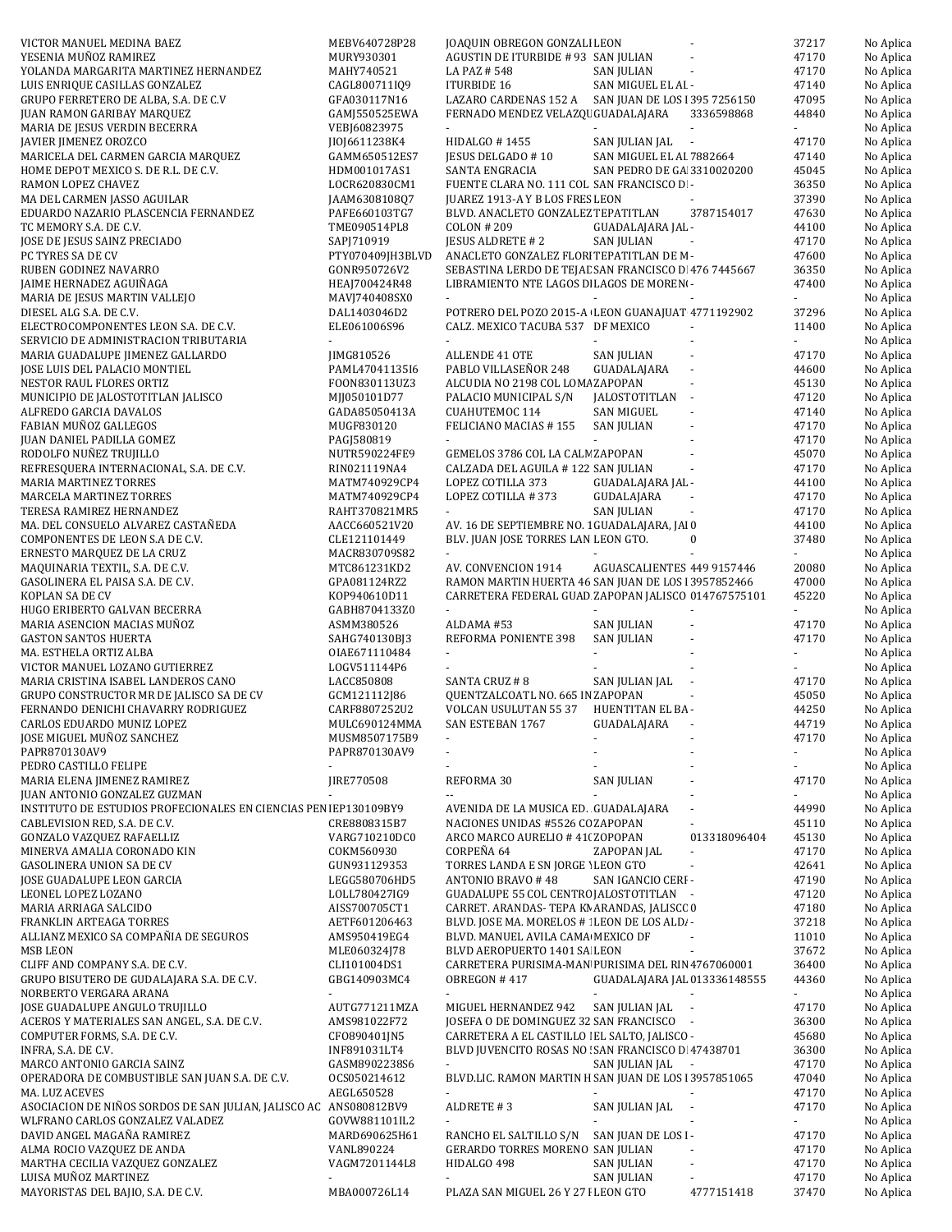| VICTOR MANUEL MEDINA BAEZ                                         | MEBV640728P28    | JOAQUIN OBREGON GONZALI LEON                         |                              |                          | 37217                    | No Aplica |
|-------------------------------------------------------------------|------------------|------------------------------------------------------|------------------------------|--------------------------|--------------------------|-----------|
| YESENIA MUÑOZ RAMIREZ                                             | MURY930301       | AGUSTIN DE ITURBIDE # 93 SAN JULIAN                  |                              |                          | 47170                    | No Aplica |
| YOLANDA MARGARITA MARTINEZ HERNANDEZ                              | MAHY740521       | LA PAZ # 548                                         | <b>SAN JULIAN</b>            |                          | 47170                    | No Aplica |
|                                                                   |                  |                                                      |                              |                          |                          |           |
| LUIS ENRIQUE CASILLAS GONZALEZ                                    | CAGL800711I09    | <b>ITURBIDE 16</b>                                   | SAN MIGUEL EL AI -           |                          | 47140                    | No Aplica |
| GRUPO FERRETERO DE ALBA, S.A. DE C.V                              | GFA030117N16     | LAZARO CARDENAS 152 A SAN JUAN DE LOS 1395 7256150   |                              |                          | 47095                    | No Aplica |
| <b>JUAN RAMON GARIBAY MARQUEZ</b>                                 | GAMJ550525EWA    | FERNADO MENDEZ VELAZQI GUADALAJARA                   |                              | 3336598868               | 44840                    | No Aplica |
|                                                                   |                  |                                                      |                              |                          |                          |           |
| MARIA DE JESUS VERDIN BECERRA                                     | VEBJ60823975     | $\sim$                                               |                              |                          | ÷.                       | No Aplica |
| JAVIER JIMENEZ OROZCO                                             | JI0J6611238K4    | HIDALGO #1455                                        | SAN JULIAN JAL<br>$\sim$     |                          | 47170                    | No Aplica |
|                                                                   |                  |                                                      |                              |                          |                          |           |
| MARICELA DEL CARMEN GARCIA MARQUEZ                                | GAMM650512ES7    | JESUS DELGADO # 10                                   | SAN MIGUEL EL AI 7882664     |                          | 47140                    | No Aplica |
| HOME DEPOT MEXICO S. DE R.L. DE C.V.                              | HDM001017AS1     | SANTA ENGRACIA                                       | SAN PEDRO DE GA 3310020200   |                          | 45045                    | No Aplica |
| RAMON LOPEZ CHAVEZ                                                | LOCR620830CM1    | FUENTE CLARA NO. 111 COL SAN FRANCISCO D -           |                              |                          | 36350                    | No Aplica |
|                                                                   |                  |                                                      |                              |                          |                          |           |
| MA DEL CARMEN JASSO AGUILAR                                       | JAAM6308108Q7    | JUAREZ 1913-A Y B LOS FRES LEON                      |                              |                          | 37390                    | No Aplica |
| EDUARDO NAZARIO PLASCENCIA FERNANDEZ                              | PAFE660103TG7    | BLVD. ANACLETO GONZALEZ TEPATITLAN                   |                              | 3787154017               | 47630                    | No Aplica |
| TC MEMORY S.A. DE C.V.                                            | TME090514PL8     | <b>COLON #209</b>                                    | GUADALAJARA JAL -            |                          | 44100                    | No Aplica |
|                                                                   |                  |                                                      |                              |                          |                          |           |
| JOSE DE JESUS SAINZ PRECIADO                                      | SAPJ710919       | <b>JESUS ALDRETE #2</b>                              | <b>SAN JULIAN</b>            |                          | 47170                    | No Aplica |
| PC TYRES SA DE CV                                                 | PTY070409JH3BLVD | ANACLETO GONZALEZ FLORI TEPATITLAN DE M-             |                              |                          | 47600                    | No Aplica |
|                                                                   |                  |                                                      |                              |                          |                          |           |
| RUBEN GODINEZ NAVARRO                                             | GONR950726V2     | SEBASTINA LERDO DE TEJAL SAN FRANCISCO D 476 7445667 |                              |                          | 36350                    | No Aplica |
| JAIME HERNADEZ AGUIÑAGA                                           | HEAJ700424R48    | LIBRAMIENTO NTE LAGOS DE LAGOS DE MORENO-            |                              |                          | 47400                    | No Aplica |
| MARIA DE JESUS MARTIN VALLEJO                                     | MAVJ740408SX0    | $\sim$                                               |                              |                          | ÷.                       | No Aplica |
|                                                                   |                  |                                                      |                              |                          |                          |           |
| DIESEL ALG S.A. DE C.V.                                           | DAL1403046D2     | POTRERO DEL POZO 2015-A LEON GUANAJUAT 4771192902    |                              |                          | 37296                    | No Aplica |
| ELECTROCOMPONENTES LEON S.A. DE C.V.                              | ELE061006S96     | CALZ. MEXICO TACUBA 537 DF MEXICO                    |                              |                          | 11400                    | No Aplica |
| SERVICIO DE ADMINISTRACION TRIBUTARIA                             |                  |                                                      |                              |                          |                          | No Aplica |
|                                                                   |                  |                                                      |                              |                          |                          |           |
| MARIA GUADALUPE JIMENEZ GALLARDO                                  | JIMG810526       | ALLENDE 41 OTE                                       | SAN JULIAN                   |                          | 47170                    | No Aplica |
| JOSE LUIS DEL PALACIO MONTIEL                                     | PAML47041135I6   | PABLO VILLASEÑOR 248                                 | GUADALAJARA                  |                          | 44600                    | No Aplica |
|                                                                   |                  |                                                      |                              |                          |                          |           |
| NESTOR RAUL FLORES ORTIZ                                          | FOON830113UZ3    | ALCUDIA NO 2198 COL LOMA ZAPOPAN                     |                              |                          | 45130                    | No Aplica |
| MUNICIPIO DE JALOSTOTITLAN JALISCO                                | MJJ050101D77     | PALACIO MUNICIPAL S/N                                | JALOSTOTITLAN -              |                          | 47120                    | No Aplica |
| ALFREDO GARCIA DAVALOS                                            | GADA85050413A    | CUAHUTEMOC 114                                       | <b>SAN MIGUEL</b>            |                          | 47140                    |           |
|                                                                   |                  |                                                      |                              |                          |                          | No Aplica |
| FABIAN MUÑOZ GALLEGOS                                             | MUGF830120       | FELICIANO MACIAS #155                                | <b>SAN JULIAN</b>            |                          | 47170                    | No Aplica |
| JUAN DANIEL PADILLA GOMEZ                                         | PAGJ580819       |                                                      |                              |                          | 47170                    | No Aplica |
|                                                                   |                  |                                                      |                              |                          |                          |           |
| RODOLFO NUÑEZ TRUJILLO                                            | NUTR590224FE9    | GEMELOS 3786 COL LA CALN ZAPOPAN                     |                              |                          | 45070                    | No Aplica |
| REFRESQUERA INTERNACIONAL, S.A. DE C.V.                           | RIN021119NA4     | CALZADA DEL AGUILA # 122 SAN JULIAN                  |                              |                          | 47170                    | No Aplica |
| <b>MARIA MARTINEZ TORRES</b>                                      | MATM740929CP4    | LOPEZ COTILLA 373                                    | GUADALAJARA JAL -            |                          | 44100                    | No Aplica |
|                                                                   |                  |                                                      |                              |                          |                          |           |
| MARCELA MARTINEZ TORRES                                           | MATM740929CP4    | LOPEZ COTILLA #373                                   | GUDALAJARA                   |                          | 47170                    | No Aplica |
| TERESA RAMIREZ HERNANDEZ                                          | RAHT370821MR5    | $\sim$                                               | <b>SAN JULIAN</b>            |                          | 47170                    | No Aplica |
|                                                                   |                  |                                                      |                              |                          |                          |           |
| MA. DEL CONSUELO ALVAREZ CASTAÑEDA                                | AACC660521V20    | AV. 16 DE SEPTIEMBRE NO. 1 GUADALAJARA, JAI 0        |                              |                          | 44100                    | No Aplica |
| COMPONENTES DE LEON S.A DE C.V.                                   | CLE121101449     | BLV. JUAN JOSE TORRES LAN LEON GTO.                  |                              | $\bf{0}$                 | 37480                    | No Aplica |
|                                                                   |                  |                                                      |                              |                          |                          |           |
| ERNESTO MARQUEZ DE LA CRUZ                                        | MACR830709S82    |                                                      |                              |                          |                          | No Aplica |
| MAQUINARIA TEXTIL, S.A. DE C.V.                                   | MTC861231KD2     | AV. CONVENCION 1914                                  | AGUASCALIENTES 449 9157446   |                          | 20080                    | No Aplica |
| GASOLINERA EL PAISA S.A. DE C.V.                                  | GPA081124RZ2     | RAMON MARTIN HUERTA 46 SAN JUAN DE LOS 13957852466   |                              |                          | 47000                    | No Aplica |
|                                                                   |                  |                                                      |                              |                          |                          |           |
| KOPLAN SA DE CV                                                   | K0P940610D11     | CARRETERA FEDERAL GUAD ZAPOPAN JALISCO 014767575101  |                              |                          | 45220                    | No Aplica |
| HUGO ERIBERTO GALVAN BECERRA                                      | GABH8704133Z0    | $\blacksquare$                                       |                              |                          | $\sim$                   | No Aplica |
| MARIA ASENCION MACIAS MUÑOZ                                       | ASMM380526       | ALDAMA #53                                           | <b>SAN JULIAN</b>            |                          | 47170                    |           |
|                                                                   |                  |                                                      |                              |                          |                          | No Aplica |
| <b>GASTON SANTOS HUERTA</b>                                       | SAHG740130BJ3    | REFORMA PONIENTE 398                                 | <b>SAN JULIAN</b>            |                          | 47170                    | No Aplica |
| MA. ESTHELA ORTIZ ALBA                                            | OIAE671110484    | $\blacksquare$                                       |                              |                          | $\sim$                   | No Aplica |
|                                                                   |                  |                                                      |                              |                          |                          |           |
| VICTOR MANUEL LOZANO GUTIERREZ                                    | LOGV511144P6     |                                                      |                              |                          |                          | No Aplica |
| MARIA CRISTINA ISABEL LANDEROS CANO                               | LACC850808       | SANTA CRUZ # 8                                       | SAN JULIAN JAL               |                          | 47170                    | No Aplica |
| GRUPO CONSTRUCTOR MR DE JALISCO SA DE CV                          | GCM121112J86     | QUENTZALCOATL NO. 665 IN ZAPOPAN                     |                              |                          | 45050                    | No Aplica |
|                                                                   |                  |                                                      |                              |                          |                          |           |
| FERNANDO DENICHI CHAVARRY RODRIGUEZ                               | CARF8807252U2    | <b>VOLCAN USULUTAN 55 37</b>                         | HUENTITAN EL BA-             |                          | 44250                    | No Aplica |
| CARLOS EDUARDO MUNIZ LOPEZ                                        | MULC690124MMA    | SAN ESTEBAN 1767                                     | GUADALAJARA                  |                          | 44719                    | No Aplica |
|                                                                   |                  |                                                      |                              |                          |                          |           |
| JOSE MIGUEL MUÑOZ SANCHEZ                                         | MUSM8507175B9    |                                                      |                              |                          | 47170                    | No Aplica |
| PAPR870130AV9                                                     | PAPR870130AV9    |                                                      |                              |                          | $\overline{\phantom{a}}$ | No Aplica |
| PEDRO CASTILLO FELIPE                                             |                  |                                                      |                              |                          |                          | No Aplica |
|                                                                   |                  |                                                      |                              |                          |                          |           |
| MARIA ELENA JIMENEZ RAMIREZ                                       | JIRE770508       | REFORMA 30                                           | <b>SAN JULIAN</b>            |                          | 47170                    | No Aplica |
| JUAN ANTONIO GONZALEZ GUZMAN                                      |                  |                                                      |                              |                          |                          | No Aplica |
|                                                                   |                  |                                                      |                              |                          |                          |           |
| INSTITUTO DE ESTUDIOS PROFECIONALES EN CIENCIAS PEN IEP130109BY9  |                  | AVENIDA DE LA MUSICA ED. GUADALAJARA                 |                              |                          |                          |           |
| CABLEVISION RED, S.A. DE C.V.                                     |                  |                                                      |                              |                          | 44990                    | No Aplica |
|                                                                   | CRE8808315B7     | NACIONES UNIDAS #5526 CC ZAPOPAN                     |                              |                          | 45110                    | No Aplica |
|                                                                   |                  |                                                      |                              |                          |                          |           |
| GONZALO VAZQUEZ RAFAELLIZ                                         | VARG710210DC0    | ARCO MARCO AURELIO # 41(ZOPOPAN                      |                              | 013318096404             | 45130                    | No Aplica |
| MINERVA AMALIA CORONADO KIN                                       | COKM560930       | CORPEÑA 64                                           | ZAPOPAN JAL                  |                          | 47170                    | No Aplica |
| <b>GASOLINERA UNION SA DE CV</b>                                  | GUN931129353     | TORRES LANDA E SN JORGE 1 LEON GTO                   |                              | $\overline{\phantom{a}}$ | 42641                    | No Aplica |
|                                                                   |                  |                                                      |                              |                          |                          |           |
| JOSE GUADALUPE LEON GARCIA                                        | LEGG580706HD5    | ANTONIO BRAVO #48                                    | SAN IGANCIO CERI -           |                          | 47190                    | No Aplica |
| LEONEL LOPEZ LOZANO                                               | LOLL780427IG9    | GUADALUPE 55 COL CENTRO JALOSTOTITLAN -              |                              |                          | 47120                    | No Aplica |
|                                                                   |                  |                                                      |                              |                          |                          |           |
| MARIA ARRIAGA SALCIDO                                             | AISS700705CT1    | CARRET. ARANDAS- TEPA KN ARANDAS, JALISCC 0          |                              |                          | 47180                    | No Aplica |
| FRANKLIN ARTEAGA TORRES                                           | AETF601206463    | BLVD. JOSE MA. MORELOS # : LEON DE LOS ALD. -        |                              |                          | 37218                    | No Aplica |
|                                                                   |                  |                                                      |                              |                          |                          |           |
| ALLIANZ MEXICO SA COMPAÑIA DE SEGUROS                             | AMS950419EG4     | BLVD. MANUEL AVILA CAMA MEXICO DF                    |                              |                          | 11010                    | No Aplica |
| <b>MSB LEON</b>                                                   | MLE060324J78     | BLVD AEROPUERTO 1401 SA LEON                         |                              |                          | 37672                    | No Aplica |
| CLIFF AND COMPANY S.A. DE C.V.                                    | CLI101004DS1     | CARRETERA PURISIMA-MAN PURISIMA DEL RIN 4767060001   |                              |                          | 36400                    | No Aplica |
|                                                                   |                  |                                                      |                              |                          |                          |           |
| GRUPO BISUTERO DE GUDALAJARA S.A. DE C.V.                         | GBG140903MC4     | OBREGON #417                                         | GUADALAJARA JAL 013336148555 |                          | 44360                    | No Aplica |
| NORBERTO VERGARA ARANA                                            |                  |                                                      | ÷.                           |                          | ä,                       | No Aplica |
| JOSE GUADALUPE ANGULO TRUJILLO                                    | AUTG771211MZA    | MIGUEL HERNANDEZ 942                                 | SAN JULIAN JAL               |                          | 47170                    | No Aplica |
|                                                                   |                  |                                                      |                              |                          |                          |           |
| ACEROS Y MATERIALES SAN ANGEL, S.A. DE C.V.                       | AMS981022F72     | JOSEFA O DE DOMINGUEZ 32 SAN FRANCISCO -             |                              |                          | 36300                    | No Aplica |
| COMPUTER FORMS, S.A. DE C.V.                                      | CF0890401JN5     | CARRETERA A EL CASTILLO   EL SALTO, JALISCO -        |                              |                          | 45680                    | No Aplica |
|                                                                   |                  |                                                      |                              |                          |                          |           |
| INFRA, S.A. DE C.V.                                               | INF891031LT4     | BLVD JUVENCITO ROSAS NO SAN FRANCISCO D 47438701     |                              |                          | 36300                    | No Aplica |
| MARCO ANTONIO GARCIA SAINZ                                        | GASM8902238S6    |                                                      | SAN JULIAN JAL               |                          | 47170                    | No Aplica |
|                                                                   |                  |                                                      |                              |                          |                          |           |
| OPERADORA DE COMBUSTIBLE SAN JUAN S.A. DE C.V.                    | OCS050214612     | BLVD.LIC. RAMON MARTIN H SAN JUAN DE LOS 13957851065 |                              |                          | 47040                    | No Aplica |
| MA. LUZ ACEVES                                                    | AEGL650528       |                                                      |                              |                          | 47170                    | No Aplica |
| ASOCIACION DE NIÑOS SORDOS DE SAN JULIAN, JALISCO AC ANS080812BV9 |                  | ALDRETE #3                                           | SAN JULIAN JAL               | $\overline{\phantom{a}}$ | 47170                    | No Aplica |
|                                                                   |                  |                                                      |                              |                          |                          |           |
| WLFRANO CARLOS GONZALEZ VALADEZ                                   | GOVW881101IL2    |                                                      |                              |                          |                          | No Aplica |
| DAVID ANGEL MAGAÑA RAMIREZ                                        | MARD690625H61    | RANCHO EL SALTILLO S/N                               | SAN JUAN DE LOS I-           |                          | 47170                    | No Aplica |
|                                                                   |                  |                                                      |                              |                          |                          |           |
| ALMA ROCIO VAZQUEZ DE ANDA                                        | VANL890224       | GERARDO TORRES MORENO SAN JULIAN                     |                              |                          | 47170                    | No Aplica |
| MARTHA CECILIA VAZQUEZ GONZALEZ                                   | VAGM7201144L8    | HIDALGO 498                                          | SAN JULIAN                   |                          | 47170                    | No Aplica |
| LUISA MUÑOZ MARTINEZ                                              |                  |                                                      | SAN JULIAN                   |                          | 47170                    | No Aplica |
| MAYORISTAS DEL BAJIO, S.A. DE C.V.                                | MBA000726L14     | PLAZA SAN MIGUEL 26 Y 27 I LEON GTO                  |                              | 4777151418               | 37470                    | No Aplica |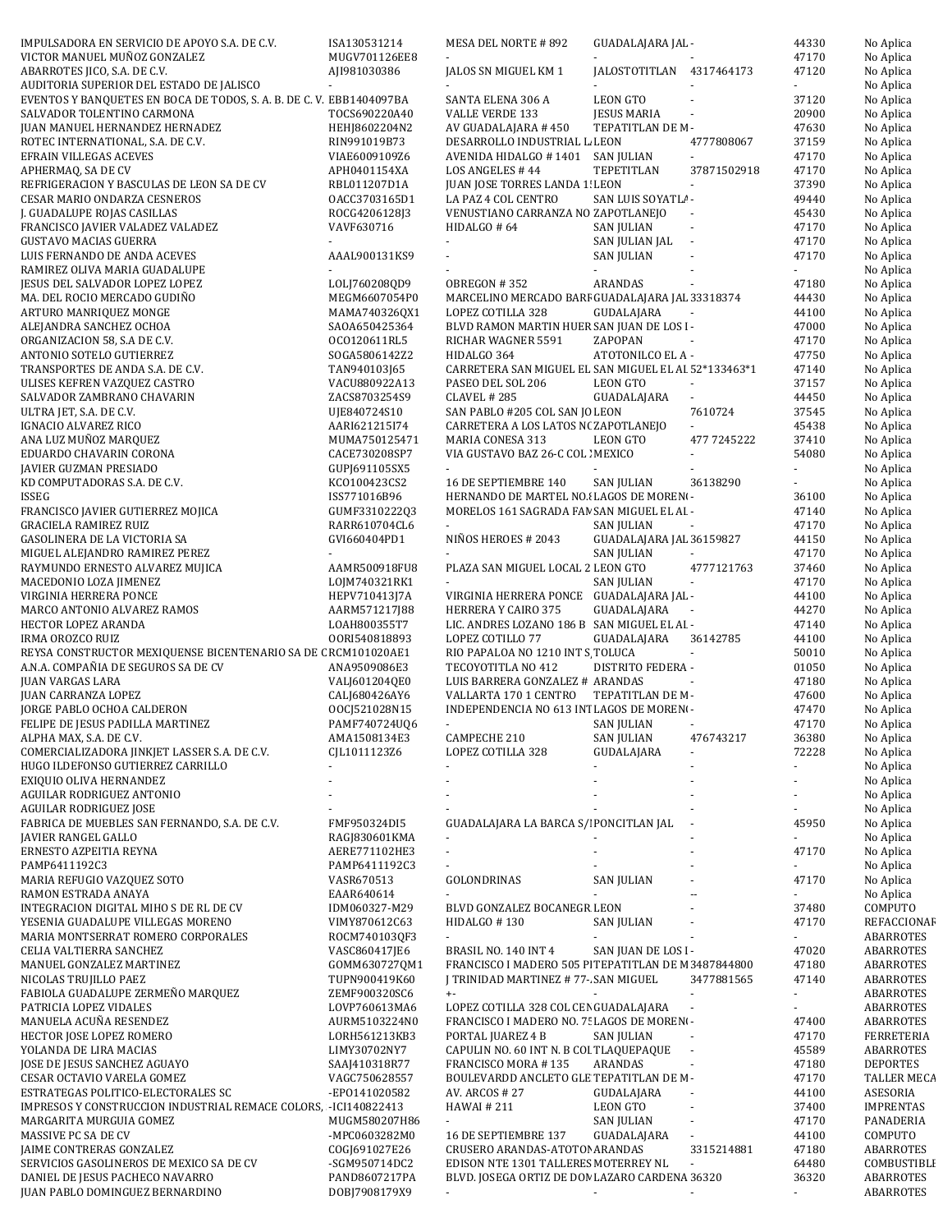| IMPULSADORA EN SERVICIO DE APOYO S.A. DE C.V.                        | ISA130531214                   | MESA DEL NORTE # 892                                 | GUADALAJARA JAL -        |                             | 44330 | No Aplica              |
|----------------------------------------------------------------------|--------------------------------|------------------------------------------------------|--------------------------|-----------------------------|-------|------------------------|
| VICTOR MANUEL MUÑOZ GONZALEZ                                         | MUGV701126EE8                  |                                                      |                          |                             | 47170 | No Aplica              |
| ABARROTES JICO, S.A. DE C.V.                                         | AJI981030386                   | JALOS SN MIGUEL KM 1                                 | JALOSTOTITLAN 4317464173 |                             | 47120 | No Aplica              |
| AUDITORIA SUPERIOR DEL ESTADO DE JALISCO                             |                                |                                                      |                          |                             |       | No Aplica              |
| EVENTOS Y BANQUETES EN BOCA DE TODOS, S. A. B. DE C. V. EBB1404097BA |                                | SANTA ELENA 306 A                                    | <b>LEON GTO</b>          |                             | 37120 | No Aplica              |
| SALVADOR TOLENTINO CARMONA                                           | TOCS690220A40                  | <b>VALLE VERDE 133</b>                               | <b>JESUS MARIA</b>       |                             | 20900 | No Aplica              |
| JUAN MANUEL HERNANDEZ HERNADEZ                                       | HEHJ8602204N2                  | AV GUADALAJARA # 450                                 | TEPATITLAN DE M-         |                             | 47630 | No Aplica              |
| ROTEC INTERNATIONAL, S.A. DE C.V.                                    | RIN991019B73                   | DESARROLLO INDUSTRIAL L. LEON                        |                          | 4777808067                  | 37159 | No Aplica              |
| EFRAIN VILLEGAS ACEVES                                               | VIAE6009109Z6                  | AVENIDA HIDALGO # 1401                               | SAN JULIAN               | $\sim$                      | 47170 | No Aplica              |
| APHERMAQ, SA DE CV                                                   | APH0401154XA                   | LOS ANGELES #44                                      | TEPETITLAN               | 37871502918                 | 47170 | No Aplica              |
| REFRIGERACION Y BASCULAS DE LEON SA DE CV                            | RBL011207D1A                   | JUAN JOSE TORRES LANDA 1! LEON                       |                          | $\overline{\phantom{a}}$    | 37390 | No Aplica              |
| CESAR MARIO ONDARZA CESNEROS                                         | OACC3703165D1                  | LA PAZ 4 COL CENTRO                                  | SAN LUIS SOYATL! -       |                             | 49440 | No Aplica              |
| J. GUADALUPE ROJAS CASILLAS                                          | ROCG4206128J3                  | VENUSTIANO CARRANZA NO ZAPOTLANEJO                   |                          | $\overline{\phantom{a}}$    | 45430 | No Aplica              |
| FRANCISCO JAVIER VALADEZ VALADEZ                                     | VAVF630716                     | HIDALGO # 64                                         | <b>SAN JULIAN</b>        | $\mathcal{L}_{\mathcal{A}}$ | 47170 | No Aplica              |
| <b>GUSTAVO MACIAS GUERRA</b>                                         |                                | ÷.                                                   | SAN JULIAN JAL           | $\mathcal{L}_{\mathcal{A}}$ | 47170 | No Aplica              |
| LUIS FERNANDO DE ANDA ACEVES                                         | AAAL900131KS9                  |                                                      | <b>SAN JULIAN</b>        |                             | 47170 | No Aplica              |
| RAMIREZ OLIVA MARIA GUADALUPE                                        |                                |                                                      |                          |                             |       | No Aplica              |
| JESUS DEL SALVADOR LOPEZ LOPEZ                                       | LOLJ760208QD9                  | OBREGON #352                                         | ARANDAS                  | $\sim$                      | 47180 | No Aplica              |
| MA. DEL ROCIO MERCADO GUDIÑO                                         | MEGM6607054P0                  | MARCELINO MERCADO BARF GUADALAJARA JAL 33318374      |                          |                             | 44430 | No Aplica              |
| ARTURO MANRIQUEZ MONGE                                               | MAMA740326QX1                  | LOPEZ COTILLA 328                                    | GUDALAJARA               |                             | 44100 | No Aplica              |
| ALEJANDRA SANCHEZ OCHOA                                              | SAOA650425364                  | BLVD RAMON MARTIN HUER SAN JUAN DE LOS I-            |                          |                             | 47000 | No Aplica              |
| ORGANIZACION 58, S.A DE C.V.                                         | OCO120611RL5                   | RICHAR WAGNER 5591                                   | ZAPOPAN                  |                             | 47170 | No Aplica              |
| ANTONIO SOTELO GUTIERREZ                                             | SOGA5806142Z2                  | HIDALGO 364                                          | ATOTONILCO EL A -        |                             | 47750 | No Aplica              |
| TRANSPORTES DE ANDA S.A. DE C.V.                                     | TAN940103J65                   | CARRETERA SAN MIGUEL EL SAN MIGUEL EL AI 52*133463*1 |                          |                             | 47140 | No Aplica              |
| ULISES KEFREN VAZQUEZ CASTRO                                         | VACU880922A13                  | PASEO DEL SOL 206                                    | <b>LEON GTO</b>          |                             | 37157 | No Aplica              |
| SALVADOR ZAMBRANO CHAVARIN                                           | ZACS8703254S9                  | CLAVEL # 285                                         | GUADALAJARA              | $\blacksquare$              | 44450 | No Aplica              |
| ULTRA JET, S.A. DE C.V.                                              | UJE840724S10                   | SAN PABLO #205 COL SAN JO LEON                       |                          | 7610724                     | 37545 | No Aplica              |
| IGNACIO ALVAREZ RICO                                                 | AARI621215I74                  | CARRETERA A LOS LATOS N(ZAPOTLANEJO                  |                          |                             | 45438 | No Aplica              |
| ANA LUZ MUÑOZ MARQUEZ                                                | MUMA750125471                  | MARIA CONESA 313                                     | <b>LEON GTO</b>          | 477 7245222                 | 37410 | No Aplica              |
| EDUARDO CHAVARIN CORONA                                              | CACE730208SP7                  | VIA GUSTAVO BAZ 26-C COL : MEXICO                    |                          | ÷.                          | 54080 | No Aplica              |
| JAVIER GUZMAN PRESIADO                                               | GUPJ691105SX5                  |                                                      |                          |                             |       | No Aplica              |
| KD COMPUTADORAS S.A. DE C.V.                                         | KC0100423CS2                   | 16 DE SEPTIEMBRE 140                                 | <b>SAN JULIAN</b>        | 36138290                    |       | No Aplica              |
| ISSEG                                                                | ISS771016B96                   | HERNANDO DE MARTEL NO.I LAGOS DE MOREN-              |                          |                             | 36100 | No Aplica              |
| FRANCISCO JAVIER GUTIERREZ MOJICA                                    | GUMF3310222Q3                  | MORELOS 161 SAGRADA FAN SAN MIGUEL EL AI -           |                          |                             | 47140 | No Aplica              |
| <b>GRACIELA RAMIREZ RUIZ</b>                                         | RARR610704CL6                  |                                                      | SAN JULIAN               |                             | 47170 | No Aplica              |
| GASOLINERA DE LA VICTORIA SA                                         | GVI660404PD1                   | NIÑOS HEROES # 2043                                  | GUADALAJARA JAL 36159827 |                             | 44150 | No Aplica              |
| MIGUEL ALEJANDRO RAMIREZ PEREZ                                       |                                |                                                      | <b>SAN JULIAN</b>        |                             | 47170 | No Aplica              |
| RAYMUNDO ERNESTO ALVAREZ MUJICA                                      | AAMR500918FU8                  | PLAZA SAN MIGUEL LOCAL 2 LEON GTO                    |                          | 4777121763                  | 37460 | No Aplica              |
| MACEDONIO LOZA JIMENEZ                                               | LOJM740321RK1                  |                                                      | <b>SAN JULIAN</b>        | $\overline{\phantom{a}}$    | 47170 | No Aplica              |
| VIRGINIA HERRERA PONCE                                               | HEPV710413J7A                  | VIRGINIA HERRERA PONCE GUADALAJARA JAL -             |                          |                             | 44100 | No Aplica              |
| MARCO ANTONIO ALVAREZ RAMOS                                          | AARM571217J88                  | HERRERA Y CAIRO 375                                  | GUADALAJARA              |                             | 44270 | No Aplica              |
| HECTOR LOPEZ ARANDA                                                  | LOAH800355T7                   | LIC. ANDRES LOZANO 186 B SAN MIGUEL EL AI -          |                          |                             | 47140 | No Aplica              |
| <b>IRMA OROZCO RUIZ</b>                                              | 00RI540818893                  | LOPEZ COTILLO 77                                     | GUADALAJARA              | 36142785                    | 44100 | No Aplica              |
| REYSA CONSTRUCTOR MEXIQUENSE BICENTENARIO SA DE C RCM101020AE1       |                                | RIO PAPALOA NO 1210 INT S TOLUCA                     |                          | $\sim$                      | 50010 | No Aplica              |
| A.N.A. COMPAÑIA DE SEGUROS SA DE CV                                  | ANA9509086E3                   | TECOYOTITLA NO 412                                   | DISTRITO FEDERA -        |                             | 01050 | No Aplica              |
| <b>JUAN VARGAS LARA</b>                                              | VALJ601204QE0                  | LUIS BARRERA GONZALEZ # ARANDAS                      |                          | $\sim$                      | 47180 | No Aplica              |
| JUAN CARRANZA LOPEZ                                                  | CALJ680426AY6                  | VALLARTA 170 1 CENTRO                                | TEPATITLAN DE M-         |                             | 47600 | No Aplica              |
| JORGE PABLO OCHOA CALDERON                                           | 00CJ521028N15                  | INDEPENDENCIA NO 613 INTLAGOS DE MORENO-             |                          |                             | 47470 | No Aplica              |
| FELIPE DE JESUS PADILLA MARTINEZ                                     | PAMF740724UQ6                  |                                                      | SAN JULIAN               |                             | 47170 | No Aplica              |
| ALPHA MAX, S.A. DE C.V.                                              | AMA1508134E3                   | CAMPECHE 210                                         | <b>SAN JULIAN</b>        | 476743217                   | 36380 | No Aplica              |
| COMERCIALIZADORA JINKJET LASSER S.A. DE C.V.                         | CJL1011123Z6                   | LOPEZ COTILLA 328                                    | GUDALAJARA               | $\blacksquare$              |       |                        |
| HUGO ILDEFONSO GUTIERREZ CARRILLO                                    |                                |                                                      |                          |                             | 72228 | No Aplica              |
|                                                                      |                                |                                                      |                          |                             |       | No Aplica              |
| EXIQUIO OLIVA HERNANDEZ                                              |                                |                                                      |                          |                             |       | No Aplica              |
| AGUILAR RODRIGUEZ ANTONIO                                            |                                |                                                      |                          |                             |       | No Aplica              |
| <b>AGUILAR RODRIGUEZ JOSE</b>                                        |                                |                                                      |                          |                             |       | No Aplica              |
| FABRICA DE MUEBLES SAN FERNANDO, S.A. DE C.V.                        | FMF950324DI5                   | GUADALAJARA LA BARCA S/I PONCITLAN JAL               |                          |                             | 45950 | No Aplica              |
| JAVIER RANGEL GALLO                                                  | RAGJ830601KMA                  |                                                      |                          |                             |       | No Aplica              |
| ERNESTO AZPEITIA REYNA                                               | AERE771102HE3                  | $\blacksquare$                                       |                          |                             | 47170 | No Aplica              |
| PAMP6411192C3                                                        | PAMP6411192C3                  |                                                      |                          |                             |       | No Aplica              |
| MARIA REFUGIO VAZQUEZ SOTO                                           | VASR670513                     | GOLONDRINAS                                          | SAN JULIAN               |                             | 47170 | No Aplica              |
| RAMON ESTRADA ANAYA                                                  | EAAR640614                     |                                                      |                          | $\overline{\phantom{a}}$    |       | No Aplica              |
| INTEGRACION DIGITAL MIHO S DE RL DE CV                               | IDM060327-M29                  | BLVD GONZALEZ BOCANEGR LEON                          |                          |                             | 37480 | COMPUTO                |
| YESENIA GUADALUPE VILLEGAS MORENO                                    | VIMY870612C63                  | HIDALGO #130                                         | SAN JULIAN               |                             | 47170 | REFACCIONAF            |
| MARIA MONTSERRAT ROMERO CORPORALES                                   | ROCM740103QF3                  |                                                      |                          |                             |       | ABARROTES              |
| CELIA VALTIERRA SANCHEZ                                              | VASC860417JE6                  | BRASIL NO. 140 INT 4                                 | SAN JUAN DE LOS I-       |                             | 47020 | ABARROTES              |
| MANUEL GONZALEZ MARTINEZ                                             | GOMM630727QM1                  | FRANCISCO I MADERO 505 PI TEPATITLAN DE M 3487844800 |                          |                             | 47180 | ABARROTES              |
| NICOLAS TRUJILLO PAEZ                                                | TUPN900419K60                  | J TRINIDAD MARTINEZ # 77- SAN MIGUEL                 |                          | 3477881565                  | 47140 | ABARROTES              |
| FABIOLA GUADALUPE ZERMEÑO MARQUEZ                                    | ZEMF900320SC6                  | $+ -$                                                |                          | ×.                          | ÷.    | ABARROTES              |
| PATRICIA LOPEZ VIDALES                                               | LOVP760613MA6                  | LOPEZ COTILLA 328 COL CEN GUADALAJARA                |                          | $\overline{\phantom{a}}$    | ÷,    | ABARROTES              |
| MANUELA ACUÑA RESENDEZ                                               | AURM5103224N0                  | FRANCISCO I MADERO NO. 7! LAGOS DE MOREN-            |                          |                             | 47400 | ABARROTES              |
| HECTOR JOSE LOPEZ ROMERO                                             | LORH561213KB3                  | PORTAL JUAREZ 4 B                                    | <b>SAN JULIAN</b>        | $\bar{a}$                   | 47170 | <b>FERRETERIA</b>      |
| YOLANDA DE LIRA MACIAS                                               | LIMY30702NY7                   | CAPULIN NO. 60 INT N. B COI TLAQUEPAQUE              |                          |                             | 45589 | ABARROTES              |
| JOSE DE JESUS SANCHEZ AGUAYO                                         | SAAJ410318R77                  | FRANCISCO MORA #135                                  | ARANDAS                  |                             | 47180 | <b>DEPORTES</b>        |
| CESAR OCTAVIO VARELA GOMEZ                                           | VAGC750628557                  | BOULEVARDD ANCLETO GLE TEPATITLAN DE M-              |                          |                             | 47170 | TALLER MECA            |
| ESTRATEGAS POLITICO-ELECTORALES SC                                   | -EP0141020582                  | AV. ARCOS # 27                                       | GUDALAJARA               |                             | 44100 | ASESORIA               |
| IMPRESOS Y CONSTRUCCION INDUSTRIAL REMACE COLORS, -ICI140822413      |                                | HAWAI # 211                                          | LEON GTO                 |                             | 37400 | <b>IMPRENTAS</b>       |
| MARGARITA MURGUIA GOMEZ                                              | MUGM580207H86                  | ÷.                                                   | SAN JULIAN               |                             | 47170 | PANADERIA              |
| MASSIVE PC SA DE CV                                                  | -MPC0603282M0                  | 16 DE SEPTIEMBRE 137                                 | GUADALAJARA              |                             | 44100 | COMPUTO                |
| JAIME CONTRERAS GONZALEZ                                             | COGJ691027E26                  | CRUSERO ARANDAS-ATOTOP ARANDAS                       |                          | 3315214881                  | 47180 | ABARROTES              |
| SERVICIOS GASOLINEROS DE MEXICO SA DE CV                             | -SGM950714DC2                  | EDISON NTE 1301 TALLERES MOTERREY NL                 |                          | ä,                          | 64480 | COMBUSTIBLE            |
| DANIEL DE JESUS PACHECO NAVARRO<br>JUAN PABLO DOMINGUEZ BERNARDINO   | PAND8607217PA<br>DOBJ7908179X9 | BLVD. JOSEGA ORTIZ DE DON LAZARO CARDENA 36320       |                          |                             | 36320 | ABARROTES<br>ABARROTES |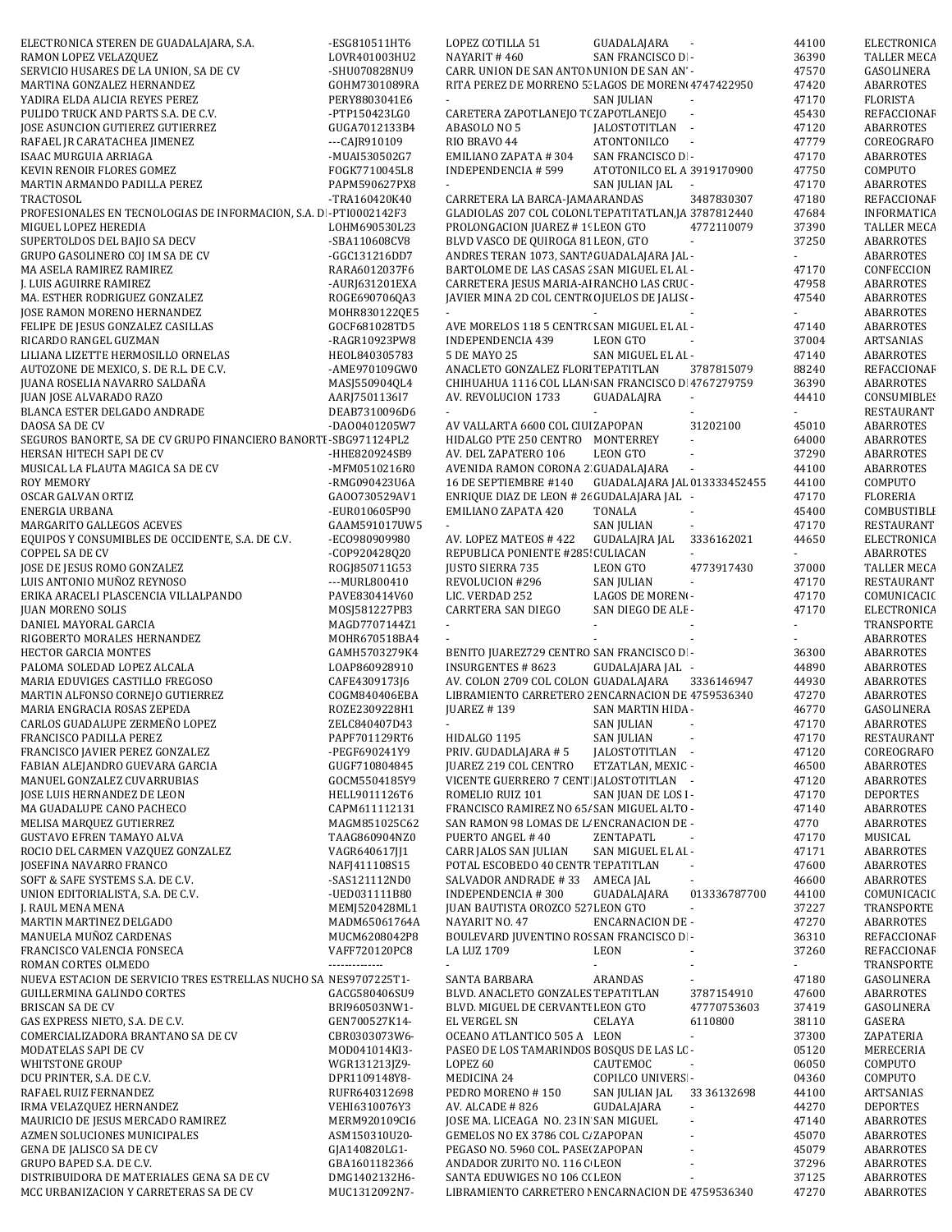| ELECTRONICA STEREN DE GUADALAJARA, S.A.                           | -ESG810511HT6   | LOPEZ COTILLA 51                                     | GUADALAJARA                  |                             | 44100    | ELECTRONICA        |
|-------------------------------------------------------------------|-----------------|------------------------------------------------------|------------------------------|-----------------------------|----------|--------------------|
| RAMON LOPEZ VELAZQUEZ                                             | LOVR401003HU2   | NAYARIT #460                                         | SAN FRANCISCO D. -           |                             | 36390    | TALLER MECA        |
| SERVICIO HUSARES DE LA UNION, SA DE CV                            |                 | CARR. UNION DE SAN ANTON UNION DE SAN AN -           |                              |                             | 47570    |                    |
|                                                                   | -SHU070828NU9   |                                                      |                              |                             |          | GASOLINERA         |
| MARTINA GONZALEZ HERNANDEZ                                        | GOHM7301089RA   | RITA PEREZ DE MORRENO 5. LAGOS DE MOREN 4747422950   |                              |                             | 47420    | ABARROTES          |
| YADIRA ELDA ALICIA REYES PEREZ                                    | PERY8803041E6   |                                                      | SAN JULIAN                   |                             | 47170    | <b>FLORISTA</b>    |
| PULIDO TRUCK AND PARTS S.A. DE C.V.                               | -PTP150423LG0   | CARETERA ZAPOTLANEJO T(ZAPOTLANEJO                   |                              |                             | 45430    | REFACCIONAF        |
| JOSE ASUNCION GUTIEREZ GUTIERREZ                                  | GUGA7012133B4   | ABASOLO NO 5                                         | JALOSTOTITLAN -              |                             | 47120    | ABARROTES          |
| RAFAEL JR CARATACHEA JIMENEZ                                      | $-CA$ $R910109$ | RIO BRAVO 44                                         | ATONTONILCO<br>$\sim$ $\sim$ |                             | 47779    | COREOGRAFO         |
| ISAAC MURGUIA ARRIAGA                                             | -MUAI530502G7   | <b>EMILIANO ZAPATA #304</b>                          | SAN FRANCISCO D. -           |                             | 47170    | ABARROTES          |
| KEVIN RENOIR FLORES GOMEZ                                         | FOGK7710045L8   | <b>INDEPENDENCIA #599</b>                            | ATOTONILCO EL A 3919170900   |                             | 47750    | COMPUTO            |
| MARTIN ARMANDO PADILLA PEREZ                                      | PAPM590627PX8   | $\sim$                                               | SAN JULIAN JAL               | $\overline{\phantom{a}}$    | 47170    | <b>ABARROTES</b>   |
| TRACTOSOL                                                         | -TRA160420K40   | CARRETERA LA BARCA-JAMA ARANDAS                      |                              | 3487830307                  | 47180    | REFACCIONAF        |
| PROFESIONALES EN TECNOLOGIAS DE INFORMACION, S.A. DI-PTI0002142F3 |                 | GLADIOLAS 207 COL COLONI TEPATITATLAN, JA 3787812440 |                              |                             | 47684    | <b>INFORMATICA</b> |
| MIGUEL LOPEZ HEREDIA                                              | LOHM690530L23   | PROLONGACION JUAREZ #1! LEON GTO                     |                              | 4772110079                  | 37390    | <b>TALLER MECA</b> |
| SUPERTOLDOS DEL BAJIO SA DECV                                     | -SBA110608CV8   | BLVD VASCO DE QUIROGA 81 LEON, GTO                   |                              | $\omega$                    | 37250    | <b>ABARROTES</b>   |
| GRUPO GASOLINERO COJ IM SA DE CV                                  | -GGC131216DD7   | ANDRES TERAN 1073, SANT/ GUADALAJARA JAL -           |                              |                             |          | ABARROTES          |
| MA ASELA RAMIREZ RAMIREZ                                          | RARA6012037F6   | BARTOLOME DE LAS CASAS : SAN MIGUEL EL AI -          |                              |                             | 47170    | CONFECCION         |
|                                                                   |                 |                                                      |                              |                             | 47958    |                    |
| J. LUIS AGUIRRE RAMIREZ                                           | -AURJ631201EXA  | CARRETERA JESUS MARIA-AI RANCHO LAS CRU( -           |                              |                             |          | ABARROTES          |
| MA. ESTHER RODRIGUEZ GONZALEZ                                     | ROGE690706QA3   | JAVIER MINA 2D COL CENTRI OJUELOS DE JALISI -        |                              |                             | 47540    | ABARROTES          |
| JOSE RAMON MORENO HERNANDEZ                                       | MOHR830122QE5   |                                                      |                              |                             |          | ABARROTES          |
| FELIPE DE JESUS GONZALEZ CASILLAS                                 | GOCF681028TD5   | AVE MORELOS 118 5 CENTR( SAN MIGUEL EL AI -          |                              |                             | 47140    | <b>ABARROTES</b>   |
| RICARDO RANGEL GUZMAN                                             | -RAGR10923PW8   | INDEPENDENCIA 439                                    | LEON GTO                     |                             | 37004    | ARTSANIAS          |
| LILIANA LIZETTE HERMOSILLO ORNELAS                                | HEOL840305783   | 5 DE MAYO 25                                         | SAN MIGUEL EL AI -           |                             | 47140    | <b>ABARROTES</b>   |
| AUTOZONE DE MEXICO, S. DE R.L. DE C.V.                            | -AME970109GW0   | ANACLETO GONZALEZ FLORI TEPATITLAN                   |                              | 3787815079                  | 88240    | REFACCIONAF        |
| JUANA ROSELIA NAVARRO SALDAÑA                                     | MASJ550904QL4   | CHIHUAHUA 1116 COL LLAN SAN FRANCISCO D 4767279759   |                              |                             | 36390    | <b>ABARROTES</b>   |
| JUAN JOSE ALVARADO RAZO                                           | AARJ7501136I7   | AV. REVOLUCION 1733                                  | <b>GUADALAJRA</b>            | $\sim$                      | 44410    | <b>CONSUMIBLES</b> |
| BLANCA ESTER DELGADO ANDRADE                                      | DEAB7310096D6   | $\sim$                                               |                              |                             | ÷.       | RESTAURANT         |
| DAOSA SA DE CV                                                    | -DA00401205W7   | AV VALLARTA 6600 COL CIUI ZAPOPAN                    |                              | 31202100                    | 45010    | ABARROTES          |
| SEGUROS BANORTE, SA DE CV GRUPO FINANCIERO BANORTI-SBG971124PL2   |                 | HIDALGO PTE 250 CENTRO MONTERREY                     |                              |                             | 64000    | ABARROTES          |
| HERSAN HITECH SAPI DE CV                                          | -HHE820924SB9   | AV. DEL ZAPATERO 106                                 | LEON GTO                     | ÷,                          | 37290    | ABARROTES          |
| MUSICAL LA FLAUTA MAGICA SA DE CV                                 | -MFM0510216R0   | AVENIDA RAMON CORONA 2 GUADALAJARA                   |                              |                             | 44100    | ABARROTES          |
| ROY MEMORY                                                        | -RMG090423U6A   | 16 DE SEPTIEMBRE #140                                | GUADALAJARA JAL 013333452455 |                             | 44100    | COMPUTO            |
| OSCAR GALVAN ORTIZ                                                | GA00730529AV1   | ENRIQUE DIAZ DE LEON # 26 GUDALAJARA JAL -           |                              |                             | 47170    | <b>FLORERIA</b>    |
|                                                                   |                 |                                                      |                              |                             |          |                    |
| ENERGIA URBANA                                                    | -EUR010605P90   | EMILIANO ZAPATA 420                                  | <b>TONALA</b>                |                             | 45400    | COMBUSTIBLI        |
| MARGARITO GALLEGOS ACEVES                                         | GAAM591017UW5   |                                                      | <b>SAN JULIAN</b>            |                             | 47170    | RESTAURANT         |
| EQUIPOS Y CONSUMIBLES DE OCCIDENTE, S.A. DE C.V.                  | -EC0980909980   | AV. LOPEZ MATEOS #422                                | <b>GUDALAJRA JAL</b>         | 3336162021                  | 44650    | ELECTRONICA        |
| <b>COPPEL SA DE CV</b>                                            | -COP920428Q20   | REPUBLICA PONIENTE #285! CULIACAN                    |                              | $\omega$                    |          | ABARROTES          |
| JOSE DE JESUS ROMO GONZALEZ                                       | ROGJ850711G53   | <b>JUSTO SIERRA 735</b>                              | LEON GTO                     | 4773917430                  | 37000    | <b>TALLER MECA</b> |
| LUIS ANTONIO MUÑOZ REYNOSO                                        | --- MURL800410  | REVOLUCION #296                                      | SAN JULIAN                   | $\omega$                    | 47170    | <b>RESTAURANT</b>  |
| ERIKA ARACELI PLASCENCIA VILLALPANDO                              | PAVE830414V60   | LIC. VERDAD 252                                      | LAGOS DE MORENI-             |                             | 47170    | COMUNICACIC        |
| <b>JUAN MORENO SOLIS</b>                                          | MOSJ581227PB3   | CARRTERA SAN DIEGO                                   | SAN DIEGO DE ALE-            |                             | 47170    | ELECTRONICA        |
| DANIEL MAYORAL GARCIA                                             | MAGD7707144Z1   | $\mathcal{L}_{\mathcal{A}}$                          |                              |                             | $\omega$ | TRANSPORTE         |
| RIGOBERTO MORALES HERNANDEZ                                       | MOHR670518BA4   |                                                      |                              |                             |          | ABARROTES          |
| <b>HECTOR GARCIA MONTES</b>                                       | GAMH5703279K4   | BENITO JUAREZ729 CENTRO SAN FRANCISCO D -            |                              |                             | 36300    | ABARROTES          |
| PALOMA SOLEDAD LOPEZ ALCALA                                       | LOAP860928910   | INSURGENTES # 8623                                   | GUDALAJARA JAL -             |                             | 44890    | ABARROTES          |
| MARIA EDUVIGES CASTILLO FREGOSO                                   | CAFE4309173J6   | AV. COLON 2709 COL COLON GUADALAJARA                 |                              | 3336146947                  | 44930    | ABARROTES          |
| MARTIN ALFONSO CORNEJO GUTIERREZ                                  | COGM840406EBA   | LIBRAMIENTO CARRETERO 2 ENCARNACION DE 4759536340    |                              |                             | 47270    | <b>ABARROTES</b>   |
| MARIA ENGRACIA ROSAS ZEPEDA                                       | ROZE2309228H1   | <b>JUAREZ #139</b>                                   | SAN MARTIN HIDA -            |                             | 46770    | GASOLINERA         |
| CARLOS GUADALUPE ZERMEÑO LOPEZ                                    | ZELC840407D43   | $\sim$                                               | <b>SAN JULIAN</b>            |                             | 47170    | <b>ABARROTES</b>   |
|                                                                   |                 |                                                      |                              |                             |          |                    |
| FRANCISCO PADILLA PEREZ                                           | PAPF701129RT6   | HIDALGO 1195                                         | <b>SAN JULIAN</b>            |                             | 47170    | <b>RESTAURANT</b>  |
| FRANCISCO JAVIER PEREZ GONZALEZ                                   | -PEGF690241Y9   | PRIV. GUDADLAJARA #5                                 | JALOSTOTITLAN -              |                             | 47120    | COREOGRAFO         |
| FABIAN ALEJANDRO GUEVARA GARCIA                                   | GUGF710804845   | JUAREZ 219 COL CENTRO                                | ETZATLAN, MEXIC -            |                             | 46500    | ABARROTES          |
| MANUEL GONZALEZ CUVARRUBIAS                                       | GOCM5504185Y9   | VICENTE GUERRERO 7 CENT JALOSTOTITLAN -              |                              |                             | 47120    | ABARROTES          |
| JOSE LUIS HERNANDEZ DE LEON                                       | HELL9011126T6   | ROMELIO RUIZ 101                                     | SAN JUAN DE LOS I-           |                             | 47170    | <b>DEPORTES</b>    |
| MA GUADALUPE CANO PACHECO                                         | CAPM611112131   | FRANCISCO RAMIREZ NO 65/ SAN MIGUEL ALTO -           |                              |                             | 47140    | <b>ABARROTES</b>   |
| MELISA MARQUEZ GUTIERREZ                                          | MAGM851025C62   | SAN RAMON 98 LOMAS DE LI ENCRANACION DE -            |                              |                             | 4770     | ABARROTES          |
| <b>GUSTAVO EFREN TAMAYO ALVA</b>                                  | TAAG860904NZ0   | PUERTO ANGEL #40                                     | ZENTAPATL                    |                             | 47170    | MUSICAL            |
| ROCIO DEL CARMEN VAZQUEZ GONZALEZ                                 | VAGR640617JJ1   | CARR JALOS SAN JULIAN                                | SAN MIGUEL EL AI -           |                             | 47171    | <b>ABARROTES</b>   |
| JOSEFINA NAVARRO FRANCO                                           | NAFJ411108S15   | POTAL ESCOBEDO 40 CENTR TEPATITLAN                   |                              |                             | 47600    | ABARROTES          |
| SOFT & SAFE SYSTEMS S.A. DE C.V.                                  | -SAS121112ND0   | SALVADOR ANDRADE #33 AMECA JAL                       |                              |                             | 46600    | <b>ABARROTES</b>   |
| UNION EDITORIALISTA, S.A. DE C.V.                                 | -UED031111B80   | <b>INDEPENDENCIA #300</b>                            | GUADALAJARA                  | 013336787700                | 44100    | COMUNICACIC        |
| J. RAUL MENA MENA                                                 | MEMJ520428ML1   | JUAN BAUTISTA OROZCO 527 LEON GTO                    |                              | $\mathcal{L}_{\mathcal{A}}$ | 37227    | TRANSPORTE         |
| MARTIN MARTINEZ DELGADO                                           | MADM65061764A   | NAYARIT NO. 47                                       | <b>ENCARNACION DE -</b>      |                             | 47270    | ABARROTES          |
| MANUELA MUÑOZ CARDENAS                                            | MUCM6208042P8   | BOULEVARD JUVENTINO ROSSAN FRANCISCO D -             |                              |                             | 36310    | REFACCIONAF        |
| FRANCISCO VALENCIA FONSECA                                        | VAFF720120PC8   | LA LUZ 1709                                          | LEON                         |                             | 37260    | REFACCIONAF        |
| ROMAN CORTES OLMEDO                                               | --------------  |                                                      |                              |                             |          | TRANSPORTE         |
| NUEVA ESTACION DE SERVICIO TRES ESTRELLAS NUCHO SA NES9707225T1-  |                 | SANTA BARBARA                                        | ARANDAS                      | $\overline{\phantom{a}}$    | 47180    | GASOLINERA         |
| GUILLERMINA GALINDO CORTES                                        | GACG580406SU9   | BLVD. ANACLETO GONZALES TEPATITLAN                   |                              | 3787154910                  | 47600    | ABARROTES          |
|                                                                   |                 |                                                      |                              |                             |          |                    |
| <b>BRISCAN SA DE CV</b>                                           | BRI960503NW1-   | BLVD. MIGUEL DE CERVANTI LEON GTO                    |                              | 47770753603                 | 37419    | GASOLINERA         |
| GAS EXPRESS NIETO, S.A. DE C.V.                                   | GEN700527K14-   | EL VERGEL SN                                         | CELAYA                       | 6110800                     | 38110    | GASERA             |
| COMERCIALIZADORA BRANTANO SA DE CV                                | CBR0303073W6-   | OCEANO ATLANTICO 505 A LEON                          |                              | $\sim$                      | 37300    | ZAPATERIA          |
| MODATELAS SAPI DE CV                                              | MOD041014KI3-   | PASEO DE LOS TAMARINDOS BOSQUS DE LAS LC -           |                              |                             | 05120    | MERECERIA          |
| <b>WHITSTONE GROUP</b>                                            | WGR131213JZ9-   | LOPEZ <sub>60</sub>                                  | CAUTEMOC                     |                             | 06050    | COMPUTO            |
| DCU PRINTER, S.A. DE C.V.                                         | DPR1109148Y8-   | MEDICINA 24                                          | <b>COPILCO UNIVERS -</b>     |                             | 04360    | COMPUTO            |
| RAFAEL RUIZ FERNANDEZ                                             | RUFR640312698   | PEDRO MORENO #150                                    | SAN JULIAN JAL               | 33 36132698                 | 44100    | ARTSANIAS          |
| IRMA VELAZQUEZ HERNANDEZ                                          | VEHI6310076Y3   | AV. ALCADE #826                                      | GUDALAJARA                   | $\sim$                      | 44270    | <b>DEPORTES</b>    |
| MAURICIO DE JESUS MERCADO RAMIREZ                                 | MERM920109CI6   | JOSE MA. LICEAGA NO. 23 IN SAN MIGUEL                |                              | $\bar{a}$                   | 47140    | ABARROTES          |
| AZMEN SOLUCIONES MUNICIPALES                                      | ASM150310U20-   | GEMELOS NO EX 3786 COL C. ZAPOPAN                    |                              |                             | 45070    | ABARROTES          |
| GENA DE JALISCO SA DE CV                                          |                 |                                                      |                              |                             |          | ABARROTES          |
|                                                                   | GJA140820LG1-   | PEGASO NO. 5960 COL. PASE ZAPOPAN                    |                              |                             | 45079    |                    |
| GRUPO BAPED S.A. DE C.V.                                          | GBA1601182366   | ANDADOR ZURITO NO. 116 C LEON                        |                              |                             | 37296    | ABARROTES          |
| DISTRIBUIDORA DE MATERIALES GENA SA DE CV                         | DMG1402132H6-   | SANTA EDUWIGES NO 106 C(LEON                         |                              |                             | 37125    | ABARROTES          |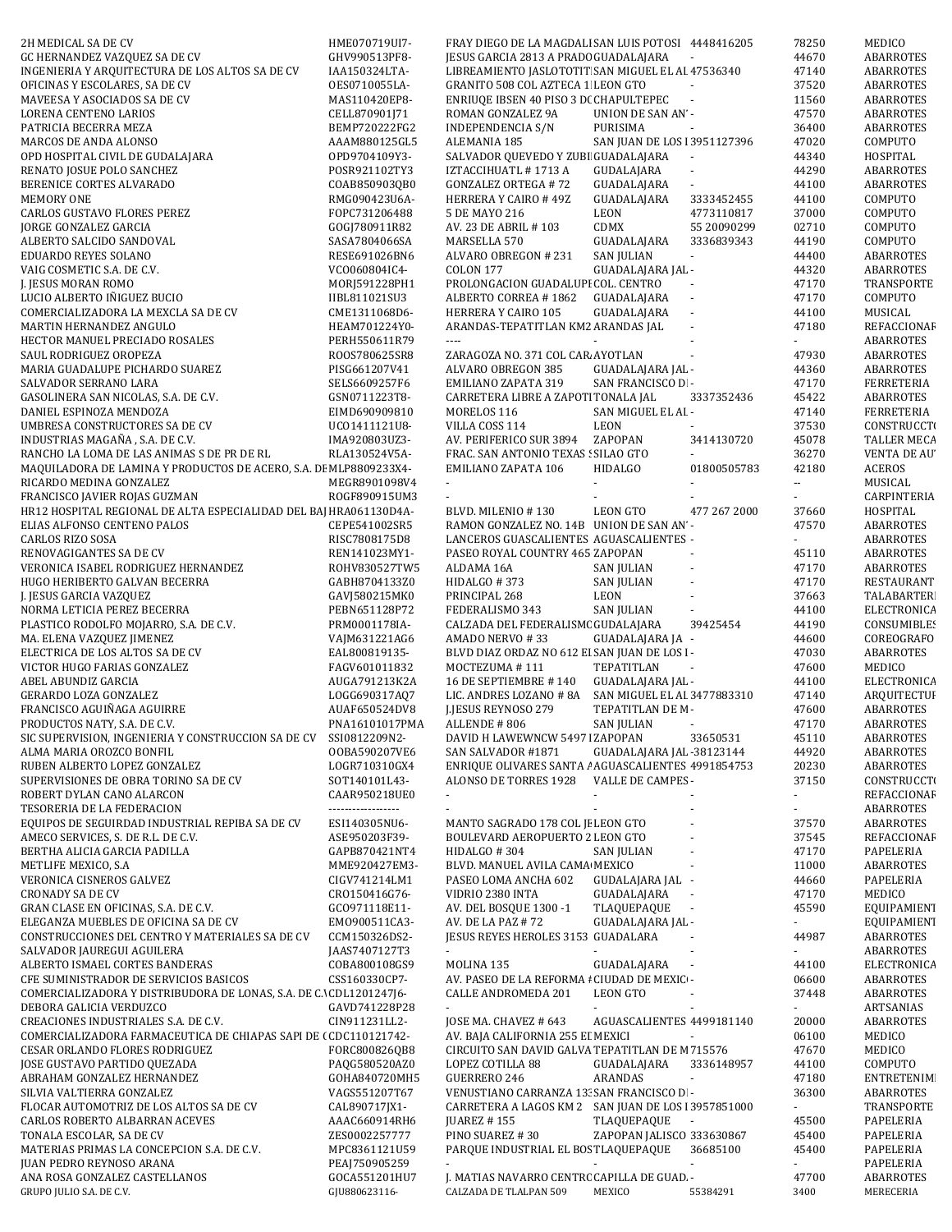| 2H MEDICAL SA DE CV                                                                                                                            | HME070719UI7-                  | FRAY DIEGO DE LA MAGDALI SAN LUIS POTOSI 4448416205                  |                             |              | 78250         | MEDICO                 |
|------------------------------------------------------------------------------------------------------------------------------------------------|--------------------------------|----------------------------------------------------------------------|-----------------------------|--------------|---------------|------------------------|
| GC HERNANDEZ VAZQUEZ SA DE CV                                                                                                                  | GHV990513PF8-                  | JESUS GARCIA 2813 A PRADC GUADALAJARA                                |                             |              | 44670         | <b>ABARROTES</b>       |
|                                                                                                                                                |                                |                                                                      |                             |              |               |                        |
| INGENIERIA Y ARQUITECTURA DE LOS ALTOS SA DE CV                                                                                                | IAA150324LTA-                  | LIBREAMIENTO JASLOTOTIT SAN MIGUEL EL AI 47536340                    |                             |              | 47140         | <b>ABARROTES</b>       |
| OFICINAS Y ESCOLARES, SA DE CV                                                                                                                 | OES0710055LA-                  | GRANITO 508 COL AZTECA 1 LEON GTO                                    |                             |              | 37520         | ABARROTES              |
| MAVEESA Y ASOCIADOS SA DE CV                                                                                                                   | MAS110420EP8-                  | ENRIUQE IBSEN 40 PISO 3 D( CHAPULTEPEC                               | $\sim$                      |              | 11560         | <b>ABARROTES</b>       |
|                                                                                                                                                |                                |                                                                      | <b>UNION DE SAN AN -</b>    |              | 47570         |                        |
| LORENA CENTENO LARIOS                                                                                                                          | CELL870901J71                  | ROMAN GONZALEZ 9A                                                    |                             |              |               | <b>ABARROTES</b>       |
| PATRICIA BECERRA MEZA                                                                                                                          | BEMP720222FG2                  | INDEPENDENCIA S/N                                                    | PURISIMA<br>$\sim$          |              | 36400         | ABARROTES              |
| MARCOS DE ANDA ALONSO                                                                                                                          | AAAM880125GL5                  | ALEMANIA 185                                                         | SAN JUAN DE LOS 13951127396 |              | 47020         | COMPUTO                |
|                                                                                                                                                |                                |                                                                      |                             |              |               |                        |
| OPD HOSPITAL CIVIL DE GUDALAJARA                                                                                                               | OPD9704109Y3-                  | SALVADOR QUEVEDO Y ZUBI GUADALAJARA                                  | $\sim$                      |              | 44340         | HOSPITAL               |
| RENATO JOSUE POLO SANCHEZ                                                                                                                      | POSR921102TY3                  | IZTACCIHUATL #1713 A                                                 | GUDALAJARA                  | $\sim$       | 44290         | <b>ABARROTES</b>       |
| BERENICE CORTES ALVARADO                                                                                                                       | COAB850903QB0                  | <b>GONZALEZ ORTEGA #72</b>                                           | GUADALAJARA                 | ÷.           | 44100         |                        |
|                                                                                                                                                |                                |                                                                      |                             |              |               | ABARROTES              |
| <b>MEMORY ONE</b>                                                                                                                              | RMG090423U6A-                  | HERRERA Y CAIRO #49Z                                                 | GUADALAJARA                 | 3333452455   | 44100         | COMPUTO                |
| <b>CARLOS GUSTAVO FLORES PEREZ</b>                                                                                                             | FOPC731206488                  | 5 DE MAYO 216                                                        | LEON                        | 4773110817   | 37000         | COMPUTO                |
|                                                                                                                                                |                                |                                                                      |                             |              |               |                        |
| JORGE GONZALEZ GARCIA                                                                                                                          | GOGJ780911R82                  | AV. 23 DE ABRIL #103                                                 | CDMX                        | 55 20090299  | 02710         | COMPUTO                |
| ALBERTO SALCIDO SANDOVAL                                                                                                                       | SASA7804066SA                  | MARSELLA 570                                                         | GUADALAJARA                 | 3336839343   | 44190         | COMPUTO                |
| EDUARDO REYES SOLANO                                                                                                                           | RESE691026BN6                  | ALVARO OBREGON # 231                                                 | <b>SAN JULIAN</b>           | ÷.           | 44400         | ABARROTES              |
|                                                                                                                                                |                                |                                                                      |                             |              |               |                        |
| VAIG COSMETIC S.A. DE C.V.                                                                                                                     | VC0060804IC4-                  | <b>COLON 177</b>                                                     | GUADALAJARA JAL -           |              | 44320         | ABARROTES              |
| J. JESUS MORAN ROMO                                                                                                                            | MORJ591228PH1                  | PROLONGACION GUADALUPI COL. CENTRO                                   |                             |              | 47170         | TRANSPORTE             |
| LUCIO ALBERTO IÑIGUEZ BUCIO                                                                                                                    | IIBL811021SU3                  | ALBERTO CORREA #1862                                                 | GUADALAJARA<br>$\sim$       |              | 47170         | COMPUTO                |
|                                                                                                                                                |                                |                                                                      |                             |              |               |                        |
| COMERCIALIZADORA LA MEXCLA SA DE CV                                                                                                            | CME1311068D6-                  | HERRERA Y CAIRO 105                                                  | GUADALAJARA                 |              | 44100         | MUSICAL                |
| MARTIN HERNANDEZ ANGULO                                                                                                                        | HEAM701224Y0-                  | ARANDAS-TEPATITLAN KM2 ARANDAS JAL                                   | ÷,                          |              | 47180         | REFACCIONAF            |
|                                                                                                                                                |                                |                                                                      |                             |              |               |                        |
| HECTOR MANUEL PRECIADO ROSALES                                                                                                                 | PERH550611R79                  | $\cdots$                                                             |                             |              |               | <b>ABARROTES</b>       |
| SAUL RODRIGUEZ OROPEZA                                                                                                                         | ROOS780625SR8                  | ZARAGOZA NO. 371 COL CAR AYOTLAN                                     |                             |              | 47930         | <b>ABARROTES</b>       |
| MARIA GUADALUPE PICHARDO SUAREZ                                                                                                                | PISG661207V41                  | ALVARO OBREGON 385                                                   | GUADALAJARA JAL -           |              | 44360         | <b>ABARROTES</b>       |
|                                                                                                                                                |                                |                                                                      |                             |              |               |                        |
| SALVADOR SERRANO LARA                                                                                                                          | SELS6609257F6                  | EMILIANO ZAPATA 319                                                  | SAN FRANCISCO D -           |              | 47170         | <b>FERRETERIA</b>      |
| GASOLINERA SAN NICOLAS, S.A. DE C.V.                                                                                                           | GSN0711223T8-                  | CARRETERA LIBRE A ZAPOTI TONALA JAL                                  |                             | 3337352436   | 45422         | <b>ABARROTES</b>       |
|                                                                                                                                                |                                |                                                                      | SAN MIGUEL EL AI -          |              |               |                        |
| DANIEL ESPINOZA MENDOZA                                                                                                                        | EIMD690909810                  | MORELOS 116                                                          |                             |              | 47140         | <b>FERRETERIA</b>      |
| UMBRESA CONSTRUCTORES SA DE CV                                                                                                                 | UC01411121U8-                  | VILLA COSS 114                                                       | <b>LEON</b>                 |              | 37530         | <b>CONSTRUCCTI</b>     |
| INDUSTRIAS MAGAÑA, S.A. DE C.V.                                                                                                                | IMA920803UZ3-                  | AV. PERIFERICO SUR 3894                                              | ZAPOPAN                     | 3414130720   | 45078         | TALLER MECA            |
|                                                                                                                                                |                                |                                                                      |                             |              |               |                        |
| RANCHO LA LOMA DE LAS ANIMAS S DE PR DE RL                                                                                                     | RLA130524V5A-                  | FRAC. SAN ANTONIO TEXAS : SILAO GTO                                  |                             |              | 36270         | <b>VENTA DE AU</b>     |
| MAQUILADORA DE LAMINA Y PRODUCTOS DE ACERO, S.A. DE MLP8809233X4-                                                                              |                                | EMILIANO ZAPATA 106                                                  | <b>HIDALGO</b>              | 01800505783  | 42180         | <b>ACEROS</b>          |
| RICARDO MEDINA GONZALEZ                                                                                                                        | MEGR8901098V4                  | $\blacksquare$                                                       |                             |              | 44            | MUSICAL                |
|                                                                                                                                                |                                |                                                                      |                             |              |               |                        |
| FRANCISCO JAVIER ROJAS GUZMAN                                                                                                                  | ROGF890915UM3                  |                                                                      |                             |              |               | CARPINTERIA            |
| HR12 HOSPITAL REGIONAL DE ALTA ESPECIALIDAD DEL BAJ HRA061130D4A-                                                                              |                                | BLVD. MILENIO #130                                                   | <b>LEON GTO</b>             | 477 267 2000 | 37660         | HOSPITAL               |
| ELIAS ALFONSO CENTENO PALOS                                                                                                                    | CEPE541002SR5                  | RAMON GONZALEZ NO. 14B UNION DE SAN AN -                             |                             |              | 47570         | <b>ABARROTES</b>       |
|                                                                                                                                                |                                |                                                                      |                             |              |               |                        |
| <b>CARLOS RIZO SOSA</b>                                                                                                                        | RISC7808175D8                  | LANCEROS GUASCALIENTES AGUASCALIENTES -                              |                             |              | ÷.            | ABARROTES              |
| RENOVAGIGANTES SA DE CV                                                                                                                        | REN141023MY1-                  | PASEO ROYAL COUNTRY 465 ZAPOPAN                                      |                             |              | 45110         | ABARROTES              |
|                                                                                                                                                |                                |                                                                      |                             |              |               |                        |
| VERONICA ISABEL RODRIGUEZ HERNANDEZ                                                                                                            | ROHV830527TW5                  | ALDAMA 16A                                                           | <b>SAN JULIAN</b>           |              | 47170         | ABARROTES              |
| HUGO HERIBERTO GALVAN BECERRA                                                                                                                  | GABH8704133Z0                  | HIDALGO #373                                                         | <b>SAN JULIAN</b>           |              | 47170         | RESTAURANT             |
| J. JESUS GARCIA VAZQUEZ                                                                                                                        | GAVJ580215MK0                  | PRINCIPAL 268                                                        | <b>LEON</b>                 |              | 37663         | <b>TALABARTER</b>      |
|                                                                                                                                                |                                |                                                                      |                             |              |               |                        |
| NORMA LETICIA PEREZ BECERRA                                                                                                                    | PEBN651128P72                  | FEDERALISMO 343                                                      | <b>SAN JULIAN</b>           |              | 44100         | ELECTRONICA            |
| PLASTICO RODOLFO MOJARRO, S.A. DE C.V.                                                                                                         | PRM0001178IA-                  | CALZADA DEL FEDERALISM( GUDALAJARA                                   |                             | 39425454     | 44190         | <b>CONSUMIBLES</b>     |
|                                                                                                                                                |                                |                                                                      |                             |              |               |                        |
| MA. ELENA VAZQUEZ JIMENEZ                                                                                                                      | VAJM631221AG6                  | AMADO NERVO #33                                                      | GUADALAJARA JA -            |              | 44600         | COREOGRAFO             |
| ELECTRICA DE LOS ALTOS SA DE CV                                                                                                                | EAL800819135-                  | BLVD DIAZ ORDAZ NO 612 EI SAN JUAN DE LOS I-                         |                             |              | 47030         | ABARROTES              |
| VICTOR HUGO FARIAS GONZALEZ                                                                                                                    | FAGV601011832                  | MOCTEZUMA #111                                                       | TEPATITLAN                  |              | 47600         | MEDICO                 |
|                                                                                                                                                |                                |                                                                      |                             |              |               |                        |
| ABEL ABUNDIZ GARCIA                                                                                                                            | AUGA791213K2A                  | 16 DE SEPTIEMBRE #140                                                | GUADALAJARA JAL -           |              | 44100         | ELECTRONICA            |
| GERARDO LOZA GONZALEZ                                                                                                                          | LOGG690317AQ7                  | LIC. ANDRES LOZANO # 8A                                              | SAN MIGUEL EL AI 3477883310 |              | 47140         | ARQUITECTUI            |
| FRANCISCO AGUIÑAGA AGUIRRE                                                                                                                     | AUAF650524DV8                  | <b>I.JESUS REYNOSO 279</b>                                           | TEPATITLAN DE M-            |              | 47600         | <b>ABARROTES</b>       |
|                                                                                                                                                |                                |                                                                      |                             |              |               |                        |
| PRODUCTOS NATY, S.A. DE C.V.                                                                                                                   | PNA16101017PMA                 | ALLENDE # 806                                                        | SAN JULIAN                  |              | 47170         | <b>ABARROTES</b>       |
| SIC SUPERVISION, INGENIERIA Y CONSTRUCCION SA DE CV                                                                                            | SSI0812209N2-                  | DAVID H LAWEWNCW 5497   ZAPOPAN                                      |                             | 33650531     | 45110         | ABARROTES              |
|                                                                                                                                                |                                |                                                                      |                             |              | 44920         |                        |
| ALMA MARIA OROZCO BONFIL                                                                                                                       | 00BA590207VE6                  | SAN SALVADOR #1871                                                   | GUADALAJARA JAL -38123144   |              |               | ABARROTES              |
| RUBEN ALBERTO LOPEZ GONZALEZ                                                                                                                   | LOGR710310GX4                  | ENRIQUE OLIVARES SANTA / AGUASCALIENTES 4991854753                   |                             |              | 20230         | ABARROTES              |
| SUPERVISIONES DE OBRA TORINO SA DE CV                                                                                                          | SOT140101L43-                  | ALONSO DE TORRES 1928                                                | VALLE DE CAMPES -           |              | 37150         | <b>CONSTRUCCTI</b>     |
|                                                                                                                                                |                                |                                                                      |                             |              |               |                        |
| ROBERT DYLAN CANO ALARCON                                                                                                                      | CAAR950218UE0                  | ÷.                                                                   |                             |              |               | REFACCIONAF            |
| TESORERIA DE LA FEDERACION                                                                                                                     | -----------------              | ÷.                                                                   |                             |              |               | ABARROTES              |
| EQUIPOS DE SEGUIRDAD INDUSTRIAL REPIBA SA DE CV                                                                                                | ESI140305NU6-                  | MANTO SAGRADO 178 COL JI LEON GTO                                    |                             |              | 37570         | ABARROTES              |
|                                                                                                                                                |                                |                                                                      |                             |              |               |                        |
| AMECO SERVICES, S. DE R.L. DE C.V.                                                                                                             | ASE950203F39-                  | BOULEVARD AEROPUERTO 2 LEON GTO                                      |                             |              | 37545         | REFACCIONAF            |
|                                                                                                                                                |                                |                                                                      |                             |              |               |                        |
|                                                                                                                                                | GAPB870421NT4                  | HIDALGO #304                                                         | SAN JULIAN                  |              | 47170         | PAPELERIA              |
|                                                                                                                                                |                                |                                                                      |                             |              |               |                        |
| BERTHA ALICIA GARCIA PADILLA<br>METLIFE MEXICO, S.A.                                                                                           | MME920427EM3-                  | BLVD. MANUEL AVILA CAMA MEXICO                                       | $\overline{\phantom{a}}$    |              | 11000         | <b>ABARROTES</b>       |
|                                                                                                                                                | CIGV741214LM1                  | PASEO LOMA ANCHA 602                                                 | GUDALAJARA JAL -            |              | 44660         | PAPELERIA              |
|                                                                                                                                                | CR0150416G76-                  | VIDRIO 2380 INTA                                                     | GUADALAJARA<br>$\sim$       |              | 47170         | MEDICO                 |
|                                                                                                                                                |                                |                                                                      |                             |              |               |                        |
|                                                                                                                                                | GC0971118E11-                  | AV. DEL BOSQUE 1300 -1                                               | TLAQUEPAQUE<br>$\sim$       |              | 45590         | EQUIPAMIENT            |
| ELEGANZA MUEBLES DE OFICINA SA DE CV                                                                                                           | EM0900511CA3-                  | AV. DE LA PAZ #72                                                    | GUADALAJARA JAL -           |              | $\sim$        | <b>EQUIPAMIENT</b>     |
|                                                                                                                                                | CCM150326DS2-                  | JESUS REYES HEROLES 3153 GUADALARA                                   |                             |              | 44987         | ABARROTES              |
| VERONICA CISNEROS GALVEZ<br><b>CRONADY SA DE CV</b><br>GRAN CLASE EN OFICINAS, S.A. DE C.V.<br>CONSTRUCCIONES DEL CENTRO Y MATERIALES SA DE CV |                                |                                                                      |                             |              |               |                        |
| SALVADOR JAUREGUI AGUILERA                                                                                                                     | JAAS7407127T3                  |                                                                      |                             |              |               | ABARROTES              |
| ALBERTO ISMAEL CORTES BANDERAS                                                                                                                 | COBA800108GS9                  | MOLINA 135                                                           | GUADALAJARA                 |              | 44100         | ELECTRONICA            |
|                                                                                                                                                |                                |                                                                      |                             |              |               |                        |
|                                                                                                                                                | CSS160330CP7-                  | AV. PASEO DE LA REFORMA I CIUDAD DE MEXIC -                          |                             |              | 06600         | ABARROTES              |
|                                                                                                                                                |                                | CALLE ANDROMEDA 201                                                  | <b>LEON GTO</b>             |              | 37448         | ABARROTES              |
| CFE SUMINISTRADOR DE SERVICIOS BASICOS<br>COMERCIALIZADORA Y DISTRIBUDORA DE LONAS, S.A. DE C. CDL120124716-<br>DEBORA GALICIA VERDUZCO        | GAVD741228P28                  | ÷.                                                                   |                             |              |               | ARTSANIAS              |
|                                                                                                                                                |                                |                                                                      |                             |              |               |                        |
|                                                                                                                                                | CIN911231LL2-                  | JOSE MA. CHAVEZ # 643                                                | AGUASCALIENTES 4499181140   |              | 20000         | ABARROTES              |
| CREACIONES INDUSTRIALES S.A. DE C.V.<br>COMERCIALIZADORA FARMACEUTICA DE CHIAPAS SAPI DE (CDC110121742-                                        |                                | AV. BAJA CALIFORNIA 255 EI MEXICI                                    |                             |              | 06100         | MEDICO                 |
|                                                                                                                                                |                                |                                                                      |                             |              |               |                        |
| CESAR ORLANDO FLORES RODRIGUEZ                                                                                                                 | FORC800826QB8                  | CIRCUITO SAN DAVID GALVA TEPATITLAN DE M 715576                      |                             |              | 47670         | MEDICO                 |
| JOSE GUSTAVO PARTIDO QUEZADA                                                                                                                   | PAQG580520AZ0                  | LOPEZ COTILLA 88                                                     | GUADALAJARA                 | 3336148957   | 44100         | COMPUTO                |
| ABRAHAM GONZALEZ HERNANDEZ                                                                                                                     | GOHA840720MH5                  | <b>GUERRERO 246</b>                                                  | ARANDAS                     |              | 47180         | <b>ENTRETENIMI</b>     |
|                                                                                                                                                |                                |                                                                      |                             |              |               |                        |
| SILVIA VALTIERRA GONZALEZ                                                                                                                      | VAGS551207T67                  | VENUSTIANO CARRANZA 13. SAN FRANCISCO D -                            |                             |              | 36300         | ABARROTES              |
| FLOCAR AUTOMOTRIZ DE LOS ALTOS SA DE CV                                                                                                        | CAL890717JX1-                  | CARRETERA A LAGOS KM 2 SAN JUAN DE LOS 13957851000                   |                             |              | ÷.            | TRANSPORTE             |
|                                                                                                                                                |                                |                                                                      |                             |              |               |                        |
| CARLOS ROBERTO ALBARRAN ACEVES                                                                                                                 | AAAC660914RH6                  | <b>JUAREZ #155</b>                                                   | TLAQUEPAQUE                 |              | 45500         | PAPELERIA              |
| TONALA ESCOLAR, SA DE CV                                                                                                                       | ZES0002257777                  | PINO SUAREZ #30                                                      | ZAPOPAN JALISCO 333630867   |              | 45400         | PAPELERIA              |
| MATERIAS PRIMAS LA CONCEPCION S.A. DE C.V.                                                                                                     | MPC8361121U59                  | PARQUE INDUSTRIAL EL BOS TLAQUEPAQUE                                 |                             | 36685100     | 45400         | PAPELERIA              |
|                                                                                                                                                |                                |                                                                      | $\omega$                    | $\sim$       |               |                        |
| JUAN PEDRO REYNOSO ARANA                                                                                                                       | PEAJ750905259                  | ÷.                                                                   |                             |              | $\sim$        | PAPELERIA              |
| ANA ROSA GONZALEZ CASTELLANOS<br>GRUPO JULIO S.A. DE C.V.                                                                                      | GOCA551201HU7<br>GJU880623116- | J. MATIAS NAVARRO CENTRC CAPILLA DE GUAD -<br>CALZADA DE TLALPAN 509 | MEXICO                      | 55384291     | 47700<br>3400 | ABARROTES<br>MERECERIA |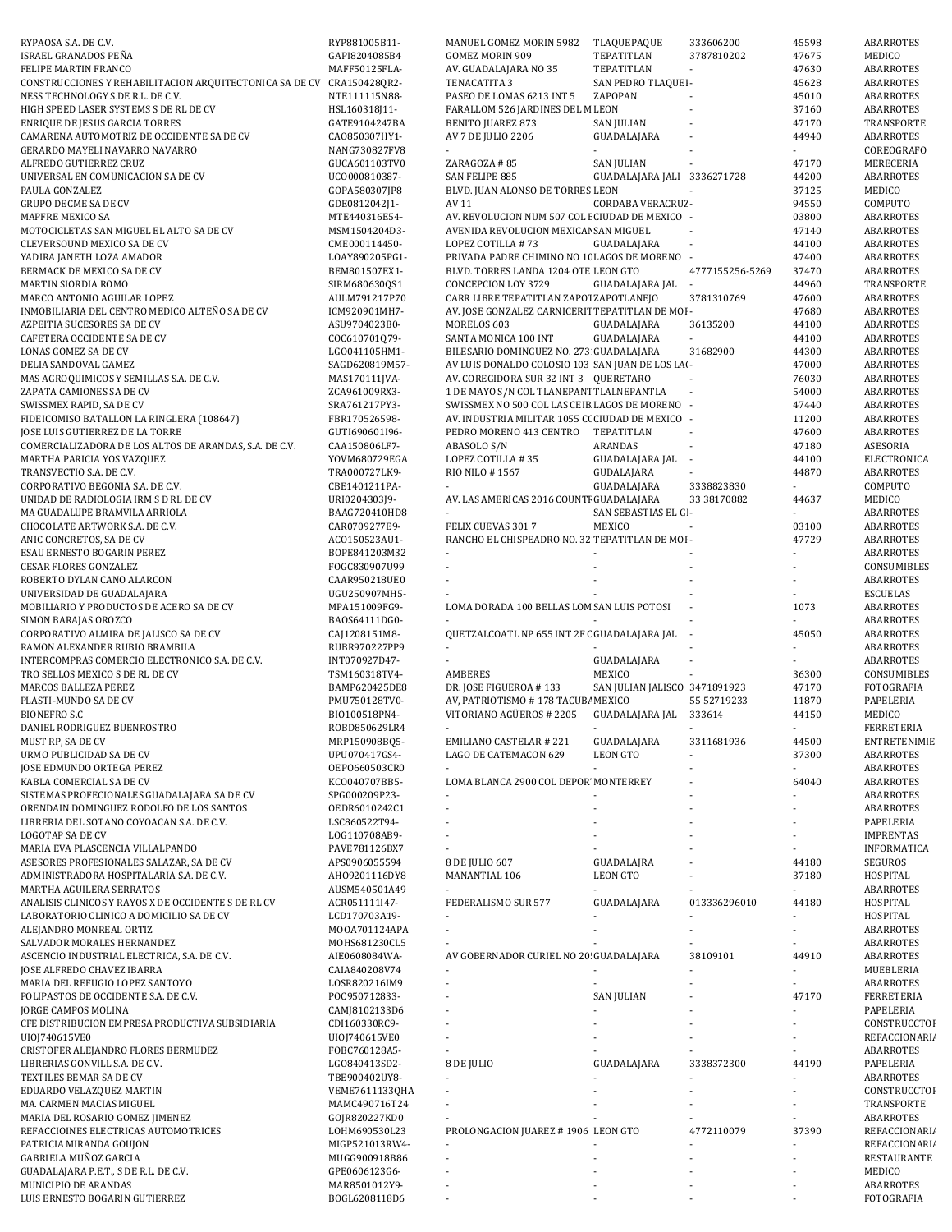| RYPAOSA S.A. DE C.V.                                                    | RYP881005B11-                  | MANUEL GOMEZ MORIN 5982                                                                   | TLAQUEPAQUE                   | 333606200                | 45598          | <b>ABARROTES</b>               |
|-------------------------------------------------------------------------|--------------------------------|-------------------------------------------------------------------------------------------|-------------------------------|--------------------------|----------------|--------------------------------|
| ISRAEL GRANADOS PEÑA                                                    | GAPI8204085B4                  | GOMEZ MORIN 909                                                                           | TEPATITLAN                    | 3787810202               | 47675          | MEDICO                         |
| FELIPE MARTIN FRANCO                                                    | MAFF50125FLA-                  | AV. GUADALAJARA NO 35                                                                     | TEPATITLAN                    |                          | 47630          | ABARROTES                      |
| CONSTRUCCIONES Y REHABILITACION ARQUITECTONICA SA DE CV                 | CRA150428QR2-                  | TENACATITA 3                                                                              | SAN PEDRO TLAQUEI -           |                          | 45628          | <b>ABARROTES</b>               |
| NESS TECHNOLOGY S.DE R.L. DE C.V.                                       | NTE111115N88-                  | PASEO DE LOMAS 6213 INT 5                                                                 | ZAPOPAN                       |                          | 45010          | <b>ABARROTES</b>               |
| HIGH SPEED LASER SYSTEMS S DE RL DE CV                                  | HSL160318J11-                  | FARALLOM 526 JARDINES DEL M LEON                                                          |                               |                          | 37160          | ABARROTES                      |
| <b>ENRIQUE DE JESUS GARCIA TORRES</b>                                   | GATE9104247BA                  | <b>BENITO JUAREZ 873</b>                                                                  | <b>SAN JULIAN</b>             | ÷,                       | 47170          | TRANSPORTE                     |
| CAMARENA AUTOMOTRIZ DE OCCIDENTE SA DE CV                               | CA0850307HY1-                  | AV 7 DE JULIO 2206                                                                        | GUADALAJARA                   | ÷,                       | 44940          | ABARROTES                      |
| GERARDO MAYELI NAVARRO NAVARRO                                          | NANG730827FV8                  |                                                                                           |                               |                          |                | COREOGRAFO                     |
| ALFREDO GUTIERREZ CRUZ                                                  | GUCA601103TV0                  | ZARAGOZA #85                                                                              | <b>SAN JULIAN</b>             |                          | 47170          | MERECERIA                      |
| UNIVERSAL EN COMUNICACION SA DE CV                                      | UC0000810387-                  | SAN FELIPE 885                                                                            | GUADALAJARA JALI 3336271728   |                          | 44200          | ABARROTES                      |
| PAULA GONZALEZ                                                          | GOPA580307JP8                  | BLVD. JUAN ALONSO DE TORRES LEON                                                          |                               | $\blacksquare$           | 37125          | MEDICO                         |
| GRUPO DECME SA DE CV                                                    | GDE0812042J1-                  | AV 11                                                                                     | CORDABA VERACRUZ -            |                          | 94550          | COMPUTO                        |
| MAPFRE MEXICO SA                                                        | MTE440316E54-                  | AV. REVOLUCION NUM 507 COL I CIUDAD DE MEXICO -                                           |                               |                          | 03800          | ABARROTES                      |
| MOTOCICLETAS SAN MIGUEL EL ALTO SA DE CV                                | MSM1504204D3-                  | AVENIDA REVOLUCION MEXICAI SAN MIGUEL                                                     |                               |                          | 47140          | ABARROTES                      |
| CLEVERSOUND MEXICO SA DE CV                                             | CME000114450-                  | LOPEZ COTILLA #73                                                                         | GUADALAJARA                   | $\overline{\phantom{a}}$ | 44100          | <b>ABARROTES</b>               |
| YADIRA JANETH LOZA AMADOR                                               | LOAY890205PG1-                 | PRIVADA PADRE CHIMINO NO 10 LAGOS DE MORENO -                                             |                               |                          | 47400          | <b>ABARROTES</b>               |
| BERMACK DE MEXICO SA DE CV                                              | BEM801507EX1-                  | BLVD. TORRES LANDA 1204 OTE LEON GTO                                                      |                               | 4777155256-5269          | 37470          | ABARROTES                      |
| MARTIN SIORDIA ROMO                                                     | SIRM680630QS1                  | CONCEPCION LOY 3729                                                                       | GUADALAJARA JAL               |                          | 44960          | TRANSPORTE                     |
| MARCO ANTONIO AGUILAR LOPEZ                                             | AULM791217P70                  | CARR LIBRE TEPATITLAN ZAPOT ZAPOTLANEJO                                                   |                               | 3781310769               | 47600          | ABARROTES                      |
| INMOBILIARIA DEL CENTRO MEDICO ALTEÑO SA DE CV                          | ICM920901MH7-                  | AV. JOSE GONZALEZ CARNICERIT TEPATITLAN DE MOI -                                          |                               |                          | 47680          | ABARROTES                      |
| AZPEITIA SUCESORES SA DE CV                                             | ASU9704023B0-                  | MORELOS 603                                                                               | GUADALAJARA                   | 36135200                 | 44100          | ABARROTES                      |
| CAFETERA OCCIDENTE SA DE CV                                             | COC610701079-                  | SANTA MONICA 100 INT                                                                      | GUADALAJARA                   | $\omega$                 | 44100          | <b>ABARROTES</b>               |
| LONAS GOMEZ SA DE CV                                                    | LG0041105HM1-                  | BILESARIO DOMINGUEZ NO. 273 GUADALAJARA                                                   |                               | 31682900                 | 44300          | <b>ABARROTES</b>               |
| DELIA SANDOVAL GAMEZ                                                    | SAGD620819M57-                 | AV LUIS DONALDO COLOSIO 103 SAN JUAN DE LOS LAI-<br>AV. COREGIDORA SUR 32 INT 3 QUERETARO |                               |                          | 47000          | <b>ABARROTES</b>               |
| MAS AGROQUIMICOS Y SEMILLAS S.A. DE C.V.<br>ZAPATA CAMIONES SA DE CV    | MAS170111JVA-<br>ZCA961009RX3- | 1 DE MAYO S/N COL TLANEPANT TLALNEPANTLA                                                  |                               |                          | 76030<br>54000 | ABARROTES<br>ABARROTES         |
| SWISSMEX RAPID, SA DE CV                                                | SRA761217PY3-                  | SWISSMEX NO 500 COL LAS CEIB LAGOS DE MORENO -                                            |                               |                          | 47440          | ABARROTES                      |
| FIDEICOMISO BATALLON LA RINGLERA (108647)                               | FBR170526598-                  | AV. INDUSTRIA MILITAR 1055 C( CIUDAD DE MEXICO -                                          |                               |                          | 11200          | ABARROTES                      |
| JOSE LUIS GUTIERREZ DE LA TORRE                                         | GUTI690601I96-                 | PEDRO MORENO 413 CENTRO                                                                   | TEPATITLAN                    | $\overline{\phantom{a}}$ | 47600          | <b>ABARROTES</b>               |
| COMERCIALIZADORA DE LOS ALTOS DE ARANDAS, S.A. DE C.V.                  | CAA150806LF7-                  | ABASOLO S/N                                                                               | ARANDAS                       |                          | 47180          | ASESORIA                       |
| MARTHA PARICIA YOS VAZQUEZ                                              | YOVM680729EGA                  | LOPEZ COTILLA #35                                                                         | GUADALAJARA JAL               | $\overline{\phantom{a}}$ | 44100          | ELECTRONICA                    |
| TRANSVECTIO S.A. DE C.V.                                                | TRA000727LK9-                  | RIO NILO #1567                                                                            | GUDALAJARA                    |                          | 44870          | <b>ABARROTES</b>               |
| CORPORATIVO BEGONIA S.A. DE C.V.                                        | CBE1401211PA-                  |                                                                                           | GUADALAJARA                   | 3338823830               |                | COMPUTO                        |
| UNIDAD DE RADIOLOGIA IRM S D RL DE CV                                   | URI0204303J9-                  | AV. LAS AMERICAS 2016 COUNTI GUADALAJARA                                                  |                               | 33 38170882              | 44637          | MEDICO                         |
| MA GUADALUPE BRAMVILA ARRIOLA                                           | BAAG720410HD8                  |                                                                                           | SAN SEBASTIAS EL GI -         |                          |                | ABARROTES                      |
| CHOCOLATE ARTWORK S.A. DE C.V.                                          | CAR0709277E9-                  | FELIX CUEVAS 3017                                                                         | MEXICO                        | $\blacksquare$           | 03100          | ABARROTES                      |
| ANIC CONCRETOS, SA DE CV                                                | AC0150523AU1-                  | RANCHO EL CHISPEADRO NO. 32 TEPATITLAN DE MOI -                                           |                               |                          | 47729          | ABARROTES                      |
| ESAU ERNESTO BOGARIN PEREZ                                              | BOPE841203M32                  | $\sim$                                                                                    |                               |                          |                | <b>ABARROTES</b>               |
| <b>CESAR FLORES GONZALEZ</b>                                            | FOGC830907U99                  |                                                                                           |                               |                          |                | CONSUMIBLES                    |
| ROBERTO DYLAN CANO ALARCON                                              | CAAR950218UE0                  |                                                                                           |                               |                          |                | <b>ABARROTES</b>               |
| UNIVERSIDAD DE GUADALAJARA                                              | UGU250907MH5-                  |                                                                                           |                               |                          |                | <b>ESCUELAS</b>                |
| MOBILIARIO Y PRODUCTOS DE ACERO SA DE CV                                | MPA151009FG9-                  | LOMA DORADA 100 BELLAS LOM SAN LUIS POTOSI                                                |                               |                          | 1073           | ABARROTES                      |
| SIMON BARAJAS OROZCO                                                    | BA0S64111DG0-                  |                                                                                           |                               |                          |                | ABARROTES                      |
| CORPORATIVO ALMIRA DE JALISCO SA DE CV                                  | CAJ1208151M8-                  | QUETZALCOATL NP 655 INT 2F ( GUADALAJARA JAL -                                            |                               |                          | 45050          | ABARROTES                      |
| RAMON ALEXANDER RUBIO BRAMBILA                                          | RUBR970227PP9                  |                                                                                           |                               |                          |                | ABARROTES                      |
| INTERCOMPRAS COMERCIO ELECTRONICO S.A. DE C.V.                          | INT070927D47-                  |                                                                                           | GUADALAJARA                   | $\overline{\phantom{a}}$ |                | ABARROTES                      |
| TRO SELLOS MEXICO S DE RL DE CV                                         | TSM160318TV4-                  | AMBERES                                                                                   | MEXICO                        |                          | 36300          | CONSUMIBLES                    |
| MARCOS BALLEZA PEREZ                                                    | BAMP620425DE8                  | DR. JOSE FIGUEROA #133                                                                    | SAN JULIAN JALISCO 3471891923 |                          | 47170          | FOTOGRAFIA                     |
| PLASTI-MUNDO SA DE CV<br><b>BIONEFRO S.C</b>                            | PMU750128TV0-                  | AV, PATRIOTISMO # 178 TACUB/ MEXICO                                                       |                               | 55 52719233              | 11870          | PAPELERIA                      |
| DANIEL RODRIGUEZ BUENROSTRO                                             | BI0100518PN4-<br>R0BD850629LR4 | VITORIANO AGÜEROS # 2205                                                                  | GUADALAJARA JAL 333614        |                          | 44150          | MEDICO<br><b>FERRETERIA</b>    |
| MUST RP, SA DE CV                                                       | MRP150908BQ5-                  | EMILIANO CASTELAR # 221                                                                   | GUADALAJARA                   | 3311681936               | 44500          | ENTRETENIMIE                   |
| URMO PUBLICIDAD SA DE CV                                                | UPU070417GS4-                  | LAGO DE CATEMACON 629                                                                     | <b>LEON GTO</b>               |                          | 37300          | ABARROTES                      |
| JOSE EDMUNDO ORTEGA PEREZ                                               | OEP0660503CR0                  |                                                                                           |                               |                          |                | ABARROTES                      |
| KABLA COMERCIAL SA DE CV                                                | KC0040707BB5-                  | LOMA BLANCA 2900 COL DEPOR MONTERREY                                                      |                               |                          | 64040          | ABARROTES                      |
| SISTEMAS PROFECIONALES GUADALAJARA SA DE CV                             | SPG000209P23-                  |                                                                                           |                               |                          |                | ABARROTES                      |
| ORENDAIN DOMINGUEZ RODOLFO DE LOS SANTOS                                | OEDR6010242C1                  |                                                                                           |                               |                          |                | ABARROTES                      |
| LIBRERIA DEL SOTANO COYOACAN S.A. DE C.V.                               | LSC860522T94-                  |                                                                                           |                               |                          |                | PAPELERIA                      |
| <b>LOGOTAP SA DE CV</b>                                                 | LOG110708AB9-                  |                                                                                           |                               |                          |                | <b>IMPRENTAS</b>               |
| MARIA EVA PLASCENCIA VILLALPANDO                                        | PAVE781126BX7                  |                                                                                           |                               |                          |                | INFORMATICA                    |
| ASESORES PROFESIONALES SALAZAR, SA DE CV                                | APS0906055594                  | 8 DE JULIO 607                                                                            | <b>GUADALAJRA</b>             |                          | 44180          | SEGUROS                        |
| ADMINISTRADORA HOSPITALARIA S.A. DE C.V.                                | AH09201116DY8                  | MANANTIAL 106                                                                             | <b>LEON GTO</b>               |                          | 37180          | HOSPITAL                       |
| MARTHA AGUILERA SERRATOS                                                | AUSM540501A49                  | $\overline{\phantom{a}}$                                                                  | $\overline{a}$                |                          |                | <b>ABARROTES</b>               |
| ANALISIS CLINICOS Y RAYOS X DE OCCIDENTE S DE RL CV                     | ACR051111I47-                  | FEDERALISMO SUR 577                                                                       | GUADALAJARA                   | 013336296010             | 44180          | HOSPITAL                       |
| LABORATORIO CLINICO A DOMICILIO SA DE CV                                | LCD170703A19-                  |                                                                                           |                               |                          |                | HOSPITAL                       |
| ALEJANDRO MONREAL ORTIZ                                                 | MOOA701124APA                  |                                                                                           |                               | ÷,                       |                | ABARROTES                      |
| SALVADOR MORALES HERNANDEZ                                              | MOHS681230CL5                  |                                                                                           |                               |                          |                | ABARROTES                      |
| ASCENCIO INDUSTRIAL ELECTRICA, S.A. DE C.V.                             | AIE0608084WA-                  | AV GOBERNADOR CURIEL NO 20 GUADALAJARA                                                    |                               | 38109101                 | 44910          | ABARROTES                      |
| JOSE ALFREDO CHAVEZ IBARRA                                              | CAIA840208V74                  |                                                                                           |                               |                          |                | MUEBLERIA                      |
| MARIA DEL REFUGIO LOPEZ SANTOYO<br>POLIPASTOS DE OCCIDENTE S.A. DE C.V. | LOSR820216IM9<br>POC950712833- |                                                                                           | ÷.<br><b>SAN JULIAN</b>       |                          | 47170          | ABARROTES<br><b>FERRETERIA</b> |
| JORGE CAMPOS MOLINA                                                     | CAMJ8102133D6                  |                                                                                           |                               |                          |                | PAPELERIA                      |
| CFE DISTRIBUCION EMPRESA PRODUCTIVA SUBSIDIARIA                         | CDI160330RC9-                  |                                                                                           |                               |                          |                | CONSTRUCCTOI                   |
| UI0J740615VE0                                                           | UI0J740615VE0                  |                                                                                           |                               |                          |                | REFACCIONARI/                  |
| CRISTOFER ALEJANDRO FLORES BERMUDEZ                                     | FOBC760128A5-                  |                                                                                           |                               |                          |                | ABARROTES                      |
| LIBRERIAS GONVILL S.A. DE C.V.                                          | LG0840413SD2-                  | 8 DE JULIO                                                                                | GUADALAJARA                   | 3338372300               | 44190          | PAPELERIA                      |
| TEXTILES BEMAR SA DE CV                                                 | TBE900402UY8-                  |                                                                                           |                               |                          |                | ABARROTES                      |
| EDUARDO VELAZQUEZ MARTIN                                                | VEME7611133QHA                 |                                                                                           |                               |                          |                | CONSTRUCCTOI                   |
| MA. CARMEN MACIAS MIGUEL                                                | MAMC490716T24                  |                                                                                           |                               |                          |                | TRANSPORTE                     |
| MARIA DEL ROSARIO GOMEZ JIMENEZ                                         | GOJR820227KD0                  |                                                                                           |                               |                          |                | ABARROTES                      |
| REFACCIOINES ELECTRICAS AUTOMOTRICES                                    | LOHM690530L23                  | PROLONGACION JUAREZ # 1906 LEON GTO                                                       |                               | 4772110079               | 37390          | REFACCIONARI/                  |
| PATRICIA MIRANDA GOUJON                                                 | MIGP521013RW4-                 |                                                                                           |                               |                          |                | REFACCIONARI/                  |
| GABRIELA MUÑOZ GARCIA                                                   | MUGG900918B86                  |                                                                                           |                               |                          |                | RESTAURANTE                    |
| GUADALAJARA P.E.T., S DE R.L. DE C.V.                                   | GPE0606123G6-                  |                                                                                           |                               |                          |                | MEDICO                         |
|                                                                         |                                |                                                                                           |                               |                          |                | ABARROTES                      |
| MUNICIPIO DE ARANDAS<br>LUIS ERNESTO BOGARIN GUTIERREZ                  | MAR8501012Y9-<br>BOGL6208118D6 | $\overline{\phantom{a}}$                                                                  |                               |                          |                | FOTOGRAFIA                     |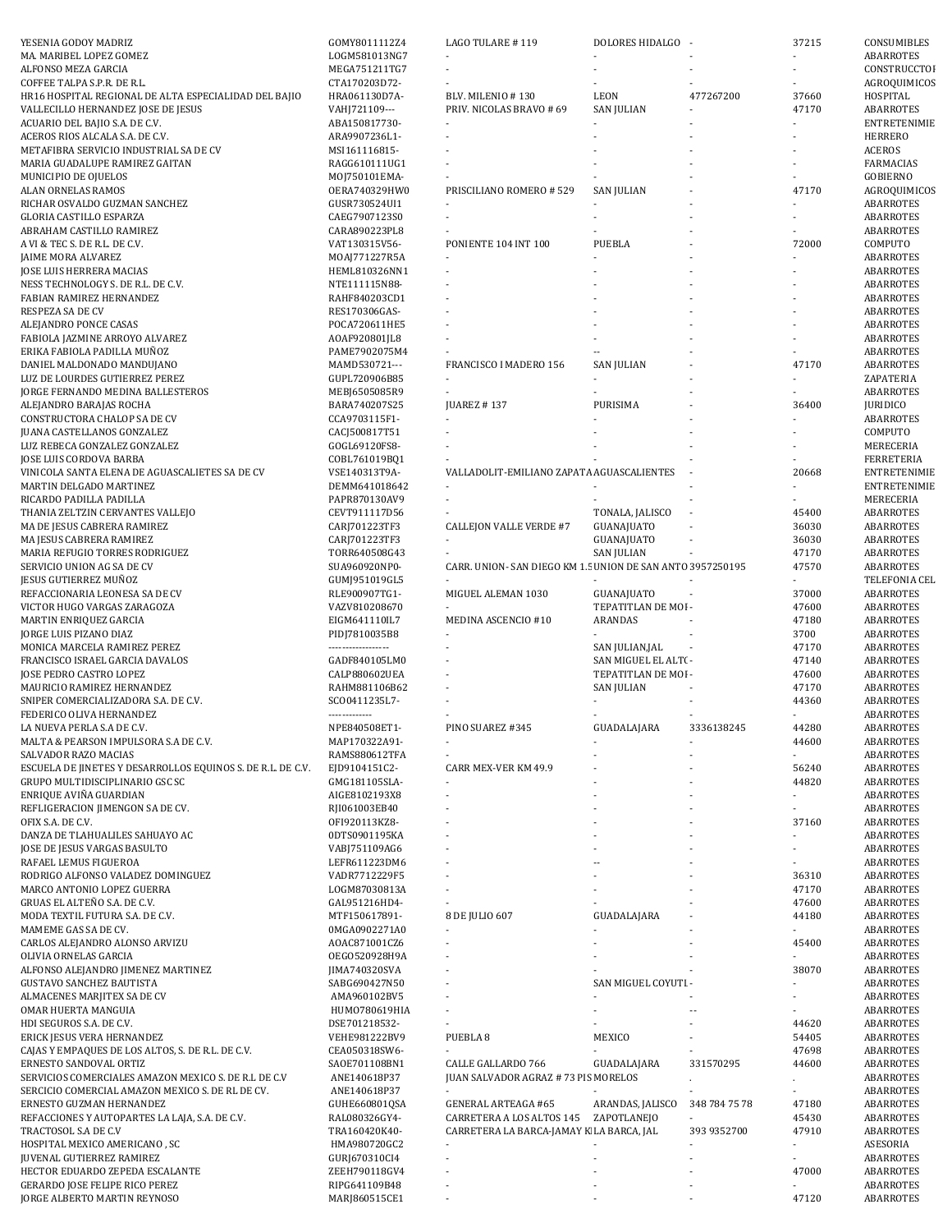| YESENIA GODOY MADRIZ                                                  | GOMY8011112Z4                  | LAGO TULARE #119                                          | DOLORES HIDALGO      |               | 37215          | CONSUMIBLES            |
|-----------------------------------------------------------------------|--------------------------------|-----------------------------------------------------------|----------------------|---------------|----------------|------------------------|
| MA. MARIBEL LOPEZ GOMEZ                                               | LOGM581013NG7                  |                                                           |                      |               |                | ABARROTES              |
| ALFONSO MEZA GARCIA                                                   | MEGA751211TG7                  |                                                           |                      |               |                | CONSTRUCCTOI           |
| COFFEE TALPA S.P.R. DE R.L.                                           | CTA170203D72-                  |                                                           |                      |               |                | AGROQUIMICOS           |
| HR16 HOSPITAL REGIONAL DE ALTA ESPECIALIDAD DEL BAJIO                 | HRA061130D7A-                  | BLV. MILENIO #130                                         | LEON                 | 477267200     | 37660          | HOSPITAL               |
| VALLECILLO HERNANDEZ JOSE DE JESUS                                    | VAHJ721109---                  | PRIV. NICOLAS BRAVO # 69                                  | <b>SAN JULIAN</b>    |               | 47170          | ABARROTES              |
| ACUARIO DEL BAJIO S.A. DE C.V.                                        | ABA150817730-                  |                                                           |                      |               |                | ENTRETENIMIE           |
| ACEROS RIOS ALCALA S.A. DE C.V.                                       | ARA9907236L1-                  |                                                           |                      |               |                | <b>HERRERO</b>         |
| METAFIBRA SERVICIO INDUSTRIAL SA DE CV                                | MSI161116815-                  |                                                           |                      |               |                | <b>ACEROS</b>          |
| MARIA GUADALUPE RAMIREZ GAITAN                                        | RAGG610111UG1                  |                                                           |                      |               |                | FARMACIAS              |
| MUNICIPIO DE OJUELOS                                                  | MOJ750101EMA-                  |                                                           |                      |               |                | GOBIERNO               |
| ALAN ORNELAS RAMOS                                                    | OERA740329HW0                  | PRISCILIANO ROMERO # 529                                  | <b>SAN JULIAN</b>    |               | 47170          | AGROQUIMICOS           |
| RICHAR OSVALDO GUZMAN SANCHEZ                                         | GUSR730524UI1                  |                                                           |                      |               |                | ABARROTES              |
| GLORIA CASTILLO ESPARZA                                               | CAEG7907123S0                  |                                                           |                      |               |                | ABARROTES              |
| ABRAHAM CASTILLO RAMIREZ                                              | CARA890223PL8                  |                                                           |                      |               |                | <b>ABARROTES</b>       |
| A VI & TEC S. DE R.L. DE C.V.                                         | VAT130315V56-                  | PONIENTE 104 INT 100                                      | PUEBLA               |               | 72000          | COMPUTO                |
| JAIME MORA ALVAREZ                                                    | MOAJ771227R5A                  |                                                           |                      |               |                | ABARROTES              |
| JOSE LUIS HERRERA MACIAS                                              | HEML810326NN1                  |                                                           |                      |               |                | ABARROTES              |
| NESS TECHNOLOGY S. DE R.L. DE C.V.                                    | NTE111115N88-                  |                                                           |                      |               |                | ABARROTES              |
| FABIAN RAMIREZ HERNANDEZ                                              | RAHF840203CD1                  |                                                           |                      |               |                | ABARROTES              |
| RESPEZA SA DE CV                                                      | RES170306GAS-                  |                                                           |                      |               |                | ABARROTES              |
| ALEJANDRO PONCE CASAS                                                 | POCA720611HE5                  |                                                           |                      |               |                | ABARROTES              |
| FABIOLA JAZMINE ARROYO ALVAREZ                                        | AOAF920801JL8                  |                                                           |                      |               |                | ABARROTES              |
| ERIKA FABIOLA PADILLA MUÑOZ                                           | PAME7902075M4                  |                                                           |                      |               |                | ABARROTES              |
| DANIEL MALDONADO MANDUJANO                                            | MAMD530721---                  | FRANCISCO I MADERO 156                                    | <b>SAN JULIAN</b>    |               | 47170          | ABARROTES              |
| LUZ DE LOURDES GUTIERREZ PEREZ                                        | GUPL720906B85                  |                                                           |                      |               |                | ZAPATERIA              |
| JORGE FERNANDO MEDINA BALLESTEROS                                     | MEBJ6505085R9                  |                                                           |                      |               |                | ABARROTES              |
| ALEJANDRO BARAJAS ROCHA                                               | BARA740207S25                  | <b>JUAREZ #137</b>                                        | PURISIMA             |               | 36400          | <b>JURIDICO</b>        |
| CONSTRUCTORA CHALOP SA DE CV                                          | CCA9703115F1-                  |                                                           |                      |               |                | ABARROTES              |
| JUANA CASTELLANOS GONZALEZ                                            | CACJ500817T51                  |                                                           |                      |               |                | COMPUTO                |
| LUZ REBECA GONZALEZ GONZALEZ                                          | GOGL69120FS8-                  |                                                           |                      |               |                | MERECERIA              |
| JOSE LUIS CORDOVA BARBA                                               | COBL761019BQ1                  |                                                           |                      |               |                | <b>FERRETERIA</b>      |
| VINICOLA SANTA ELENA DE AGUASCALIETES SA DE CV                        | VSE140313T9A-                  | VALLADOLIT-EMILIANO ZAPATA AGUASCALIENTES                 |                      |               | 20668          | <b>ENTRETENIMIE</b>    |
| MARTIN DELGADO MARTINEZ                                               |                                |                                                           |                      |               |                | <b>ENTRETENIMIE</b>    |
|                                                                       | DEMM641018642                  |                                                           |                      |               |                |                        |
| RICARDO PADILLA PADILLA                                               | PAPR870130AV9                  |                                                           |                      |               |                | MERECERIA              |
| THANIA ZELTZIN CERVANTES VALLEJO                                      | CEVT911117D56                  |                                                           | TONALA, JALISCO      |               | 45400          | ABARROTES              |
| MA DE JESUS CABRERA RAMIREZ                                           | CARJ701223TF3                  | <b>CALLEJON VALLE VERDE #7</b>                            | GUANAJUATO           |               | 36030          | ABARROTES              |
| MA JESUS CABRERA RAMIREZ                                              | CARJ701223TF3                  |                                                           | GUANAJUATO           |               | 36030          | ABARROTES              |
| MARIA REFUGIO TORRES RODRIGUEZ                                        | TORR640508G43                  |                                                           | <b>SAN JULIAN</b>    |               | 47170          | ABARROTES              |
| SERVICIO UNION AG SA DE CV                                            | SUA960920NP0-                  | CARR. UNION-SAN DIEGO KM 1.5 UNION DE SAN ANTO 3957250195 |                      |               | 47570          | ABARROTES              |
| JESUS GUTIERREZ MUÑOZ                                                 | GUMJ951019GL5                  |                                                           |                      |               |                | TELEFONIA CEL          |
| REFACCIONARIA LEONESA SA DE CV                                        | RLE900907TG1-                  | MIGUEL ALEMAN 1030                                        | GUANAJUATO           |               | 37000          | ABARROTES              |
| VICTOR HUGO VARGAS ZARAGOZA                                           | VAZV810208670                  |                                                           | TEPATITLAN DE MOI -  |               | 47600          | ABARROTES              |
| MARTIN ENRIQUEZ GARCIA                                                | EIGM641110IL7                  | MEDINA ASCENCIO #10                                       | ARANDAS              |               | 47180          | ABARROTES              |
| JORGE LUIS PIZANO DIAZ                                                | PIDJ7810035B8                  |                                                           |                      |               | 3700           | ABARROTES              |
| MONICA MARCELA RAMIREZ PEREZ                                          | -----------------              |                                                           | SAN JULIAN,JAL       |               | 47170          | ABARROTES              |
| FRANCISCO ISRAEL GARCIA DAVALOS                                       | GADF840105LM0                  |                                                           | SAN MIGUEL EL ALT( - |               | 47140          | ABARROTES              |
| JOSE PEDRO CASTRO LOPEZ                                               | CALP880602UEA                  |                                                           | TEPATITLAN DE MOI -  |               | 47600          | ABARROTES              |
| MAURICIO RAMIREZ HERNANDEZ                                            | RAHM881106B62                  |                                                           | <b>SAN JULIAN</b>    |               | 47170          | ABARROTES              |
| SNIPER COMERCIALIZADORA S.A. DE C.V.                                  | SC00411235L7-                  |                                                           |                      |               | 44360          | ABARROTES              |
|                                                                       |                                |                                                           |                      |               |                | ABARROTES              |
| FEDERICO OLIVA HERNANDEZ                                              | -------------                  |                                                           |                      |               |                |                        |
| LA NUEVA PERLA S.A DE C.V.                                            | NPE840508ET1-                  | PINO SUAREZ #345                                          | GUADALAJARA          | 3336138245    | 44280          | ABARROTES              |
| MALTA & PEARSON IMPULSORA S.A DE C.V.                                 | MAP170322A91-                  |                                                           |                      |               | 44600          | ABARROTES              |
| SALVADOR RAZO MACIAS                                                  | RAMS880612TFA                  |                                                           |                      |               |                | <b>ABARROTES</b>       |
| ESCUELA DE JINETES Y DESARROLLOS EQUINOS S. DE R.L. DE C.V.           | EJD9104151C2-                  | CARR MEX-VER KM 49.9                                      |                      |               | 56240          | ABARROTES              |
| GRUPO MULTIDISCIPLINARIO GSC SC                                       | GMG181105SLA-                  |                                                           |                      |               | 44820          | ABARROTES              |
| ENRIQUE AVIÑA GUARDIAN                                                | AIGE8102193X8                  |                                                           |                      |               |                | ABARROTES              |
| REFLIGERACION JIMENGON SA DE CV.                                      | RJI061003EB40                  |                                                           |                      |               |                | ABARROTES              |
| OFIX S.A. DE C.V.                                                     | OFI920113KZ8-                  |                                                           |                      |               | 37160          | ABARROTES              |
| DANZA DE TLAHUALILES SAHUAYO AC                                       | 0DTS0901195KA                  |                                                           |                      |               |                | ABARROTES              |
| JOSE DE JESUS VARGAS BASULTO                                          | VABJ751109AG6                  |                                                           |                      |               |                | ABARROTES              |
| RAFAEL LEMUS FIGUEROA                                                 | LEFR611223DM6                  |                                                           |                      |               |                | ABARROTES              |
| RODRIGO ALFONSO VALADEZ DOMINGUEZ                                     | VADR7712229F5                  |                                                           |                      |               | 36310          | ABARROTES              |
| MARCO ANTONIO LOPEZ GUERRA                                            | LOGM87030813A                  | ÷,                                                        |                      |               | 47170          | ABARROTES              |
| GRUAS EL ALTEÑO S.A. DE C.V.                                          | GAL951216HD4-                  |                                                           |                      |               | 47600          | ABARROTES              |
| MODA TEXTIL FUTURA S.A. DE C.V.                                       | MTF150617891-                  | 8 DE JULIO 607                                            | GUADALAJARA          |               | 44180          | ABARROTES              |
| MAMEME GAS SA DE CV.                                                  | 0MGA0902271A0                  |                                                           |                      |               |                | ABARROTES              |
| CARLOS ALEJANDRO ALONSO ARVIZU                                        | AOAC871001CZ6                  |                                                           |                      |               | 45400          | ABARROTES              |
| OLIVIA ORNELAS GARCIA                                                 | OEGO520928H9A                  |                                                           |                      |               |                | ABARROTES              |
| ALFONSO ALEJANDRO JIMENEZ MARTINEZ                                    | JIMA740320SVA                  |                                                           |                      |               | 38070          | ABARROTES              |
| <b>GUSTAVO SANCHEZ BAUTISTA</b>                                       | SABG690427N50                  |                                                           | SAN MIGUEL COYUTI -  |               |                | ABARROTES              |
| ALMACENES MARJITEX SA DE CV                                           | AMA960102BV5                   |                                                           |                      |               |                | ABARROTES              |
| OMAR HUERTA MANGUIA                                                   | HUM0780619HIA                  |                                                           |                      | --            |                | ABARROTES              |
| HDI SEGUROS S.A. DE C.V.                                              | DSE701218532-                  |                                                           |                      |               | 44620          | ABARROTES              |
| ERICK JESUS VERA HERNANDEZ                                            | VEHE981222BV9                  | PUEBLA <sub>8</sub>                                       | MEXICO               |               | 54405          | ABARROTES              |
| CAJAS Y EMPAQUES DE LOS ALTOS, S. DE R.L. DE C.V.                     | CEA050318SW6-                  |                                                           |                      |               | 47698          | ABARROTES              |
|                                                                       |                                |                                                           |                      |               |                |                        |
| ERNESTO SANDOVAL ORTIZ                                                | SAOE701108BN1                  | CALLE GALLARDO 766                                        | GUADALAJARA          | 331570295     | 44600          | ABARROTES              |
| SERVICIOS COMERCIALES AMAZON MEXICO S. DE R.L DE C.V                  | ANE140618P37                   | JUAN SALVADOR AGRAZ # 73 PIS MORELOS                      |                      |               |                | ABARROTES              |
| SERCICIO COMERCIAL AMAZON MEXICO S. DE RL DE CV.                      | ANE140618P37                   |                                                           |                      |               |                | ABARROTES              |
| ERNESTO GUZMAN HERNANDEZ                                              | GUHE660801QSA                  | <b>GENERAL ARTEAGA #65</b>                                | ARANDAS, JALISCO     | 348 784 75 78 | 47180          | ABARROTES              |
| REFACCIONES Y AUTOPARTES LA LAJA, S.A. DE C.V.                        | RAL080326GY4-                  | CARRETERA A LOS ALTOS 145                                 | ZAPOTLANEJO          |               | 45430          | ABARROTES              |
| TRACTOSOL S.A DE C.V                                                  | TRA160420K40-                  | CARRETERA LA BARCA-JAMAY K LA BARCA, JAL                  |                      | 393 9352700   | 47910          | ABARROTES              |
| HOSPITAL MEXICO AMERICANO, SC                                         | HMA980720GC2                   |                                                           |                      |               | $\blacksquare$ | ASESORIA               |
| JUVENAL GUTIERREZ RAMIREZ                                             | GURJ670310CI4                  |                                                           |                      |               |                | ABARROTES              |
| HECTOR EDUARDO ZEPEDA ESCALANTE                                       | ZEEH790118GV4                  |                                                           |                      |               | 47000          | ABARROTES              |
| <b>GERARDO JOSE FELIPE RICO PEREZ</b><br>JORGE ALBERTO MARTIN REYNOSO | RIPG641109B48<br>MARJ860515CE1 |                                                           |                      |               | 47120          | ABARROTES<br>ABARROTES |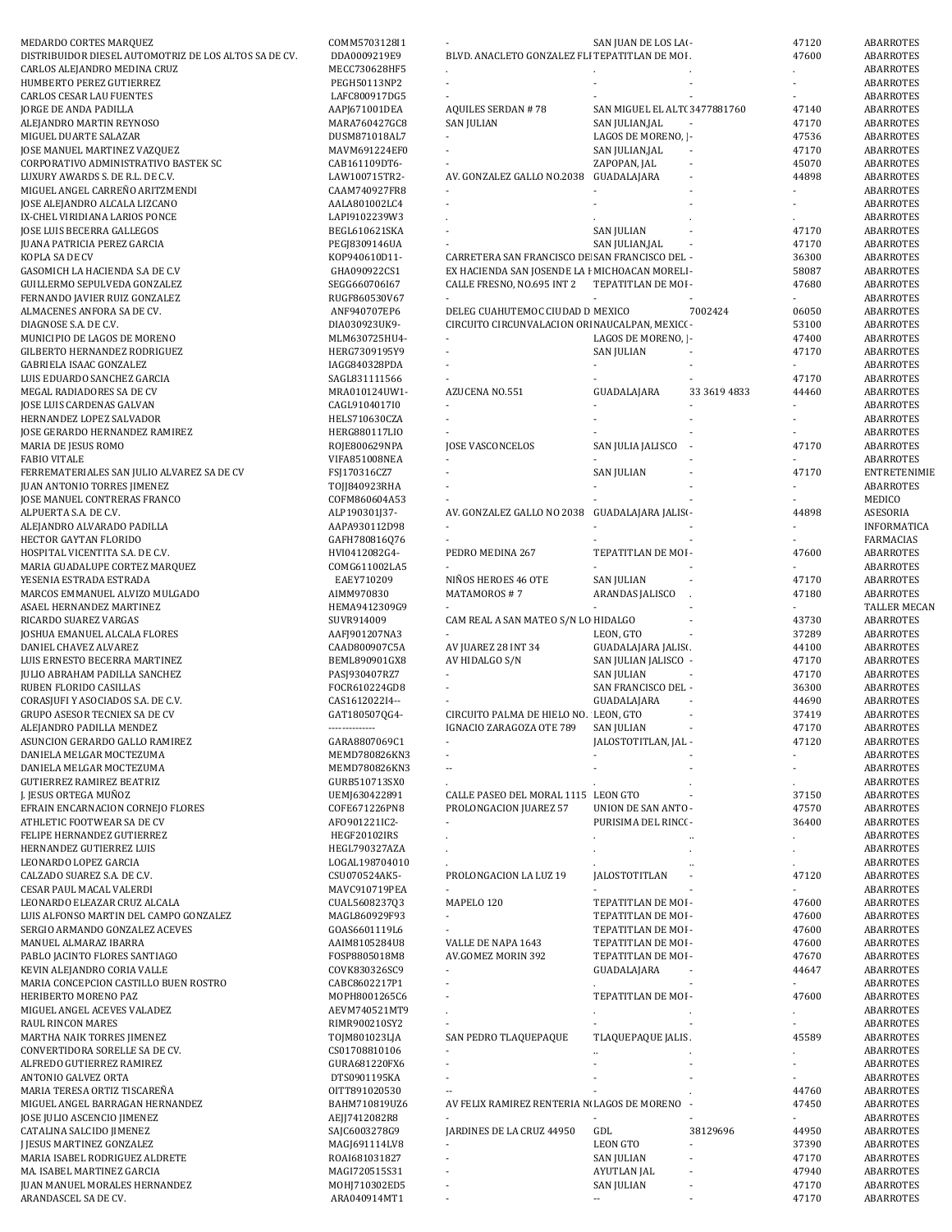| MEDARDO CORTES MARQUEZ                                        | COMM5703128I1                  |                                                 | SAN JUAN DE LOS LAI -                         |                          | 47120                    | ABARROTES              |
|---------------------------------------------------------------|--------------------------------|-------------------------------------------------|-----------------------------------------------|--------------------------|--------------------------|------------------------|
| DISTRIBUIDOR DIESEL AUTOMOTRIZ DE LOS ALTOS SA DE CV.         | DDA0009219E9                   | BLVD. ANACLETO GONZALEZ FLI TEPATITLAN DE MOI.  |                                               |                          | 47600                    | <b>ABARROTES</b>       |
| CARLOS ALEJANDRO MEDINA CRUZ                                  | MECC730628HF5                  |                                                 |                                               |                          |                          | ABARROTES              |
| HUMBERTO PEREZ GUTIERREZ                                      | PEGH50113NP2                   |                                                 |                                               |                          |                          | ABARROTES              |
| <b>CARLOS CESAR LAU FUENTES</b>                               | LAFC800917DG5                  |                                                 |                                               |                          |                          | ABARROTES              |
| JORGE DE ANDA PADILLA                                         | AAPJ671001DEA                  | <b>AQUILES SERDAN #78</b>                       | SAN MIGUEL EL ALT(3477881760                  |                          | 47140                    | ABARROTES              |
| ALEJANDRO MARTIN REYNOSO                                      | MARA760427GC8                  | <b>SAN JULIAN</b>                               | SAN JULIAN, JAL                               |                          | 47170                    | ABARROTES              |
| MIGUEL DUARTE SALAZAR                                         | DUSM871018AL7                  | $\overline{\phantom{a}}$                        | LAGOS DE MORENO,   -                          |                          | 47536                    | <b>ABARROTES</b>       |
| <b>JOSE MANUEL MARTINEZ VAZQUEZ</b>                           | MAVM691224EF0                  |                                                 | SAN JULIAN, JAL                               |                          | 47170                    | <b>ABARROTES</b>       |
| CORPORATIVO ADMINISTRATIVO BASTEK SC                          | CAB161109DT6-                  |                                                 | ZAPOPAN, JAL                                  | $\overline{\phantom{a}}$ | 45070                    | <b>ABARROTES</b>       |
| LUXURY AWARDS S. DE R.L. DE C.V.                              | LAW100715TR2-                  | AV. GONZALEZ GALLO NO.2038                      | GUADALAJARA                                   |                          | 44898                    | ABARROTES              |
| MIGUEL ANGEL CARREÑO ARITZMENDI                               | CAAM740927FR8                  |                                                 |                                               |                          |                          | ABARROTES              |
| JOSE ALEJANDRO ALCALA LIZCANO                                 | AALA801002LC4                  |                                                 |                                               |                          |                          | ABARROTES              |
| IX-CHEL VIRIDIANA LARIOS PONCE                                | LAPI9102239W3                  |                                                 |                                               |                          |                          | ABARROTES              |
| JOSE LUIS BECERRA GALLEGOS                                    | BEGL610621SKA                  |                                                 | <b>SAN JULIAN</b>                             |                          | 47170                    | ABARROTES              |
| <b>JUANA PATRICIA PEREZ GARCIA</b>                            | PEGJ8309146UA                  |                                                 | SAN JULIAN, JAL                               |                          | 47170                    | ABARROTES              |
| KOPLA SA DE CV                                                | K0P940610D11-                  | CARRETERA SAN FRANCISCO DE SAN FRANCISCO DEL -  |                                               |                          | 36300                    | <b>ABARROTES</b>       |
| GASOMICH LA HACIENDA S.A DE C.V                               | GHA090922CS1                   | EX HACIENDA SAN JOSENDE LA F MICHOACAN MORELI - |                                               |                          | 58087                    | <b>ABARROTES</b>       |
| GUILLERMO SEPULVEDA GONZALEZ                                  | SEGG660706I67                  | CALLE FRESNO, NO.695 INT 2                      | TEPATITLAN DE MOI -                           |                          | 47680                    | ABARROTES              |
| FERNANDO JAVIER RUIZ GONZALEZ                                 | RUGF860530V67                  |                                                 |                                               |                          |                          | ABARROTES              |
| ALMACENES ANFORA SA DE CV.<br>DIAGNOSE S.A. DE C.V.           | ANF940707EP6                   | DELEG CUAHUTEMOC CIUDAD D MEXICO                |                                               | 7002424                  | 06050                    | ABARROTES              |
| MUNICIPIO DE LAGOS DE MORENO                                  | DIA030923UK9-                  | CIRCUITO CIRCUNVALACION ORI NAUCALPAN, MEXIC( - | LAGOS DE MORENO,   -                          |                          | 53100<br>47400           | ABARROTES<br>ABARROTES |
| GILBERTO HERNANDEZ RODRIGUEZ                                  | MLM630725HU4-<br>HERG7309195Y9 | $\overline{\phantom{a}}$                        | <b>SAN JULIAN</b>                             |                          | 47170                    | <b>ABARROTES</b>       |
| GABRIELA ISAAC GONZALEZ                                       | IAGG840328PDA                  |                                                 |                                               |                          |                          | <b>ABARROTES</b>       |
| LUIS EDUARDO SANCHEZ GARCIA                                   | SAGL831111566                  |                                                 |                                               |                          | 47170                    | <b>ABARROTES</b>       |
| MEGAL RADIADORES SA DE CV                                     | MRA010124UW1-                  | AZUCENA NO.551                                  | GUADALAJARA                                   | 33 3619 4833             | 44460                    | ABARROTES              |
| JOSE LUIS CARDENAS GALVAN                                     | CAGL9104017I0                  |                                                 |                                               |                          |                          | ABARROTES              |
| HERNANDEZ LOPEZ SALVADOR                                      | HELS710630CZA                  |                                                 |                                               |                          |                          | <b>ABARROTES</b>       |
| JOSE GERARDO HERNANDEZ RAMIREZ                                | HERG880117LIO                  |                                                 |                                               |                          |                          | ABARROTES              |
| MARIA DE JESUS ROMO                                           | ROJE800629NPA                  | <b>JOSE VASCONCELOS</b>                         | SAN JULIA JALISCO                             |                          | 47170                    | ABARROTES              |
| <b>FABIO VITALE</b>                                           | VIFA851008NEA                  |                                                 |                                               |                          |                          | ABARROTES              |
| FERREMATERIALES SAN JULIO ALVAREZ SA DE CV                    | FSJ170316CZ7                   |                                                 | SAN JULIAN                                    |                          | 47170                    | <b>ENTRETENIMIE</b>    |
| <b>JUAN ANTONIO TORRES JIMENEZ</b>                            | T0JJ840923RHA                  |                                                 |                                               |                          |                          | ABARROTES              |
| JOSE MANUEL CONTRERAS FRANCO                                  | COFM860604A53                  |                                                 |                                               |                          |                          | MEDICO                 |
| ALPUERTA S.A. DE C.V.                                         | ALP190301J37-                  | AV. GONZALEZ GALLO NO 2038 GUADALAJARA JALISI - |                                               |                          | 44898                    | ASESORIA               |
| ALEJANDRO ALVARADO PADILLA                                    | AAPA930112D98                  |                                                 |                                               |                          |                          | INFORMATICA            |
| HECTOR GAYTAN FLORIDO                                         | GAFH780816Q76                  |                                                 |                                               |                          |                          | FARMACIAS              |
| HOSPITAL VICENTITA S.A. DE C.V.                               | HVI0412082G4-                  | PEDRO MEDINA 267                                | TEPATITLAN DE MOI -                           |                          | 47600                    | ABARROTES              |
| MARIA GUADALUPE CORTEZ MARQUEZ                                | COMG611002LA5                  |                                                 |                                               |                          |                          | ABARROTES              |
| YESENIA ESTRADA ESTRADA                                       | EAEY710209                     | NIÑOS HEROES 46 OTE                             | <b>SAN JULIAN</b>                             |                          | 47170                    | ABARROTES              |
| MARCOS EMMANUEL ALVIZO MULGADO                                | AIMM970830                     | MATAMOROS #7                                    | ARANDAS JALISCO                               |                          | 47180                    | <b>ABARROTES</b>       |
| ASAEL HERNANDEZ MARTINEZ                                      | HEMA9412309G9                  |                                                 |                                               |                          |                          | TALLER MECAN           |
| RICARDO SUAREZ VARGAS                                         | SUVR914009                     | CAM REAL A SAN MATEO S/N LO HIDALGO             |                                               |                          | 43730                    | <b>ABARROTES</b>       |
| JOSHUA EMANUEL ALCALA FLORES                                  | AAFJ901207NA3                  |                                                 | LEON, GTO                                     |                          | 37289                    | ABARROTES              |
|                                                               |                                |                                                 |                                               |                          |                          |                        |
| DANIEL CHAVEZ ALVAREZ                                         | CAAD800907C5A                  | AV JUAREZ 28 INT 34                             | GUADALAJARA JALISI.                           |                          | 44100                    | ABARROTES              |
| LUIS ERNESTO BECERRA MARTINEZ                                 | BEML890901GX8                  | AV HIDALGO S/N                                  | SAN JULIAN JALISCO -                          |                          | 47170                    | ABARROTES              |
| JULIO ABRAHAM PADILLA SANCHEZ                                 | PASJ930407RZ7                  | $\blacksquare$                                  | <b>SAN JULIAN</b>                             |                          | 47170                    | ABARROTES              |
| RUBEN FLORIDO CASILLAS                                        | FOCR610224GD8                  | $\sim$                                          | SAN FRANCISCO DEL -                           |                          | 36300                    | ABARROTES              |
| CORASJUFI Y ASOCIADOS S.A. DE C.V.                            | CAS1612022I4--                 |                                                 | GUADALAJARA                                   |                          | 44690                    | <b>ABARROTES</b>       |
| <b>GRUPO ASESOR TECNIEX SA DE CV</b>                          | GAT180507QG4-                  | CIRCUITO PALMA DE HIELO NO. LEON, GTO           |                                               |                          | 37419                    | ABARROTES              |
| ALEJANDRO PADILLA MENDEZ                                      | --------------                 | IGNACIO ZARAGOZA OTE 789                        | <b>SAN JULIAN</b>                             | $\sim$                   | 47170                    | ABARROTES              |
| ASUNCION GERARDO GALLO RAMIREZ                                | GARA8807069C1                  |                                                 | JALOSTOTITLAN, JAL -                          |                          | 47120                    | ABARROTES              |
| DANIELA MELGAR MOCTEZUMA                                      | MEMD780826KN3                  |                                                 |                                               |                          |                          | ABARROTES              |
| DANIELA MELGAR MOCTEZUMA                                      | MEMD780826KN3                  |                                                 |                                               |                          |                          | ABARROTES              |
| <b>GUTIERREZ RAMIREZ BEATRIZ</b>                              | GURB510713SX0                  |                                                 |                                               |                          |                          | ABARROTES              |
| J. JESUS ORTEGA MUÑOZ                                         | UEMJ630422891                  | CALLE PASEO DEL MORAL 1115 LEON GTO             |                                               |                          | 37150                    | ABARROTES              |
| EFRAIN ENCARNACION CORNEJO FLORES                             | COFE671226PN8                  | PROLONGACION JUAREZ 57                          | UNION DE SAN ANTO -                           |                          | 47570                    | <b>ABARROTES</b>       |
| ATHLETIC FOOTWEAR SA DE CV                                    | AF0901221IC2-                  |                                                 | PURISIMA DEL RINC( -                          |                          | 36400                    | ABARROTES              |
| FELIPE HERNANDEZ GUTIERREZ                                    | HEGF20102IRS                   |                                                 | $\cdot$                                       |                          |                          | ABARROTES              |
| HERNANDEZ GUTIERREZ LUIS                                      | HEGL790327AZA                  |                                                 |                                               |                          |                          | ABARROTES              |
| LEONARDO LOPEZ GARCIA                                         | LOGAL198704010                 |                                                 |                                               |                          |                          | ABARROTES              |
| CALZADO SUAREZ S.A. DE C.V.                                   | CSU070524AK5-                  | PROLONGACION LA LUZ 19                          | <b>JALOSTOTITLAN</b>                          |                          | 47120                    | ABARROTES              |
| CESAR PAUL MACAL VALERDI                                      | MAVC910719PEA                  |                                                 |                                               |                          | ÷.                       | ABARROTES              |
| LEONARDO ELEAZAR CRUZ ALCALA                                  | CUAL5608237Q3                  | MAPELO 120                                      | TEPATITLAN DE MOI -                           |                          | 47600                    | ABARROTES              |
| LUIS ALFONSO MARTIN DEL CAMPO GONZALEZ                        | MAGL860929F93                  | $\blacksquare$                                  | TEPATITLAN DE MOI -                           |                          | 47600                    | ABARROTES              |
| SERGIO ARMANDO GONZALEZ ACEVES                                | GOAS6601119L6                  |                                                 | TEPATITLAN DE MOI -                           |                          | 47600                    | ABARROTES              |
| MANUEL ALMARAZ IBARRA                                         | AAIM8105284U8                  | VALLE DE NAPA 1643                              | TEPATITLAN DE MOI -                           |                          | 47600                    | ABARROTES              |
| PABLO JACINTO FLORES SANTIAGO                                 | FOSP8805018M8                  | AV.GOMEZ MORIN 392                              | TEPATITLAN DE MOI -                           |                          | 47670                    | ABARROTES              |
| KEVIN ALEJANDRO CORIA VALLE                                   | COVK830326SC9                  |                                                 | GUADALAJARA                                   |                          | 44647                    | ABARROTES              |
| MARIA CONCEPCION CASTILLO BUEN ROSTRO<br>HERIBERTO MORENO PAZ | CABC8602217P1<br>MOPH8001265C6 |                                                 | TEPATITLAN DE MOI -                           |                          | 47600                    | ABARROTES<br>ABARROTES |
|                                                               |                                |                                                 |                                               |                          |                          |                        |
| MIGUEL ANGEL ACEVES VALADEZ<br>RAUL RINCON MARES              | AEVM740521MT9<br>RIMR900210SY2 | $\blacksquare$                                  |                                               |                          |                          | ABARROTES<br>ABARROTES |
| MARTHA NAIK TORRES JIMENEZ                                    | TOJM801023LJA                  | SAN PEDRO TLAQUEPAQUE                           | TLAQUEPAQUE JALIS.                            |                          | 45589                    | ABARROTES              |
| CONVERTIDORA SORELLE SA DE CV.                                | CS01708810106                  |                                                 |                                               |                          |                          | ABARROTES              |
| ALFREDO GUTIERREZ RAMIREZ                                     | GURA681220FX6                  |                                                 |                                               |                          |                          | ABARROTES              |
| ANTONIO GALVEZ ORTA                                           | DTS0901195KA                   |                                                 |                                               |                          |                          | ABARROTES              |
| MARIA TERESA ORTIZ TISCAREÑA                                  | OITT891020530                  |                                                 |                                               |                          | 44760                    | ABARROTES              |
| MIGUEL ANGEL BARRAGAN HERNANDEZ                               | BAHM710819UZ6                  | AV FELIX RAMIREZ RENTERIA NI LAGOS DE MORENO    |                                               |                          | 47450                    | ABARROTES              |
| JOSE JULIO ASCENCIO JIMENEZ                                   | AEJJ7412082R8                  | $\blacksquare$                                  |                                               |                          | $\overline{\phantom{0}}$ | ABARROTES              |
| CATALINA SALCIDO JIMENEZ                                      | SAJC6003278G9                  | JARDINES DE LA CRUZ 44950                       | GDL                                           | 38129696                 | 44950                    | ABARROTES              |
| J JESUS MARTINEZ GONZALEZ                                     | MAGJ691114LV8                  | $\blacksquare$                                  | LEON GTO                                      |                          | 37390                    | ABARROTES              |
| MARIA ISABEL RODRIGUEZ ALDRETE                                | ROAI681031827                  |                                                 | <b>SAN JULIAN</b>                             |                          | 47170                    | ABARROTES              |
| MA. ISABEL MARTINEZ GARCIA                                    | MAGI720515S31                  |                                                 | <b>AYUTLAN JAL</b>                            |                          | 47940                    | ABARROTES              |
| JUAN MANUEL MORALES HERNANDEZ<br>ARANDASCEL SA DE CV.         | MOHJ710302ED5<br>ARA040914MT1  |                                                 | <b>SAN JULIAN</b><br>$\overline{\phantom{a}}$ |                          | 47170<br>47170           | ABARROTES<br>ABARROTES |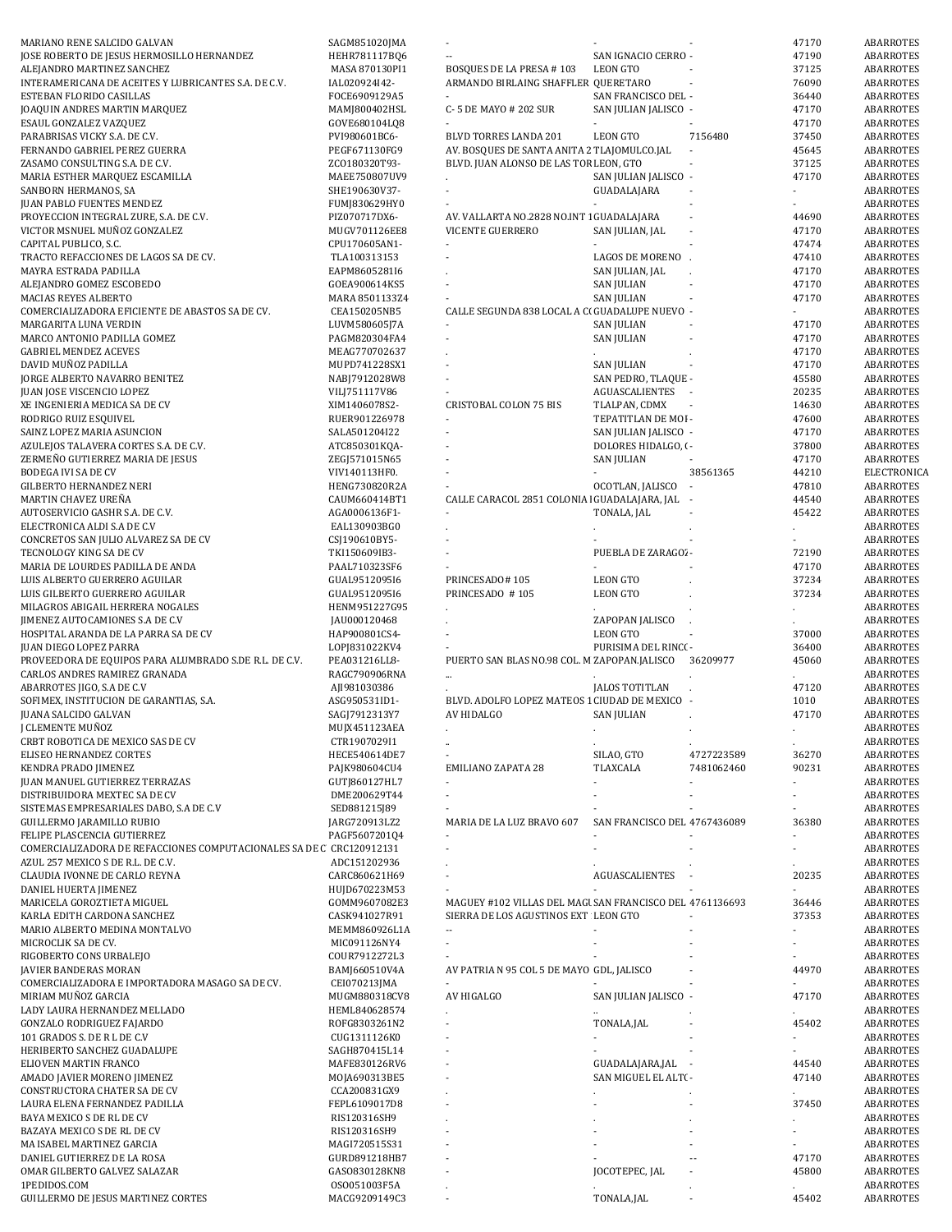| MARIANO RENE SALCIDO GALVAN                                          | SAGM851020JMA                 |                                                          |                              |                          | 47170          | ABARROTES              |
|----------------------------------------------------------------------|-------------------------------|----------------------------------------------------------|------------------------------|--------------------------|----------------|------------------------|
| JOSE ROBERTO DE JESUS HERMOSILLO HERNANDEZ                           | HEHR781117BQ6                 |                                                          | SAN IGNACIO CERRO -          |                          | 47190          | ABARROTES              |
| ALEJANDRO MARTINEZ SANCHEZ                                           | MASA 870130PI1                | BOSQUES DE LA PRESA #103                                 | <b>LEON GTO</b>              |                          | 37125          | ABARROTES              |
| INTERAMERICANA DE ACEITES Y LUBRICANTES S.A. DE C.V.                 | IAL020924I42-                 | ARMANDO BIRLAING SHAFFLER QUERETARO                      |                              |                          | 76090          | ABARROTES              |
| ESTEBAN FLORIDO CASILLAS                                             | FOCE6909129A5                 |                                                          | SAN FRANCISCO DEL -          |                          | 36440          | ABARROTES              |
| JOAQUIN ANDRES MARTIN MARQUEZ                                        | MAMJ800402HSL                 | C-5 DE MAYO # 202 SUR                                    | SAN JULIAN JALISCO -         |                          | 47170          | ABARROTES              |
| ESAUL GONZALEZ VAZQUEZ                                               | GOVE680104LQ8                 |                                                          |                              |                          | 47170          | ABARROTES              |
| PARABRISAS VICKY S.A. DE C.V.                                        | PVI980601BC6-                 | BLVD TORRES LANDA 201                                    | <b>LEON GTO</b>              | 7156480                  | 37450          | ABARROTES              |
|                                                                      |                               |                                                          |                              |                          |                |                        |
| FERNANDO GABRIEL PEREZ GUERRA                                        | PEGF671130FG9                 | AV. BOSQUES DE SANTA ANITA 2 TLAJOMULCO.JAL              |                              |                          | 45645          | ABARROTES              |
| ZASAMO CONSULTING S.A. DE C.V.                                       | ZC0180320T93-                 | BLVD. JUAN ALONSO DE LAS TOF LEON, GTO                   |                              |                          | 37125          | ABARROTES              |
| MARIA ESTHER MARQUEZ ESCAMILLA                                       | MAEE750807UV9                 |                                                          | SAN JULIAN JALISCO -         |                          | 47170          | ABARROTES              |
| SANBORN HERMANOS, SA                                                 | SHE190630V37-                 |                                                          | GUADALAJARA                  |                          | $\blacksquare$ | ABARROTES              |
| <b>JUAN PABLO FUENTES MENDEZ</b>                                     | FUMJ830629HY0                 |                                                          |                              |                          |                | ABARROTES              |
| PROYECCION INTEGRAL ZURE, S.A. DE C.V.                               | PIZ070717DX6-                 | AV. VALLARTA NO.2828 NO.INT 1 GUADALAJARA                |                              | $\overline{\phantom{a}}$ | 44690          | ABARROTES              |
| VICTOR MSNUEL MUÑOZ GONZALEZ                                         | MUGV701126EE8                 | <b>VICENTE GUERRERO</b>                                  | SAN JULIAN, JAL              |                          | 47170          | ABARROTES              |
| CAPITAL PUBLICO, S.C.                                                | CPU170605AN1-                 |                                                          |                              |                          | 47474          | ABARROTES              |
|                                                                      |                               |                                                          |                              |                          |                |                        |
| TRACTO REFACCIONES DE LAGOS SA DE CV.                                | TLA100313153                  |                                                          | LAGOS DE MORENO.             |                          | 47410          | ABARROTES              |
| MAYRA ESTRADA PADILLA                                                | EAPM8605281I6                 |                                                          | SAN JULIAN, JAL              |                          | 47170          | ABARROTES              |
| ALEJANDRO GOMEZ ESCOBEDO                                             | GOEA900614KS5                 |                                                          | <b>SAN JULIAN</b>            |                          | 47170          | ABARROTES              |
| MACIAS REYES ALBERTO                                                 | MARA 8501133Z4                |                                                          | <b>SAN JULIAN</b>            |                          | 47170          | ABARROTES              |
| COMERCIALIZADORA EFICIENTE DE ABASTOS SA DE CV.                      | CEA150205NB5                  | CALLE SEGUNDA 838 LOCAL A C( GUADALUPE NUEVO -           |                              |                          |                | ABARROTES              |
| MARGARITA LUNA VERDIN                                                | LUVM580605J7A                 |                                                          | <b>SAN JULIAN</b>            |                          | 47170          | ABARROTES              |
| MARCO ANTONIO PADILLA GOMEZ                                          | PAGM820304FA4                 | $\overline{\phantom{a}}$                                 | SAN JULIAN                   |                          | 47170          | ABARROTES              |
| <b>GABRIEL MENDEZ ACEVES</b>                                         | MEAG770702637                 |                                                          |                              |                          | 47170          | ABARROTES              |
|                                                                      |                               |                                                          |                              |                          |                |                        |
| DAVID MUÑOZ PADILLA                                                  | MUPD741228SX1                 |                                                          | <b>SAN JULIAN</b>            |                          | 47170          | ABARROTES              |
| JORGE ALBERTO NAVARRO BENITEZ                                        | NABJ7912028W8                 |                                                          | SAN PEDRO, TLAQUE -          |                          | 45580          | ABARROTES              |
| <b>JUAN JOSE VISCENCIO LOPEZ</b>                                     | VILJ751117V86                 |                                                          | AGUASCALIENTES -             |                          | 20235          | ABARROTES              |
| XE INGENIERIA MEDICA SA DE CV                                        | XIM1406078S2-                 | <b>CRISTOBAL COLON 75 BIS</b>                            | TLALPAN, CDMX                |                          | 14630          | ABARROTES              |
| RODRIGO RUIZ ESQUIVEL                                                | RUER901226978                 |                                                          | TEPATITLAN DE MOI -          |                          | 47600          | ABARROTES              |
| SAINZ LOPEZ MARIA ASUNCION                                           | SALA501204I22                 | $\mathcal{L}$                                            | SAN JULIAN JALISCO -         |                          | 47170          | ABARROTES              |
| AZULEJOS TALAVERA CORTES S.A. DE C.V.                                | ATC850301KQA-                 |                                                          | DOLORES HIDALGO, ( -         |                          | 37800          | ABARROTES              |
|                                                                      |                               |                                                          |                              |                          |                |                        |
| ZERMEÑO GUTIERREZ MARIA DE JESUS                                     | ZEGJ571015N65                 |                                                          | <b>SAN JULIAN</b>            |                          | 47170          | ABARROTES              |
| <b>BODEGA IVI SA DE CV</b>                                           | VIV140113HF0.                 |                                                          |                              | 38561365                 | 44210          | ELECTRONICA            |
| <b>GILBERTO HERNANDEZ NERI</b>                                       | HENG730820R2A                 |                                                          | OCOTLAN, JALISCO             | $\sim$                   | 47810          | ABARROTES              |
| MARTIN CHAVEZ UREÑA                                                  | CAUM660414BT1                 | CALLE CARACOL 2851 COLONIA   GUADALAJARA, JAL            |                              |                          | 44540          | ABARROTES              |
| AUTOSERVICIO GASHR S.A. DE C.V.                                      | AGA0006136F1-                 |                                                          | TONALA, JAL                  |                          | 45422          | ABARROTES              |
| ELECTRONICA ALDI S.A DE C.V                                          | EAL130903BG0                  |                                                          |                              |                          |                | ABARROTES              |
| CONCRETOS SAN JULIO ALVAREZ SA DE CV                                 | CSJ190610BY5-                 |                                                          |                              |                          |                | ABARROTES              |
|                                                                      |                               |                                                          |                              |                          |                |                        |
| TECNOLOGY KING SA DE CV                                              | TKI150609IB3-                 |                                                          | PUEBLA DE ZARAGO' -          |                          | 72190          | ABARROTES              |
| MARIA DE LOURDES PADILLA DE ANDA                                     | PAAL710323SF6                 |                                                          |                              |                          | 47170          | ABARROTES              |
| LUIS ALBERTO GUERRERO AGUILAR                                        | GUAL9512095I6                 | PRINCESADO#105                                           | <b>LEON GTO</b>              |                          | 37234          | ABARROTES              |
| LUIS GILBERTO GUERRERO AGUILAR                                       | GUAL9512095I6                 | PRINCESADO #105                                          | <b>LEON GTO</b>              |                          | 37234          | ABARROTES              |
| MILAGROS ABIGAIL HERRERA NOGALES                                     | HENM951227G95                 |                                                          |                              |                          |                | ABARROTES              |
| JIMENEZ AUTOCAMIONES S.A DE C.V                                      | JAU000120468                  |                                                          | ZAPOPAN JALISCO              |                          |                | ABARROTES              |
| HOSPITAL ARANDA DE LA PARRA SA DE CV                                 | HAP900801CS4-                 |                                                          | <b>LEON GTO</b>              |                          | 37000          | ABARROTES              |
|                                                                      |                               |                                                          |                              |                          |                |                        |
| <b>JUAN DIEGO LOPEZ PARRA</b>                                        | LOPJ831022KV4                 |                                                          | PURISIMA DEL RINC( -         |                          | 36400          | ABARROTES              |
|                                                                      |                               |                                                          |                              |                          |                |                        |
| PROVEEDORA DE EQUIPOS PARA ALUMBRADO S.DE R.L. DE C.V.               | PEA031216LL8-                 | PUERTO SAN BLAS NO.98 COL. M ZAPOPAN.JALISCO             |                              | 36209977                 | 45060          | ABARROTES              |
| CARLOS ANDRES RAMIREZ GRANADA                                        | RAGC790906RNA                 |                                                          |                              |                          |                | ABARROTES              |
| ABARROTES JIGO, S.A DE C.V                                           | AJI981030386                  |                                                          | <b>JALOS TOTITLAN</b>        |                          | 47120          | ABARROTES              |
|                                                                      |                               |                                                          |                              |                          |                |                        |
| SOFIMEX, INSTITUCION DE GARANTIAS, S.A.                              | ASG950531ID1-                 | BLVD. ADOLFO LOPEZ MATEOS 1 CIUDAD DE MEXICO -           |                              |                          | 1010           | ABARROTES              |
| <b>JUANA SALCIDO GALVAN</b>                                          | SAGJ7912313Y7                 | AV HIDALGO                                               | <b>SAN JULIAN</b>            |                          | 47170          | <b>ABARROTES</b>       |
| J CLEMENTE MUÑOZ                                                     | MUJX451123AEA                 |                                                          |                              |                          |                | <b>ABARROTES</b>       |
| CRBT ROBOTICA DE MEXICO SAS DE CV                                    | CTR1907029I1                  |                                                          |                              |                          |                | ABARROTES              |
| ELISEO HERNANDEZ CORTES                                              | HECE540614DE7                 |                                                          | SILAO, GTO                   | 4727223589               | 36270          | ABARROTES              |
| KENDRA PRADO JIMENEZ                                                 | PAJK980604CU4                 | <b>EMILIANO ZAPATA 28</b>                                | TLAXCALA                     | 7481062460               | 90231          | ABARROTES              |
| JUAN MANUEL GUTIERREZ TERRAZAS                                       | GUTJ860127HL7                 |                                                          |                              |                          |                | ABARROTES              |
| DISTRIBUIDORA MEXTEC SA DE CV                                        | DME200629T44                  | $\mathcal{L}$                                            |                              |                          |                | ABARROTES              |
|                                                                      |                               |                                                          |                              |                          |                |                        |
| SISTEMAS EMPRESARIALES DABO, S.A DE C.V                              | SED881215J89                  |                                                          |                              |                          |                | ABARROTES              |
| GUILLERMO JARAMILLO RUBIO                                            | JARG720913LZ2                 | MARIA DE LA LUZ BRAVO 607                                | SAN FRANCISCO DEL 4767436089 |                          | 36380          | <b>ABARROTES</b>       |
| FELIPE PLASCENCIA GUTIERREZ                                          | PAGF5607201Q4                 |                                                          |                              |                          |                | ABARROTES              |
| COMERCIALIZADORA DE REFACCIONES COMPUTACIONALES SA DE C CRC120912131 |                               |                                                          |                              |                          |                | ABARROTES              |
| AZUL 257 MEXICO S DE R.L. DE C.V.                                    | ADC151202936                  |                                                          |                              |                          |                | ABARROTES              |
| CLAUDIA IVONNE DE CARLO REYNA                                        | CARC860621H69                 |                                                          | AGUASCALIENTES               |                          | 20235          | ABARROTES              |
| DANIEL HUERTA JIMENEZ                                                | HUJD670223M53                 | $\blacksquare$                                           |                              |                          |                | ABARROTES              |
| MARICELA GOROZTIETA MIGUEL                                           | GOMM9607082E3                 | MAGUEY #102 VILLAS DEL MAGI SAN FRANCISCO DEL 4761136693 |                              |                          | 36446          | ABARROTES              |
| KARLA EDITH CARDONA SANCHEZ                                          | CASK941027R91                 | SIERRA DE LOS AGUSTINOS EXT LEON GTO                     |                              |                          | 37353          |                        |
|                                                                      |                               | $\overline{\phantom{a}}$                                 |                              |                          |                | ABARROTES              |
| MARIO ALBERTO MEDINA MONTALVO                                        | MEMM860926L1A                 | $\sim$                                                   |                              |                          |                | ABARROTES              |
| MICROCLIK SA DE CV.                                                  | MIC091126NY4                  |                                                          |                              |                          |                | ABARROTES              |
| RIGOBERTO CONS URBALEJO                                              | COUR7912272L3                 |                                                          |                              |                          |                | ABARROTES              |
| JAVIER BANDERAS MORAN                                                | BAMJ660510V4A                 | AV PATRIA N 95 COL 5 DE MAYO GDL, JALISCO                |                              |                          | 44970          | ABARROTES              |
| COMERCIALIZADORA E IMPORTADORA MASAGO SA DE CV.                      | CEI070213JMA                  |                                                          |                              |                          |                | ABARROTES              |
| MIRIAM MUÑOZ GARCIA                                                  | MUGM880318CV8                 | AV HIGALGO                                               | SAN JULIAN JALISCO -         |                          | 47170          | ABARROTES              |
| LADY LAURA HERNANDEZ MELLADO                                         | HEML840628574                 |                                                          |                              |                          |                | ABARROTES              |
| <b>GONZALO RODRIGUEZ FAJARDO</b>                                     | ROFG8303261N2                 |                                                          | TONALA,JAL                   |                          | 45402          | ABARROTES              |
|                                                                      |                               |                                                          |                              |                          |                |                        |
| 101 GRADOS S. DE R L DE C.V                                          | CUG1311126K0                  |                                                          |                              |                          |                | ABARROTES              |
| HERIBERTO SANCHEZ GUADALUPE                                          | SAGH870415L14                 |                                                          |                              |                          |                | ABARROTES              |
| ELIOVEN MARTIN FRANCO                                                | MAFE830126RV6                 |                                                          | GUADALAJARA,JAL              |                          | 44540          | ABARROTES              |
| AMADO JAVIER MORENO JIMENEZ                                          | MOJA690313BE5                 |                                                          | SAN MIGUEL EL ALT( -         |                          | 47140          | ABARROTES              |
| CONSTRUCTORA CHATER SA DE CV                                         | CCA200831GX9                  |                                                          |                              |                          |                | ABARROTES              |
| LAURA ELENA FERNANDEZ PADILLA                                        | FEPL6109017D8                 |                                                          |                              |                          | 37450          | ABARROTES              |
| BAYA MEXICO S DE RL DE CV                                            | RIS120316SH9                  |                                                          |                              |                          |                | ABARROTES              |
|                                                                      |                               |                                                          |                              |                          |                |                        |
| BAZAYA MEXICO S DE RL DE CV                                          | RIS120316SH9                  |                                                          |                              |                          |                | ABARROTES              |
| MA ISABEL MARTINEZ GARCIA                                            | MAGI720515S31                 |                                                          |                              |                          |                | ABARROTES              |
| DANIEL GUTIERREZ DE LA ROSA                                          | GURD891218HB7                 |                                                          |                              |                          | 47170          | ABARROTES              |
| OMAR GILBERTO GALVEZ SALAZAR                                         | GAS0830128KN8                 |                                                          | JOCOTEPEC, JAL               |                          | 45800          | ABARROTES              |
| 1PEDIDOS.COM<br>GUILLERMO DE JESUS MARTINEZ CORTES                   | 0S0051003F5A<br>MACG9209149C3 |                                                          | TONALA,JAL                   |                          | 45402          | ABARROTES<br>ABARROTES |